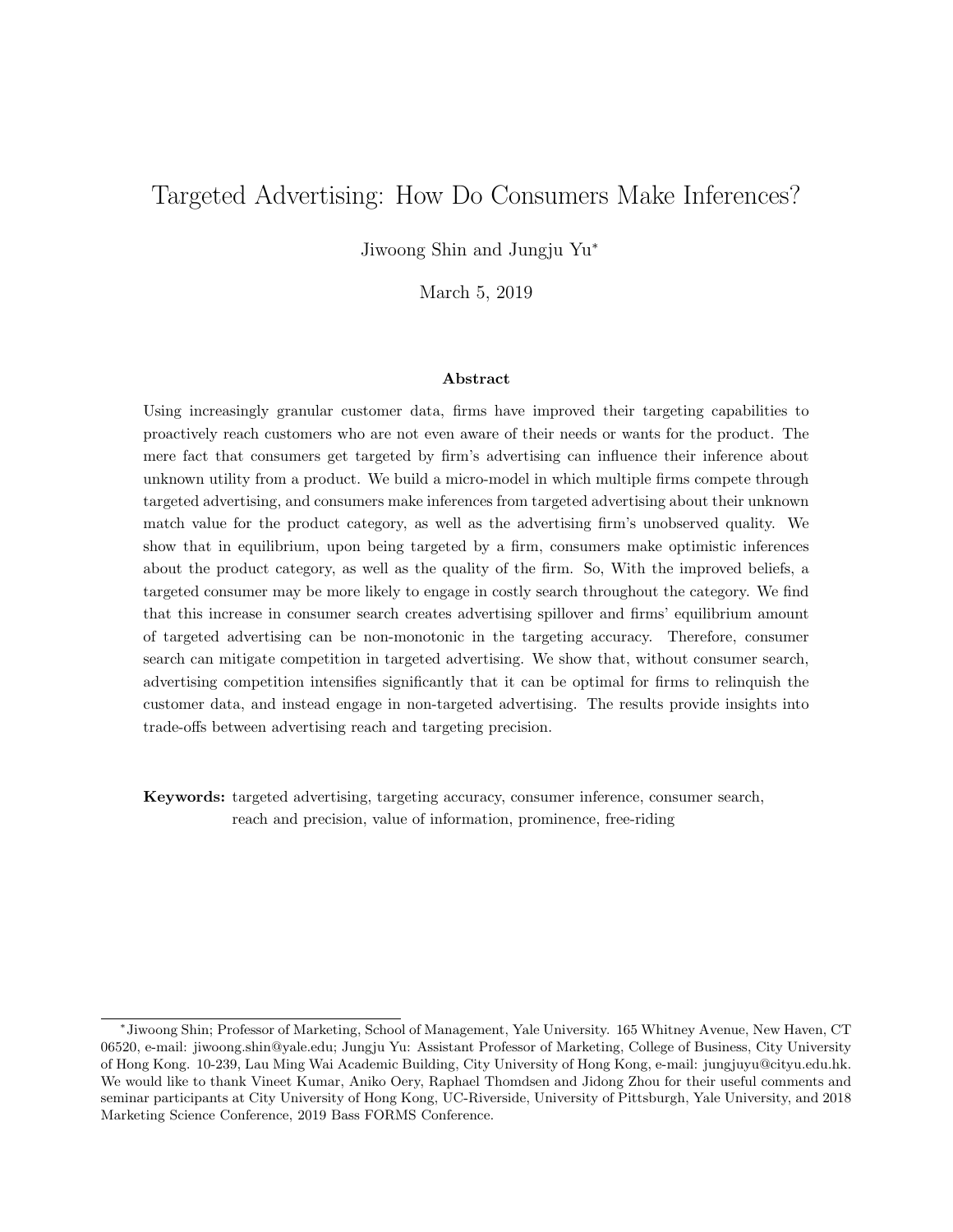# Targeted Advertising: How Do Consumers Make Inferences?

Jiwoong Shin and Jungju Yu<sup>∗</sup>

March 5, 2019

#### Abstract

Using increasingly granular customer data, firms have improved their targeting capabilities to proactively reach customers who are not even aware of their needs or wants for the product. The mere fact that consumers get targeted by firm's advertising can influence their inference about unknown utility from a product. We build a micro-model in which multiple firms compete through targeted advertising, and consumers make inferences from targeted advertising about their unknown match value for the product category, as well as the advertising firm's unobserved quality. We show that in equilibrium, upon being targeted by a firm, consumers make optimistic inferences about the product category, as well as the quality of the firm. So, With the improved beliefs, a targeted consumer may be more likely to engage in costly search throughout the category. We find that this increase in consumer search creates advertising spillover and firms' equilibrium amount of targeted advertising can be non-monotonic in the targeting accuracy. Therefore, consumer search can mitigate competition in targeted advertising. We show that, without consumer search, advertising competition intensifies significantly that it can be optimal for firms to relinquish the customer data, and instead engage in non-targeted advertising. The results provide insights into trade-offs between advertising reach and targeting precision.

Keywords: targeted advertising, targeting accuracy, consumer inference, consumer search, reach and precision, value of information, prominence, free-riding

<sup>∗</sup> Jiwoong Shin; Professor of Marketing, School of Management, Yale University. 165 Whitney Avenue, New Haven, CT 06520, e-mail: jiwoong.shin@yale.edu; Jungju Yu: Assistant Professor of Marketing, College of Business, City University of Hong Kong. 10-239, Lau Ming Wai Academic Building, City University of Hong Kong, e-mail: jungjuyu@cityu.edu.hk. We would like to thank Vineet Kumar, Aniko Oery, Raphael Thomdsen and Jidong Zhou for their useful comments and seminar participants at City University of Hong Kong, UC-Riverside, University of Pittsburgh, Yale University, and 2018 Marketing Science Conference, 2019 Bass FORMS Conference.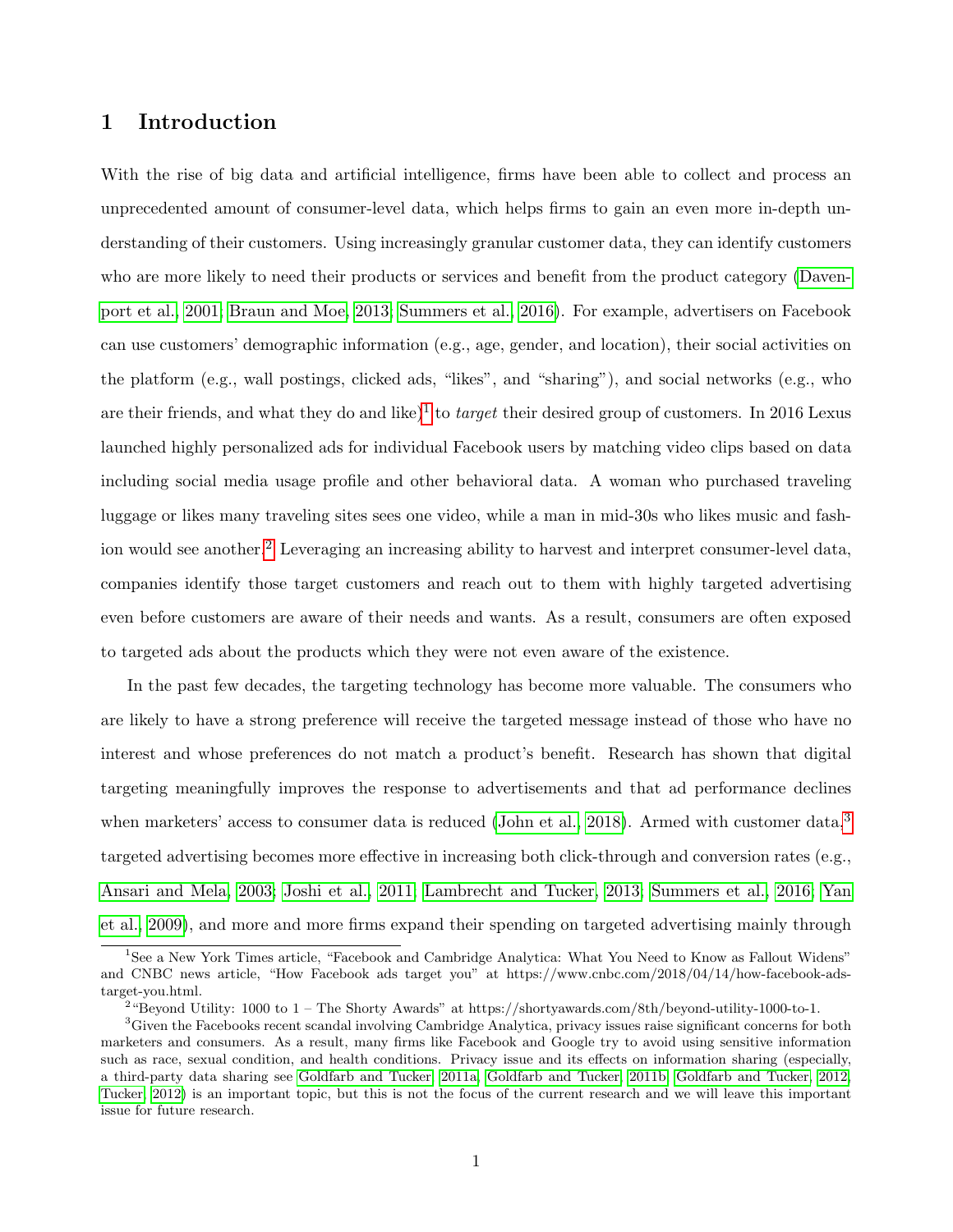# 1 Introduction

With the rise of big data and artificial intelligence, firms have been able to collect and process an unprecedented amount of consumer-level data, which helps firms to gain an even more in-depth understanding of their customers. Using increasingly granular customer data, they can identify customers who are more likely to need their products or services and benefit from the product category [\(Daven](#page-46-0)[port et al., 2001;](#page-46-0) [Braun and Moe, 2013;](#page-46-1) [Summers et al., 2016\)](#page-48-0). For example, advertisers on Facebook can use customers' demographic information (e.g., age, gender, and location), their social activities on the platform (e.g., wall postings, clicked ads, "likes", and "sharing"), and social networks (e.g., who are their friends, and what they do and like)<sup>[1](#page-1-0)</sup> to *target* their desired group of customers. In 2016 Lexus launched highly personalized ads for individual Facebook users by matching video clips based on data including social media usage profile and other behavioral data. A woman who purchased traveling luggage or likes many traveling sites sees one video, while a man in mid-30s who likes music and fash-ion would see another.<sup>[2](#page-1-1)</sup> Leveraging an increasing ability to harvest and interpret consumer-level data, companies identify those target customers and reach out to them with highly targeted advertising even before customers are aware of their needs and wants. As a result, consumers are often exposed to targeted ads about the products which they were not even aware of the existence.

In the past few decades, the targeting technology has become more valuable. The consumers who are likely to have a strong preference will receive the targeted message instead of those who have no interest and whose preferences do not match a product's benefit. Research has shown that digital targeting meaningfully improves the response to advertisements and that ad performance declines when marketers' access to consumer data is reduced [\(John et al., 2018\)](#page-47-0). Armed with customer data,<sup>[3](#page-1-2)</sup> targeted advertising becomes more effective in increasing both click-through and conversion rates (e.g., [Ansari and Mela, 2003;](#page-46-2) [Joshi et al., 2011;](#page-47-1) [Lambrecht and Tucker, 2013;](#page-47-2) [Summers et al., 2016;](#page-48-0) [Yan](#page-49-0) [et al., 2009\)](#page-49-0), and more and more firms expand their spending on targeted advertising mainly through

<span id="page-1-0"></span><sup>&</sup>lt;sup>1</sup>See a New York Times article, "Facebook and Cambridge Analytica: What You Need to Know as Fallout Widens" and CNBC news article, "How Facebook ads target you" at https://www.cnbc.com/2018/04/14/how-facebook-adstarget-you.html.

<span id="page-1-2"></span><span id="page-1-1"></span><sup>&</sup>lt;sup>2</sup> "Beyond Utility: 1000 to 1 – The Shorty Awards" at https://shortyawards.com/8th/beyond-utility-1000-to-1.

<sup>&</sup>lt;sup>3</sup>Given the Facebooks recent scandal involving Cambridge Analytica, privacy issues raise significant concerns for both marketers and consumers. As a result, many firms like Facebook and Google try to avoid using sensitive information such as race, sexual condition, and health conditions. Privacy issue and its effects on information sharing (especially, a third-party data sharing see [Goldfarb and Tucker, 2011a,](#page-47-3) [Goldfarb and Tucker, 2011b,](#page-47-4) [Goldfarb and Tucker, 2012,](#page-47-5) [Tucker, 2012\)](#page-48-1) is an important topic, but this is not the focus of the current research and we will leave this important issue for future research.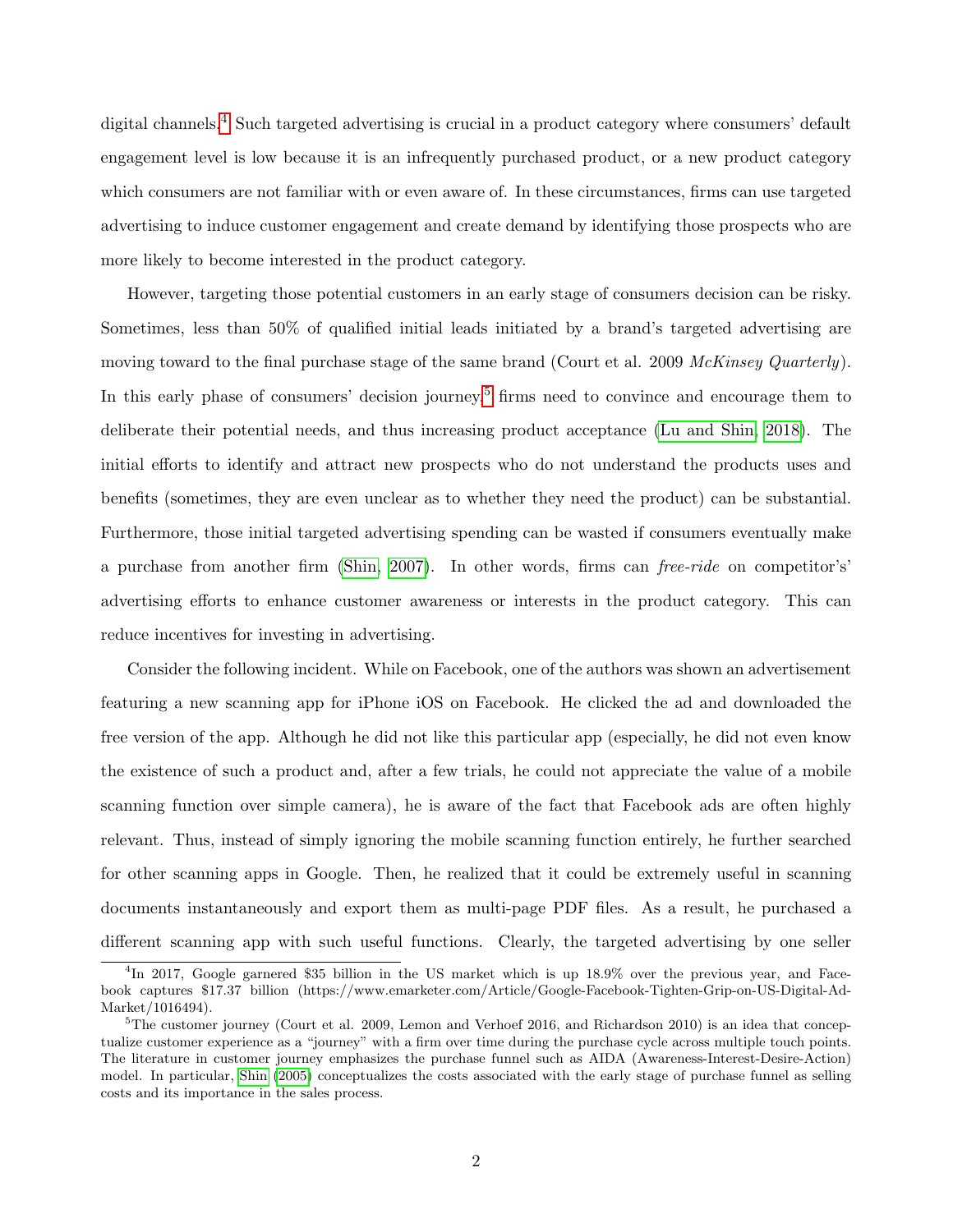digital channels.<sup>[4](#page-2-0)</sup> Such targeted advertising is crucial in a product category where consumers' default engagement level is low because it is an infrequently purchased product, or a new product category which consumers are not familiar with or even aware of. In these circumstances, firms can use targeted advertising to induce customer engagement and create demand by identifying those prospects who are more likely to become interested in the product category.

However, targeting those potential customers in an early stage of consumers decision can be risky. Sometimes, less than 50% of qualified initial leads initiated by a brand's targeted advertising are moving toward to the final purchase stage of the same brand (Court et al. 2009 McKinsey Quarterly). In this early phase of consumers' decision journey,<sup>[5](#page-2-1)</sup> firms need to convince and encourage them to deliberate their potential needs, and thus increasing product acceptance [\(Lu and Shin, 2018\)](#page-48-2). The initial efforts to identify and attract new prospects who do not understand the products uses and benefits (sometimes, they are even unclear as to whether they need the product) can be substantial. Furthermore, those initial targeted advertising spending can be wasted if consumers eventually make a purchase from another firm [\(Shin, 2007\)](#page-48-3). In other words, firms can free-ride on competitor's' advertising efforts to enhance customer awareness or interests in the product category. This can reduce incentives for investing in advertising.

Consider the following incident. While on Facebook, one of the authors was shown an advertisement featuring a new scanning app for iPhone iOS on Facebook. He clicked the ad and downloaded the free version of the app. Although he did not like this particular app (especially, he did not even know the existence of such a product and, after a few trials, he could not appreciate the value of a mobile scanning function over simple camera), he is aware of the fact that Facebook ads are often highly relevant. Thus, instead of simply ignoring the mobile scanning function entirely, he further searched for other scanning apps in Google. Then, he realized that it could be extremely useful in scanning documents instantaneously and export them as multi-page PDF files. As a result, he purchased a different scanning app with such useful functions. Clearly, the targeted advertising by one seller

<span id="page-2-0"></span><sup>&</sup>lt;sup>4</sup>In 2017, Google garnered \$35 billion in the US market which is up 18.9% over the previous year, and Facebook captures \$17.37 billion (https://www.emarketer.com/Article/Google-Facebook-Tighten-Grip-on-US-Digital-Ad-Market/1016494).

<span id="page-2-1"></span> ${}^{5}$ The customer journey (Court et al. 2009, Lemon and Verhoef 2016, and Richardson 2010) is an idea that conceptualize customer experience as a "journey" with a firm over time during the purchase cycle across multiple touch points. The literature in customer journey emphasizes the purchase funnel such as AIDA (Awareness-Interest-Desire-Action) model. In particular, [Shin \(2005\)](#page-48-4) conceptualizes the costs associated with the early stage of purchase funnel as selling costs and its importance in the sales process.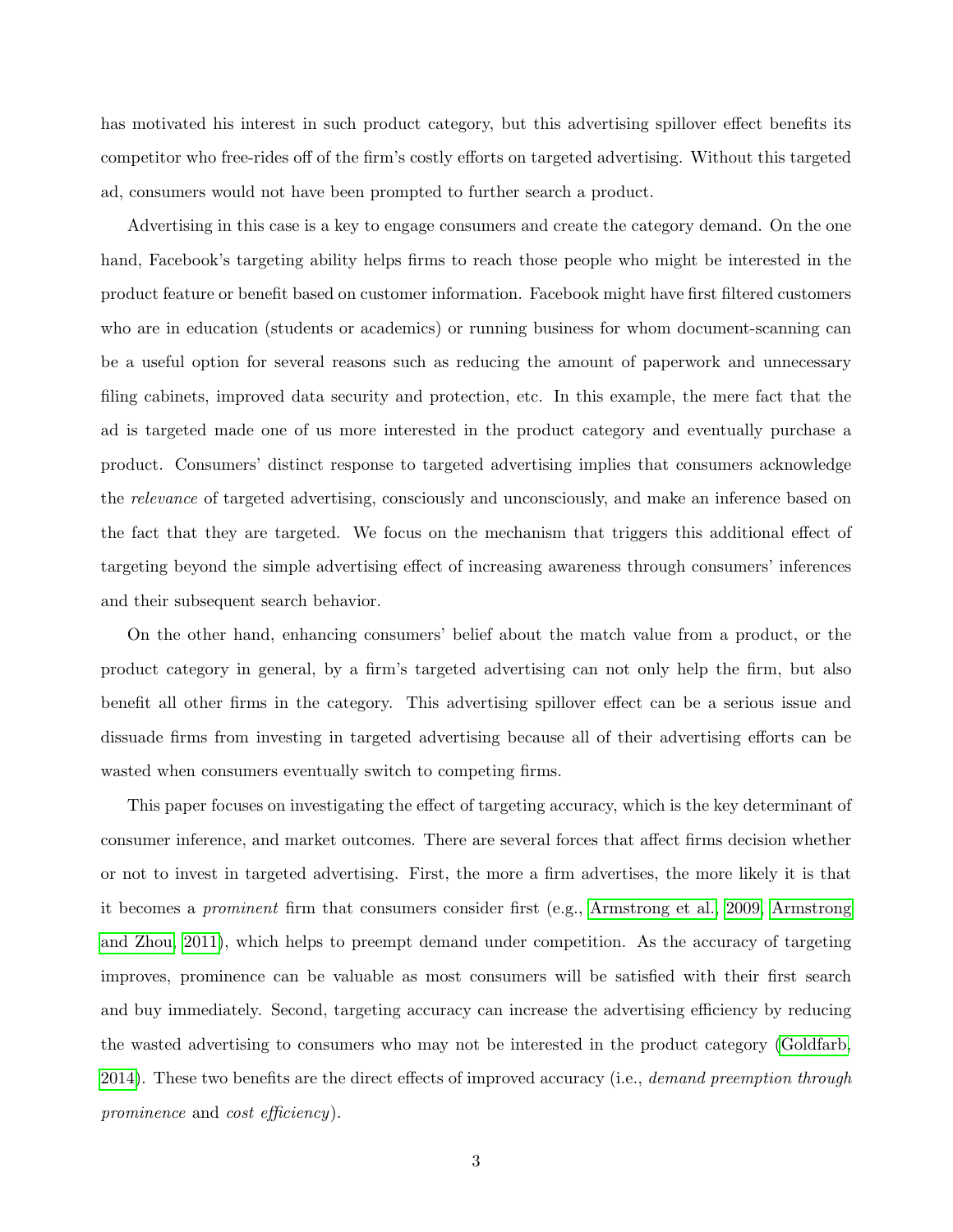has motivated his interest in such product category, but this advertising spillover effect benefits its competitor who free-rides off of the firm's costly efforts on targeted advertising. Without this targeted ad, consumers would not have been prompted to further search a product.

Advertising in this case is a key to engage consumers and create the category demand. On the one hand, Facebook's targeting ability helps firms to reach those people who might be interested in the product feature or benefit based on customer information. Facebook might have first filtered customers who are in education (students or academics) or running business for whom document-scanning can be a useful option for several reasons such as reducing the amount of paperwork and unnecessary filing cabinets, improved data security and protection, etc. In this example, the mere fact that the ad is targeted made one of us more interested in the product category and eventually purchase a product. Consumers' distinct response to targeted advertising implies that consumers acknowledge the *relevance* of targeted advertising, consciously and unconsciously, and make an inference based on the fact that they are targeted. We focus on the mechanism that triggers this additional effect of targeting beyond the simple advertising effect of increasing awareness through consumers' inferences and their subsequent search behavior.

On the other hand, enhancing consumers' belief about the match value from a product, or the product category in general, by a firm's targeted advertising can not only help the firm, but also benefit all other firms in the category. This advertising spillover effect can be a serious issue and dissuade firms from investing in targeted advertising because all of their advertising efforts can be wasted when consumers eventually switch to competing firms.

This paper focuses on investigating the effect of targeting accuracy, which is the key determinant of consumer inference, and market outcomes. There are several forces that affect firms decision whether or not to invest in targeted advertising. First, the more a firm advertises, the more likely it is that it becomes a prominent firm that consumers consider first (e.g., [Armstrong et al., 2009,](#page-46-3) [Armstrong](#page-46-4) [and Zhou, 2011\)](#page-46-4), which helps to preempt demand under competition. As the accuracy of targeting improves, prominence can be valuable as most consumers will be satisfied with their first search and buy immediately. Second, targeting accuracy can increase the advertising efficiency by reducing the wasted advertising to consumers who may not be interested in the product category [\(Goldfarb,](#page-47-6) [2014\)](#page-47-6). These two benefits are the direct effects of improved accuracy (i.e., *demand preemption through* prominence and cost efficiency).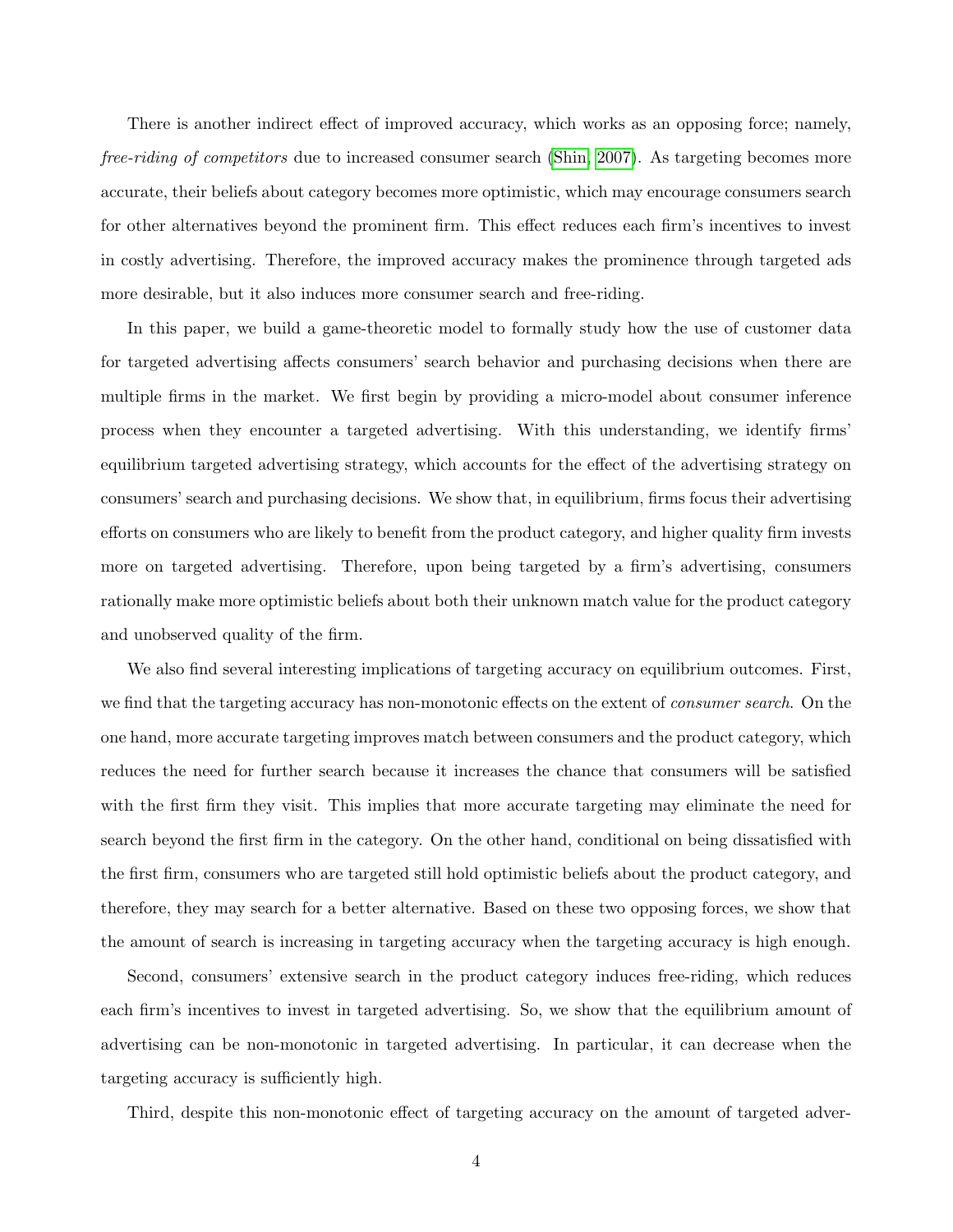There is another indirect effect of improved accuracy, which works as an opposing force; namely, free-riding of competitors due to increased consumer search [\(Shin, 2007\)](#page-48-3). As targeting becomes more accurate, their beliefs about category becomes more optimistic, which may encourage consumers search for other alternatives beyond the prominent firm. This effect reduces each firm's incentives to invest in costly advertising. Therefore, the improved accuracy makes the prominence through targeted ads more desirable, but it also induces more consumer search and free-riding.

In this paper, we build a game-theoretic model to formally study how the use of customer data for targeted advertising affects consumers' search behavior and purchasing decisions when there are multiple firms in the market. We first begin by providing a micro-model about consumer inference process when they encounter a targeted advertising. With this understanding, we identify firms' equilibrium targeted advertising strategy, which accounts for the effect of the advertising strategy on consumers' search and purchasing decisions. We show that, in equilibrium, firms focus their advertising efforts on consumers who are likely to benefit from the product category, and higher quality firm invests more on targeted advertising. Therefore, upon being targeted by a firm's advertising, consumers rationally make more optimistic beliefs about both their unknown match value for the product category and unobserved quality of the firm.

We also find several interesting implications of targeting accuracy on equilibrium outcomes. First, we find that the targeting accuracy has non-monotonic effects on the extent of *consumer search*. On the one hand, more accurate targeting improves match between consumers and the product category, which reduces the need for further search because it increases the chance that consumers will be satisfied with the first firm they visit. This implies that more accurate targeting may eliminate the need for search beyond the first firm in the category. On the other hand, conditional on being dissatisfied with the first firm, consumers who are targeted still hold optimistic beliefs about the product category, and therefore, they may search for a better alternative. Based on these two opposing forces, we show that the amount of search is increasing in targeting accuracy when the targeting accuracy is high enough.

Second, consumers' extensive search in the product category induces free-riding, which reduces each firm's incentives to invest in targeted advertising. So, we show that the equilibrium amount of advertising can be non-monotonic in targeted advertising. In particular, it can decrease when the targeting accuracy is sufficiently high.

Third, despite this non-monotonic effect of targeting accuracy on the amount of targeted adver-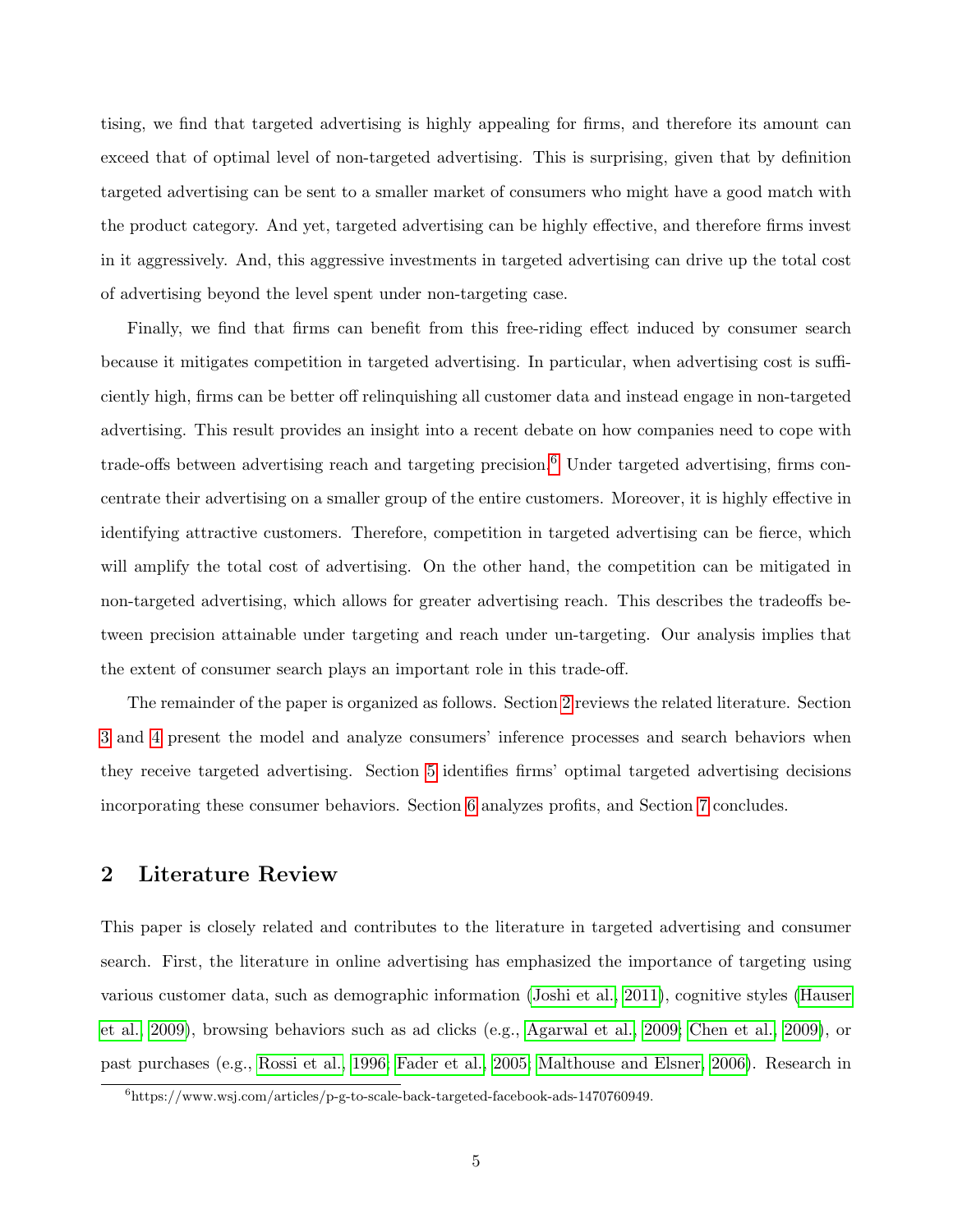tising, we find that targeted advertising is highly appealing for firms, and therefore its amount can exceed that of optimal level of non-targeted advertising. This is surprising, given that by definition targeted advertising can be sent to a smaller market of consumers who might have a good match with the product category. And yet, targeted advertising can be highly effective, and therefore firms invest in it aggressively. And, this aggressive investments in targeted advertising can drive up the total cost of advertising beyond the level spent under non-targeting case.

Finally, we find that firms can benefit from this free-riding effect induced by consumer search because it mitigates competition in targeted advertising. In particular, when advertising cost is sufficiently high, firms can be better off relinquishing all customer data and instead engage in non-targeted advertising. This result provides an insight into a recent debate on how companies need to cope with trade-offs between advertising reach and targeting precision.<sup>[6](#page-5-0)</sup> Under targeted advertising, firms concentrate their advertising on a smaller group of the entire customers. Moreover, it is highly effective in identifying attractive customers. Therefore, competition in targeted advertising can be fierce, which will amplify the total cost of advertising. On the other hand, the competition can be mitigated in non-targeted advertising, which allows for greater advertising reach. This describes the tradeoffs between precision attainable under targeting and reach under un-targeting. Our analysis implies that the extent of consumer search plays an important role in this trade-off.

The remainder of the paper is organized as follows. Section [2](#page-5-1) reviews the related literature. Section [3](#page-8-0) and [4](#page-14-0) present the model and analyze consumers' inference processes and search behaviors when they receive targeted advertising. Section [5](#page-23-0) identifies firms' optimal targeted advertising decisions incorporating these consumer behaviors. Section [6](#page-30-0) analyzes profits, and Section [7](#page-31-0) concludes.

# <span id="page-5-1"></span>2 Literature Review

This paper is closely related and contributes to the literature in targeted advertising and consumer search. First, the literature in online advertising has emphasized the importance of targeting using various customer data, such as demographic information [\(Joshi et al., 2011\)](#page-47-1), cognitive styles [\(Hauser](#page-47-7) [et al., 2009\)](#page-47-7), browsing behaviors such as ad clicks (e.g., [Agarwal et al., 2009;](#page-46-5) [Chen et al., 2009\)](#page-46-6), or past purchases (e.g., [Rossi et al., 1996;](#page-48-5) [Fader et al., 2005;](#page-47-8) [Malthouse and Elsner, 2006\)](#page-48-6). Research in

<span id="page-5-0"></span><sup>6</sup>https://www.wsj.com/articles/p-g-to-scale-back-targeted-facebook-ads-1470760949.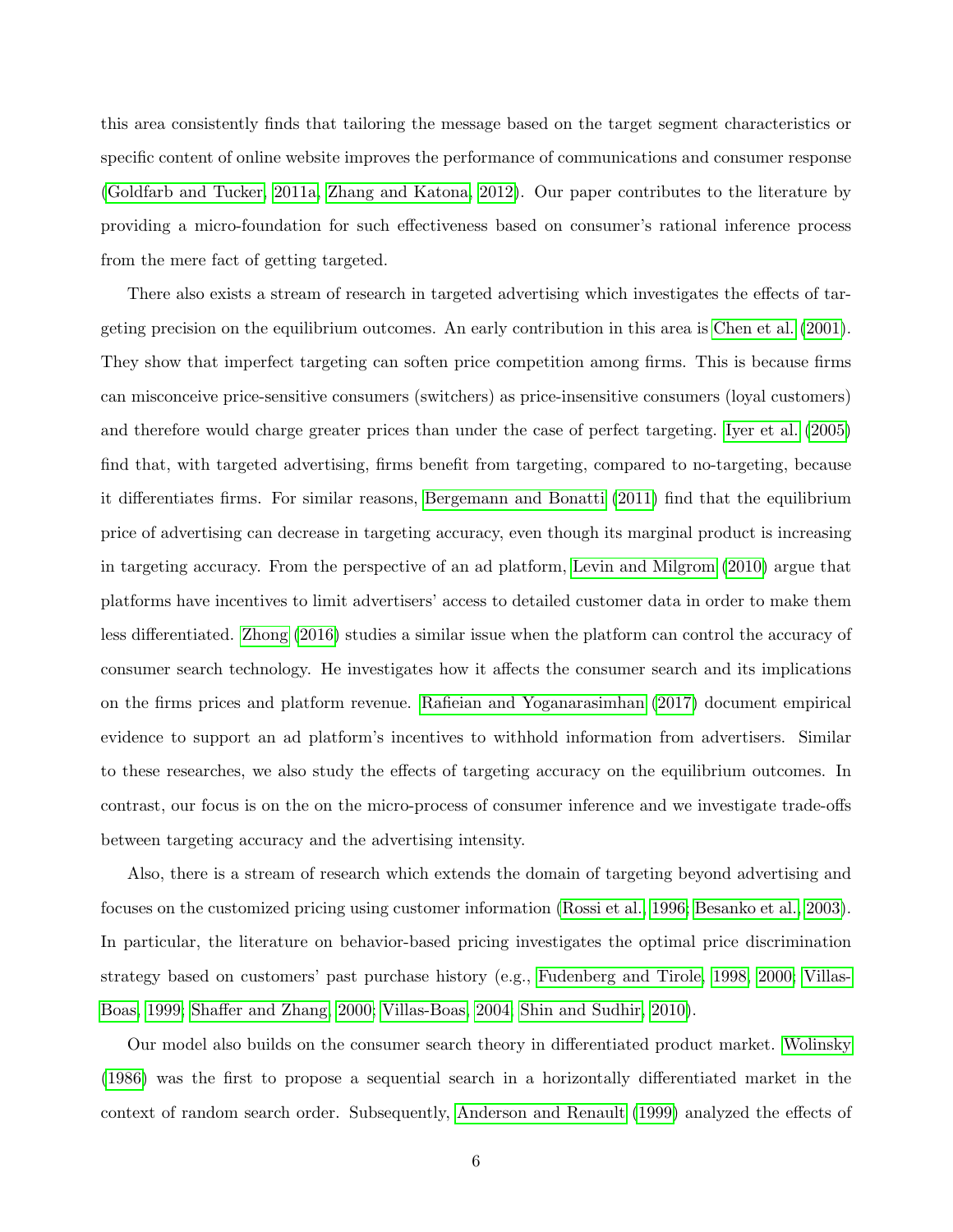this area consistently finds that tailoring the message based on the target segment characteristics or specific content of online website improves the performance of communications and consumer response [\(Goldfarb and Tucker, 2011a,](#page-47-3) [Zhang and Katona, 2012\)](#page-49-1). Our paper contributes to the literature by providing a micro-foundation for such effectiveness based on consumer's rational inference process from the mere fact of getting targeted.

There also exists a stream of research in targeted advertising which investigates the effects of targeting precision on the equilibrium outcomes. An early contribution in this area is [Chen et al. \(2001\)](#page-46-7). They show that imperfect targeting can soften price competition among firms. This is because firms can misconceive price-sensitive consumers (switchers) as price-insensitive consumers (loyal customers) and therefore would charge greater prices than under the case of perfect targeting. [Iyer et al. \(2005\)](#page-47-9) find that, with targeted advertising, firms benefit from targeting, compared to no-targeting, because it differentiates firms. For similar reasons, [Bergemann and Bonatti \(2011\)](#page-46-8) find that the equilibrium price of advertising can decrease in targeting accuracy, even though its marginal product is increasing in targeting accuracy. From the perspective of an ad platform, [Levin and Milgrom \(2010\)](#page-48-7) argue that platforms have incentives to limit advertisers' access to detailed customer data in order to make them less differentiated. [Zhong \(2016\)](#page-49-2) studies a similar issue when the platform can control the accuracy of consumer search technology. He investigates how it affects the consumer search and its implications on the firms prices and platform revenue. [Rafieian and Yoganarasimhan \(2017\)](#page-48-8) document empirical evidence to support an ad platform's incentives to withhold information from advertisers. Similar to these researches, we also study the effects of targeting accuracy on the equilibrium outcomes. In contrast, our focus is on the on the micro-process of consumer inference and we investigate trade-offs between targeting accuracy and the advertising intensity.

Also, there is a stream of research which extends the domain of targeting beyond advertising and focuses on the customized pricing using customer information [\(Rossi et al., 1996;](#page-48-5) [Besanko et al., 2003\)](#page-46-9). In particular, the literature on behavior-based pricing investigates the optimal price discrimination strategy based on customers' past purchase history (e.g., [Fudenberg and Tirole, 1998,](#page-47-10) [2000;](#page-47-11) [Villas-](#page-48-9)[Boas, 1999;](#page-48-9) [Shaffer and Zhang, 2000;](#page-48-10) [Villas-Boas, 2004;](#page-48-11) [Shin and Sudhir, 2010\)](#page-48-12).

Our model also builds on the consumer search theory in differentiated product market. [Wolinsky](#page-48-13) [\(1986\)](#page-48-13) was the first to propose a sequential search in a horizontally differentiated market in the context of random search order. Subsequently, [Anderson and Renault \(1999\)](#page-46-10) analyzed the effects of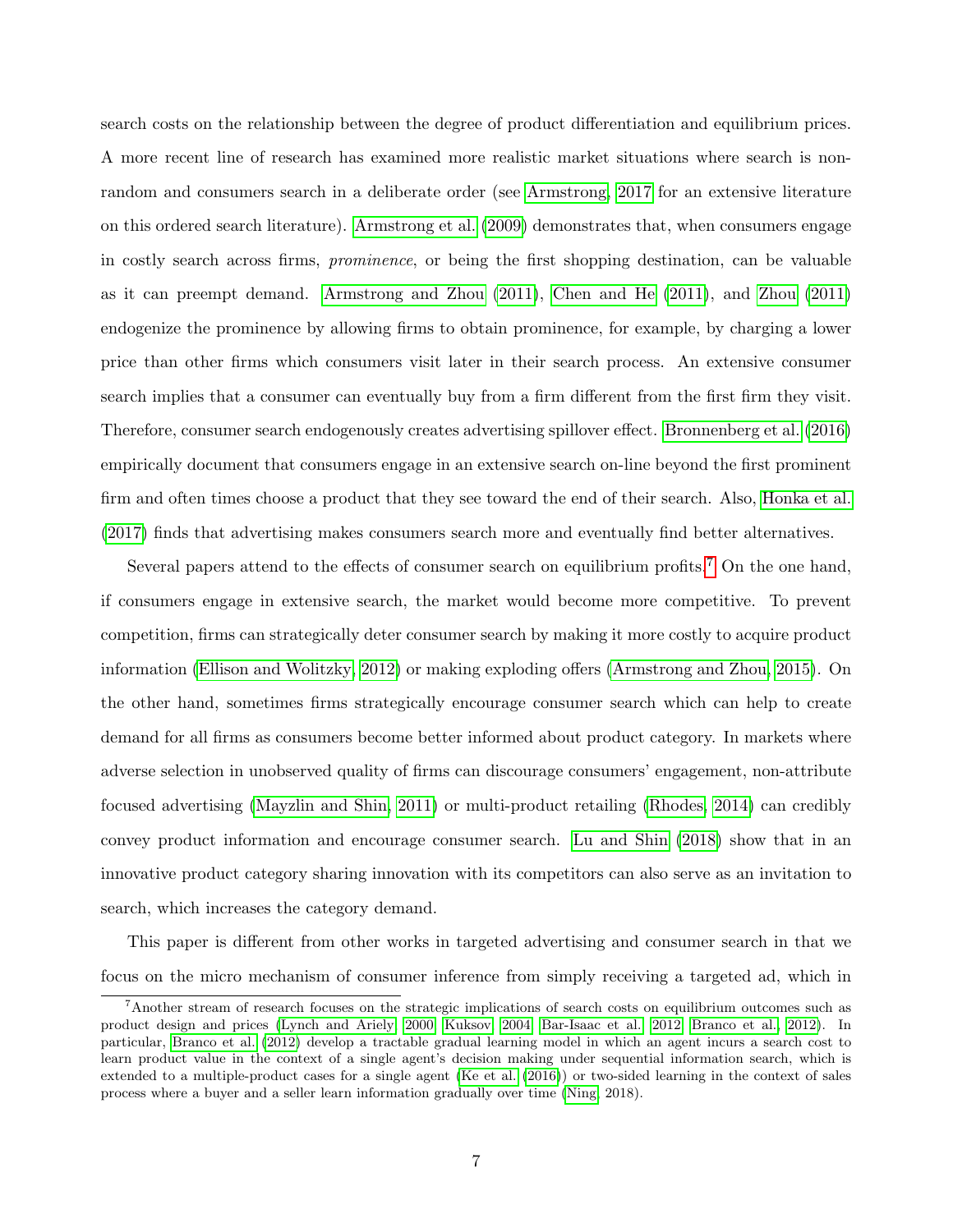search costs on the relationship between the degree of product differentiation and equilibrium prices. A more recent line of research has examined more realistic market situations where search is nonrandom and consumers search in a deliberate order (see [Armstrong, 2017](#page-46-11) for an extensive literature on this ordered search literature). [Armstrong et al. \(2009\)](#page-46-3) demonstrates that, when consumers engage in costly search across firms, prominence, or being the first shopping destination, can be valuable as it can preempt demand. [Armstrong and Zhou \(2011\)](#page-46-4), [Chen and He \(2011\)](#page-46-12), and [Zhou \(2011\)](#page-49-3) endogenize the prominence by allowing firms to obtain prominence, for example, by charging a lower price than other firms which consumers visit later in their search process. An extensive consumer search implies that a consumer can eventually buy from a firm different from the first firm they visit. Therefore, consumer search endogenously creates advertising spillover effect. [Bronnenberg et al. \(2016\)](#page-46-13) empirically document that consumers engage in an extensive search on-line beyond the first prominent firm and often times choose a product that they see toward the end of their search. Also, [Honka et al.](#page-47-12) [\(2017\)](#page-47-12) finds that advertising makes consumers search more and eventually find better alternatives.

Several papers attend to the effects of consumer search on equilibrium profits.<sup>[7](#page-7-0)</sup> On the one hand, if consumers engage in extensive search, the market would become more competitive. To prevent competition, firms can strategically deter consumer search by making it more costly to acquire product information [\(Ellison and Wolitzky, 2012\)](#page-47-13) or making exploding offers [\(Armstrong and Zhou, 2015\)](#page-46-14). On the other hand, sometimes firms strategically encourage consumer search which can help to create demand for all firms as consumers become better informed about product category. In markets where adverse selection in unobserved quality of firms can discourage consumers' engagement, non-attribute focused advertising [\(Mayzlin and Shin, 2011\)](#page-48-14) or multi-product retailing [\(Rhodes, 2014\)](#page-48-15) can credibly convey product information and encourage consumer search. [Lu and Shin \(2018\)](#page-48-2) show that in an innovative product category sharing innovation with its competitors can also serve as an invitation to search, which increases the category demand.

This paper is different from other works in targeted advertising and consumer search in that we focus on the micro mechanism of consumer inference from simply receiving a targeted ad, which in

<span id="page-7-0"></span><sup>7</sup>Another stream of research focuses on the strategic implications of search costs on equilibrium outcomes such as product design and prices [\(Lynch and Ariely, 2000;](#page-48-16) [Kuksov, 2004;](#page-47-14) [Bar-Isaac et al., 2012;](#page-46-15) [Branco et al., 2012\)](#page-46-16). In particular, [Branco et al. \(2012\)](#page-46-16) develop a tractable gradual learning model in which an agent incurs a search cost to learn product value in the context of a single agent's decision making under sequential information search, which is extended to a multiple-product cases for a single agent [\(Ke et al. \(2016\)](#page-47-15)) or two-sided learning in the context of sales process where a buyer and a seller learn information gradually over time [\(Ning,](#page-48-17) 2018).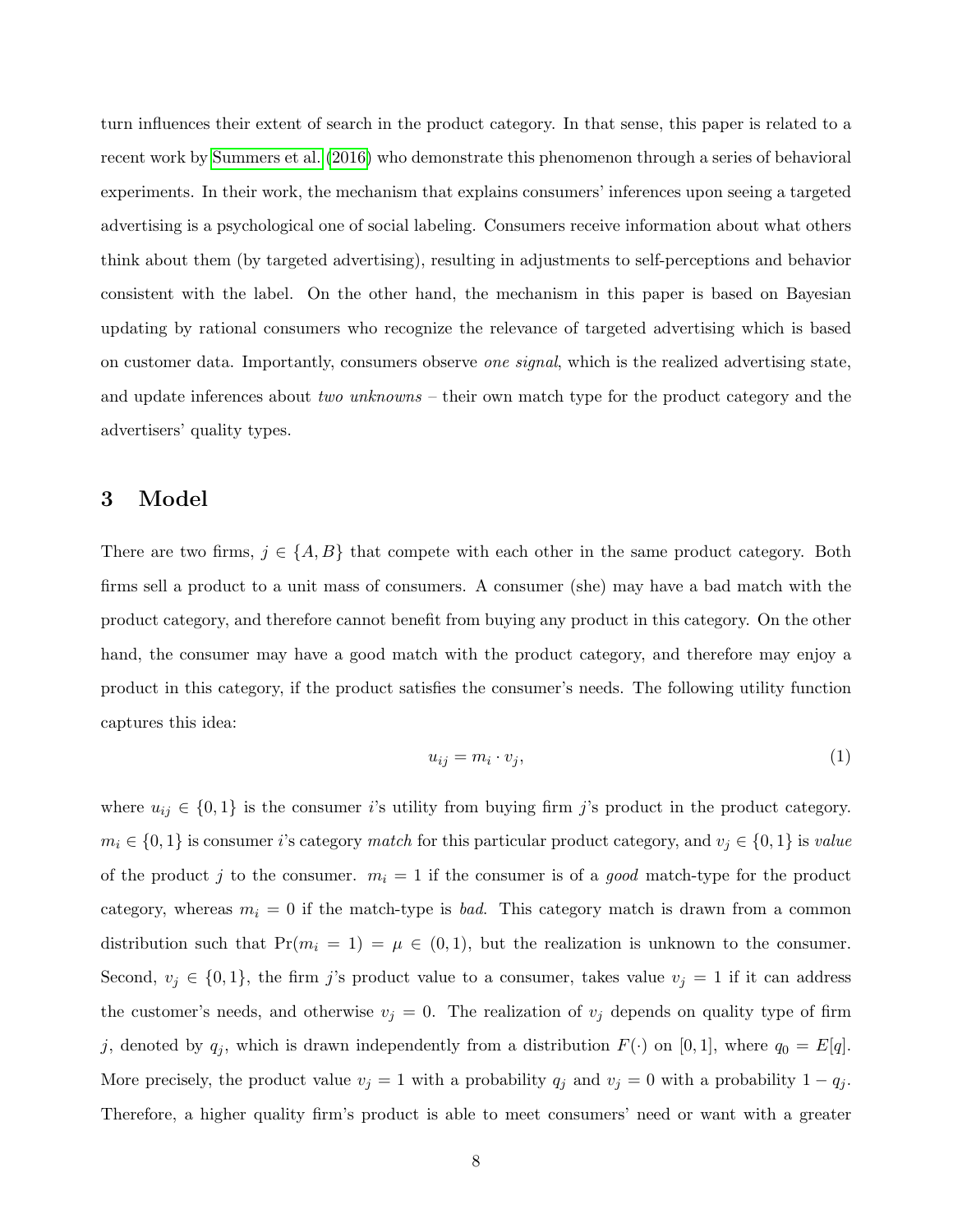turn influences their extent of search in the product category. In that sense, this paper is related to a recent work by [Summers et al. \(2016\)](#page-48-0) who demonstrate this phenomenon through a series of behavioral experiments. In their work, the mechanism that explains consumers' inferences upon seeing a targeted advertising is a psychological one of social labeling. Consumers receive information about what others think about them (by targeted advertising), resulting in adjustments to self-perceptions and behavior consistent with the label. On the other hand, the mechanism in this paper is based on Bayesian updating by rational consumers who recognize the relevance of targeted advertising which is based on customer data. Importantly, consumers observe one signal, which is the realized advertising state, and update inferences about two unknowns – their own match type for the product category and the advertisers' quality types.

## <span id="page-8-0"></span>3 Model

There are two firms,  $j \in \{A, B\}$  that compete with each other in the same product category. Both firms sell a product to a unit mass of consumers. A consumer (she) may have a bad match with the product category, and therefore cannot benefit from buying any product in this category. On the other hand, the consumer may have a good match with the product category, and therefore may enjoy a product in this category, if the product satisfies the consumer's needs. The following utility function captures this idea:

$$
u_{ij} = m_i \cdot v_j,\tag{1}
$$

where  $u_{ij} \in \{0,1\}$  is the consumer is utility from buying firm j's product in the product category.  $m_i \in \{0,1\}$  is consumer i's category match for this particular product category, and  $v_j \in \{0,1\}$  is value of the product j to the consumer.  $m_i = 1$  if the consumer is of a good match-type for the product category, whereas  $m_i = 0$  if the match-type is *bad*. This category match is drawn from a common distribution such that  $Pr(m_i = 1) = \mu \in (0, 1)$ , but the realization is unknown to the consumer. Second,  $v_j \in \{0,1\}$ , the firm j's product value to a consumer, takes value  $v_j = 1$  if it can address the customer's needs, and otherwise  $v_j = 0$ . The realization of  $v_j$  depends on quality type of firm j, denoted by  $q_j$ , which is drawn independently from a distribution  $F(\cdot)$  on [0,1], where  $q_0 = E[q]$ . More precisely, the product value  $v_j = 1$  with a probability  $q_j$  and  $v_j = 0$  with a probability  $1 - q_j$ . Therefore, a higher quality firm's product is able to meet consumers' need or want with a greater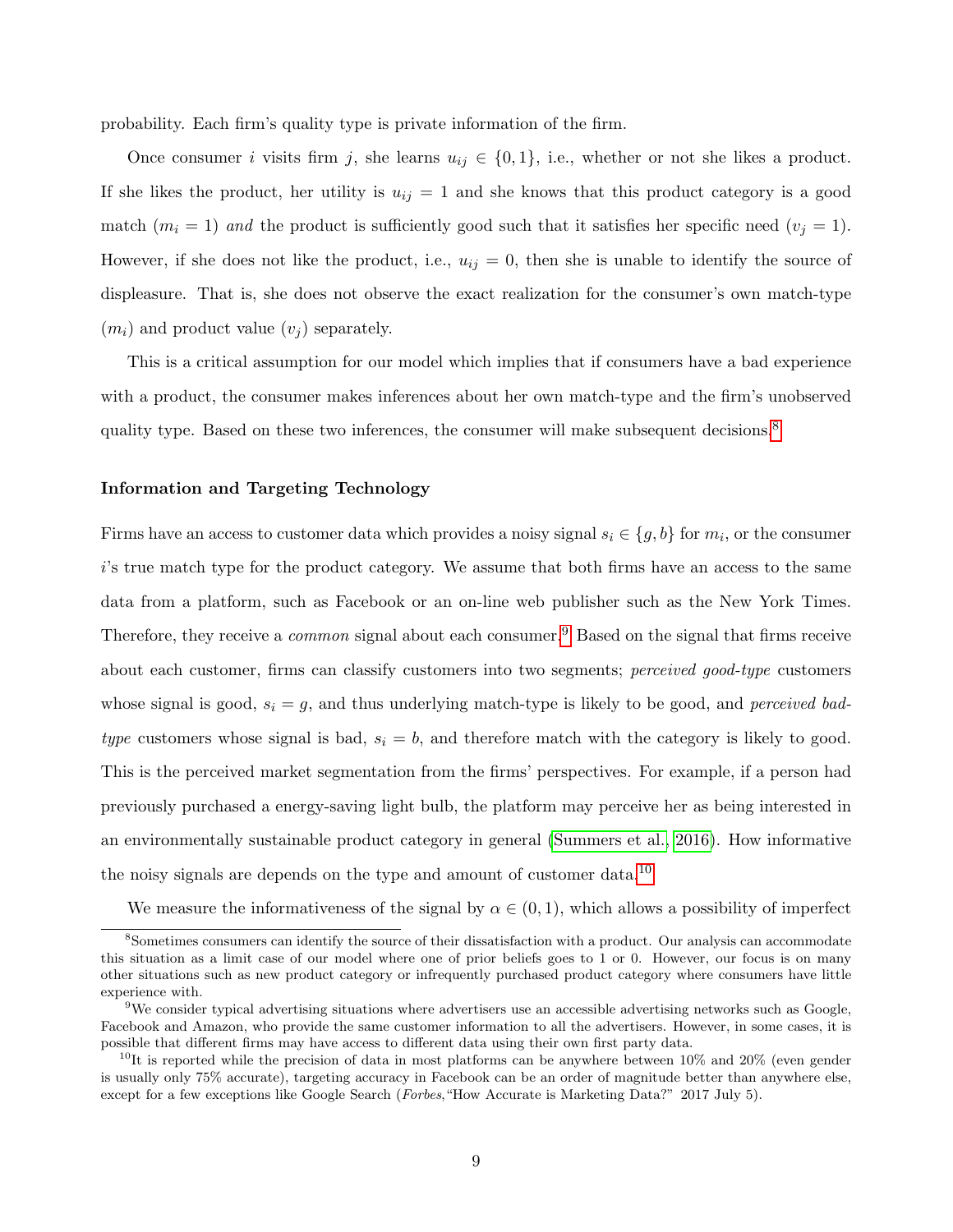probability. Each firm's quality type is private information of the firm.

Once consumer i visits firm j, she learns  $u_{ij} \in \{0,1\}$ , i.e., whether or not she likes a product. If she likes the product, her utility is  $u_{ij} = 1$  and she knows that this product category is a good match  $(m_i = 1)$  and the product is sufficiently good such that it satisfies her specific need  $(v_j = 1)$ . However, if she does not like the product, i.e.,  $u_{ij} = 0$ , then she is unable to identify the source of displeasure. That is, she does not observe the exact realization for the consumer's own match-type  $(m_i)$  and product value  $(v_i)$  separately.

This is a critical assumption for our model which implies that if consumers have a bad experience with a product, the consumer makes inferences about her own match-type and the firm's unobserved quality type. Based on these two inferences, the consumer will make subsequent decisions.<sup>[8](#page-9-0)</sup>

#### Information and Targeting Technology

Firms have an access to customer data which provides a noisy signal  $s_i \in \{g, b\}$  for  $m_i$ , or the consumer i's true match type for the product category. We assume that both firms have an access to the same data from a platform, such as Facebook or an on-line web publisher such as the New York Times. Therefore, they receive a *common* signal about each consumer.<sup>[9](#page-9-1)</sup> Based on the signal that firms receive about each customer, firms can classify customers into two segments; *perceived good-type* customers whose signal is good,  $s_i = g$ , and thus underlying match-type is likely to be good, and *perceived bad*type customers whose signal is bad,  $s_i = b$ , and therefore match with the category is likely to good. This is the perceived market segmentation from the firms' perspectives. For example, if a person had previously purchased a energy-saving light bulb, the platform may perceive her as being interested in an environmentally sustainable product category in general [\(Summers et al., 2016\)](#page-48-0). How informative the noisy signals are depends on the type and amount of customer data.<sup>[10](#page-9-2)</sup>

<span id="page-9-0"></span>We measure the informativeness of the signal by  $\alpha \in (0,1)$ , which allows a possibility of imperfect

<sup>8</sup>Sometimes consumers can identify the source of their dissatisfaction with a product. Our analysis can accommodate this situation as a limit case of our model where one of prior beliefs goes to 1 or 0. However, our focus is on many other situations such as new product category or infrequently purchased product category where consumers have little experience with.

<span id="page-9-1"></span> $9$ We consider typical advertising situations where advertisers use an accessible advertising networks such as Google, Facebook and Amazon, who provide the same customer information to all the advertisers. However, in some cases, it is possible that different firms may have access to different data using their own first party data.

<span id="page-9-2"></span> $10$ It is reported while the precision of data in most platforms can be anywhere between  $10\%$  and  $20\%$  (even gender is usually only 75% accurate), targeting accuracy in Facebook can be an order of magnitude better than anywhere else, except for a few exceptions like Google Search (Forbes, "How Accurate is Marketing Data?" 2017 July 5).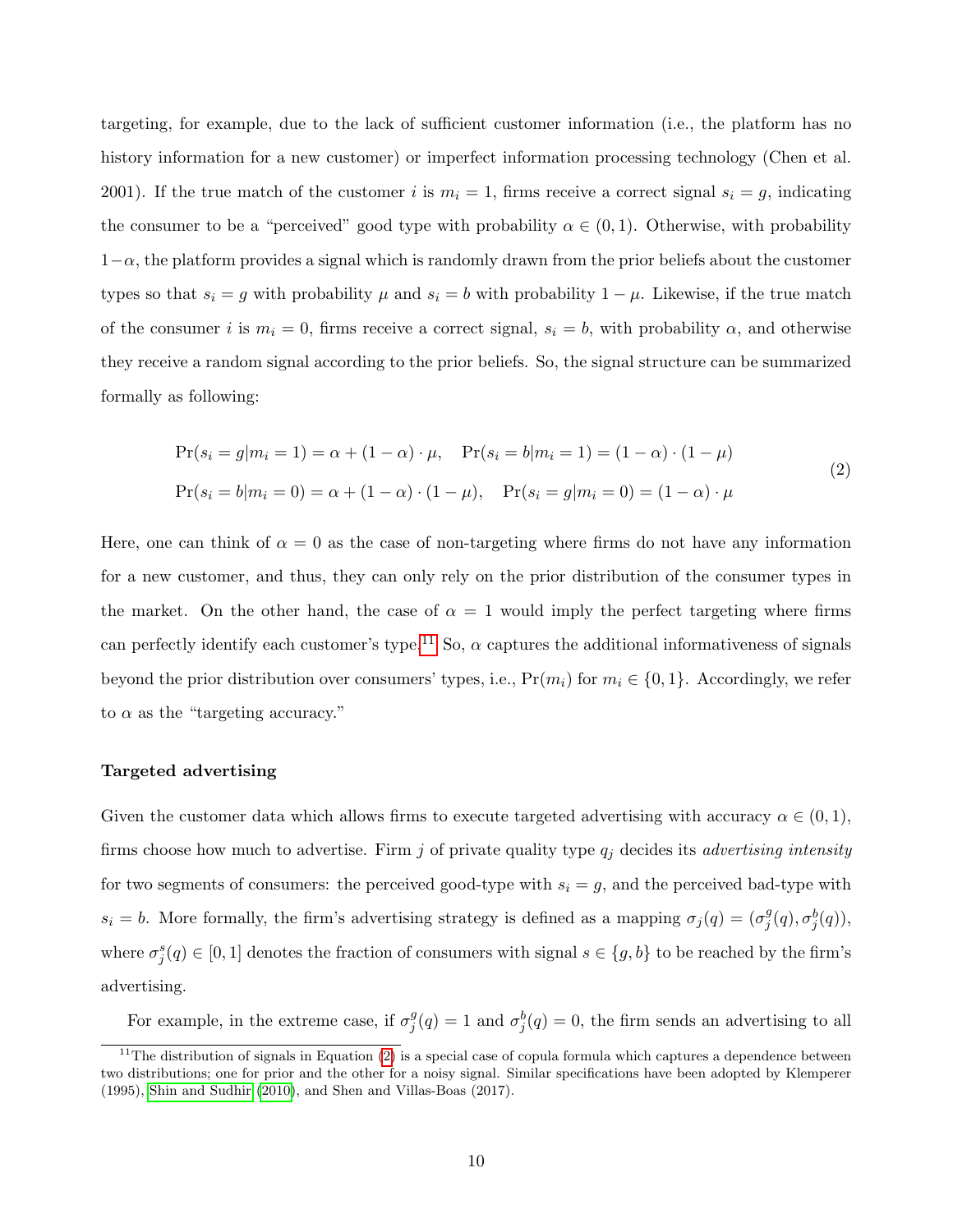targeting, for example, due to the lack of sufficient customer information (i.e., the platform has no history information for a new customer) or imperfect information processing technology (Chen et al. 2001). If the true match of the customer i is  $m_i = 1$ , firms receive a correct signal  $s_i = g$ , indicating the consumer to be a "perceived" good type with probability  $\alpha \in (0,1)$ . Otherwise, with probability  $1-\alpha$ , the platform provides a signal which is randomly drawn from the prior beliefs about the customer types so that  $s_i = g$  with probability  $\mu$  and  $s_i = b$  with probability  $1 - \mu$ . Likewise, if the true match of the consumer i is  $m_i = 0$ , firms receive a correct signal,  $s_i = b$ , with probability  $\alpha$ , and otherwise they receive a random signal according to the prior beliefs. So, the signal structure can be summarized formally as following:

<span id="page-10-1"></span>
$$
\Pr(s_i = g | m_i = 1) = \alpha + (1 - \alpha) \cdot \mu, \quad \Pr(s_i = b | m_i = 1) = (1 - \alpha) \cdot (1 - \mu)
$$
  

$$
\Pr(s_i = b | m_i = 0) = \alpha + (1 - \alpha) \cdot (1 - \mu), \quad \Pr(s_i = g | m_i = 0) = (1 - \alpha) \cdot \mu
$$
 (2)

Here, one can think of  $\alpha = 0$  as the case of non-targeting where firms do not have any information for a new customer, and thus, they can only rely on the prior distribution of the consumer types in the market. On the other hand, the case of  $\alpha = 1$  would imply the perfect targeting where firms can perfectly identify each customer's type.<sup>[11](#page-10-0)</sup> So,  $\alpha$  captures the additional informativeness of signals beyond the prior distribution over consumers' types, i.e.,  $Pr(m_i)$  for  $m_i \in \{0, 1\}$ . Accordingly, we refer to  $\alpha$  as the "targeting accuracy."

#### Targeted advertising

Given the customer data which allows firms to execute targeted advertising with accuracy  $\alpha \in (0,1)$ , firms choose how much to advertise. Firm j of private quality type  $q_j$  decides its *advertising intensity* for two segments of consumers: the perceived good-type with  $s_i = g$ , and the perceived bad-type with  $s_i = b$ . More formally, the firm's advertising strategy is defined as a mapping  $\sigma_i(q) = (\sigma_i^g)$  $_{j}^{g}(q),\sigma_{j}^{b}(q)),$ where  $\sigma_j^s(q) \in [0,1]$  denotes the fraction of consumers with signal  $s \in \{g, b\}$  to be reached by the firm's advertising.

For example, in the extreme case, if  $\sigma_i^g$  $j^g(q) = 1$  and  $\sigma_j^b(q) = 0$ , the firm sends an advertising to all

<span id="page-10-0"></span><sup>&</sup>lt;sup>11</sup>The distribution of signals in Equation [\(2\)](#page-10-1) is a special case of copula formula which captures a dependence between two distributions; one for prior and the other for a noisy signal. Similar specifications have been adopted by Klemperer (1995), [Shin and Sudhir \(2010\)](#page-48-12), and Shen and Villas-Boas (2017).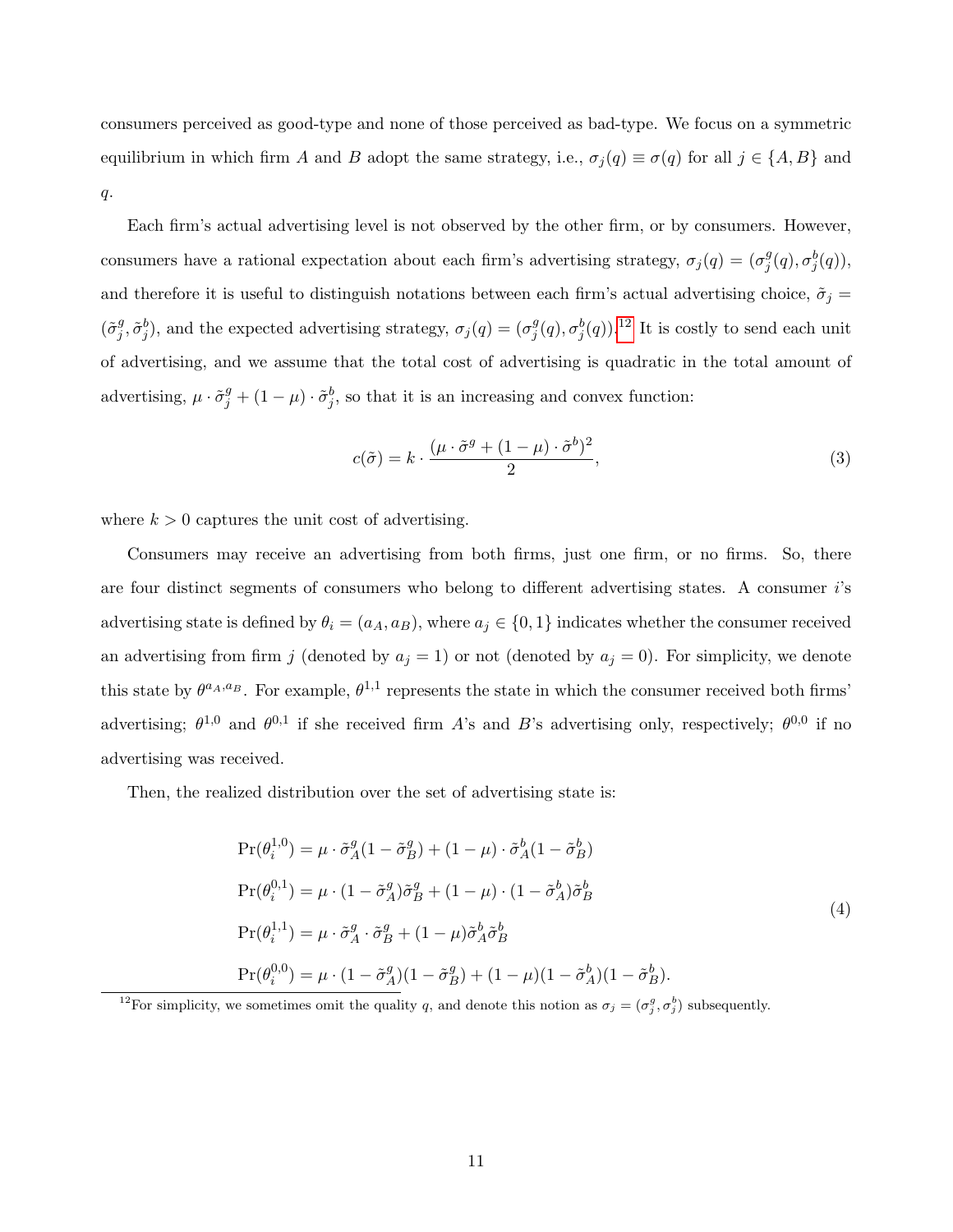consumers perceived as good-type and none of those perceived as bad-type. We focus on a symmetric equilibrium in which firm A and B adopt the same strategy, i.e.,  $\sigma_j(q) \equiv \sigma(q)$  for all  $j \in \{A, B\}$  and  $q$ .

Each firm's actual advertising level is not observed by the other firm, or by consumers. However, consumers have a rational expectation about each firm's advertising strategy,  $\sigma_j(q) = (\sigma_j^g)$  $_j^g(q), \sigma_j^b(q)),$ and therefore it is useful to distinguish notations between each firm's actual advertising choice,  $\tilde{\sigma}_j =$  $\left(\tilde{\sigma}_{i}^{g}\right)$  $(j, \tilde{\sigma}_j^b)$ , and the expected advertising strategy,  $\sigma_j(q) = (\sigma_j^g)$  $j^g(q), \sigma_j^b(q)$ .<sup>[12](#page-11-0)</sup> It is costly to send each unit of advertising, and we assume that the total cost of advertising is quadratic in the total amount of advertising,  $\mu \cdot \tilde{\sigma}_j^g + (1 - \mu) \cdot \tilde{\sigma}_j^b$ , so that it is an increasing and convex function:

$$
c(\tilde{\sigma}) = k \cdot \frac{(\mu \cdot \tilde{\sigma}^g + (1 - \mu) \cdot \tilde{\sigma}^b)^2}{2},
$$
\n(3)

where  $k > 0$  captures the unit cost of advertising.

Consumers may receive an advertising from both firms, just one firm, or no firms. So, there are four distinct segments of consumers who belong to different advertising states. A consumer i's advertising state is defined by  $\theta_i = (a_A, a_B)$ , where  $a_j \in \{0, 1\}$  indicates whether the consumer received an advertising from firm j (denoted by  $a_j = 1$ ) or not (denoted by  $a_j = 0$ ). For simplicity, we denote this state by  $\theta^{a_A,a_B}$ . For example,  $\theta^{1,1}$  represents the state in which the consumer received both firms' advertising;  $\theta^{1,0}$  and  $\theta^{0,1}$  if she received firm A's and B's advertising only, respectively;  $\theta^{0,0}$  if no advertising was received.

Then, the realized distribution over the set of advertising state is:

$$
\Pr(\theta_i^{1,0}) = \mu \cdot \tilde{\sigma}_A^g (1 - \tilde{\sigma}_B^g) + (1 - \mu) \cdot \tilde{\sigma}_A^b (1 - \tilde{\sigma}_B^b)
$$
  
\n
$$
\Pr(\theta_i^{0,1}) = \mu \cdot (1 - \tilde{\sigma}_A^g) \tilde{\sigma}_B^g + (1 - \mu) \cdot (1 - \tilde{\sigma}_A^b) \tilde{\sigma}_B^b
$$
  
\n
$$
\Pr(\theta_i^{1,1}) = \mu \cdot \tilde{\sigma}_A^g \cdot \tilde{\sigma}_B^g + (1 - \mu) \tilde{\sigma}_A^b \tilde{\sigma}_B^b
$$
  
\n
$$
\Pr(\theta_i^{0,0}) = \mu \cdot (1 - \tilde{\sigma}_A^g) (1 - \tilde{\sigma}_B^g) + (1 - \mu) (1 - \tilde{\sigma}_A^b) (1 - \tilde{\sigma}_B^b).
$$
\n(4)

<span id="page-11-0"></span><sup>12</sup>For simplicity, we sometimes omit the quality q, and denote this notion as  $\sigma_j = (\sigma_j^g, \sigma_j^b)$  subsequently.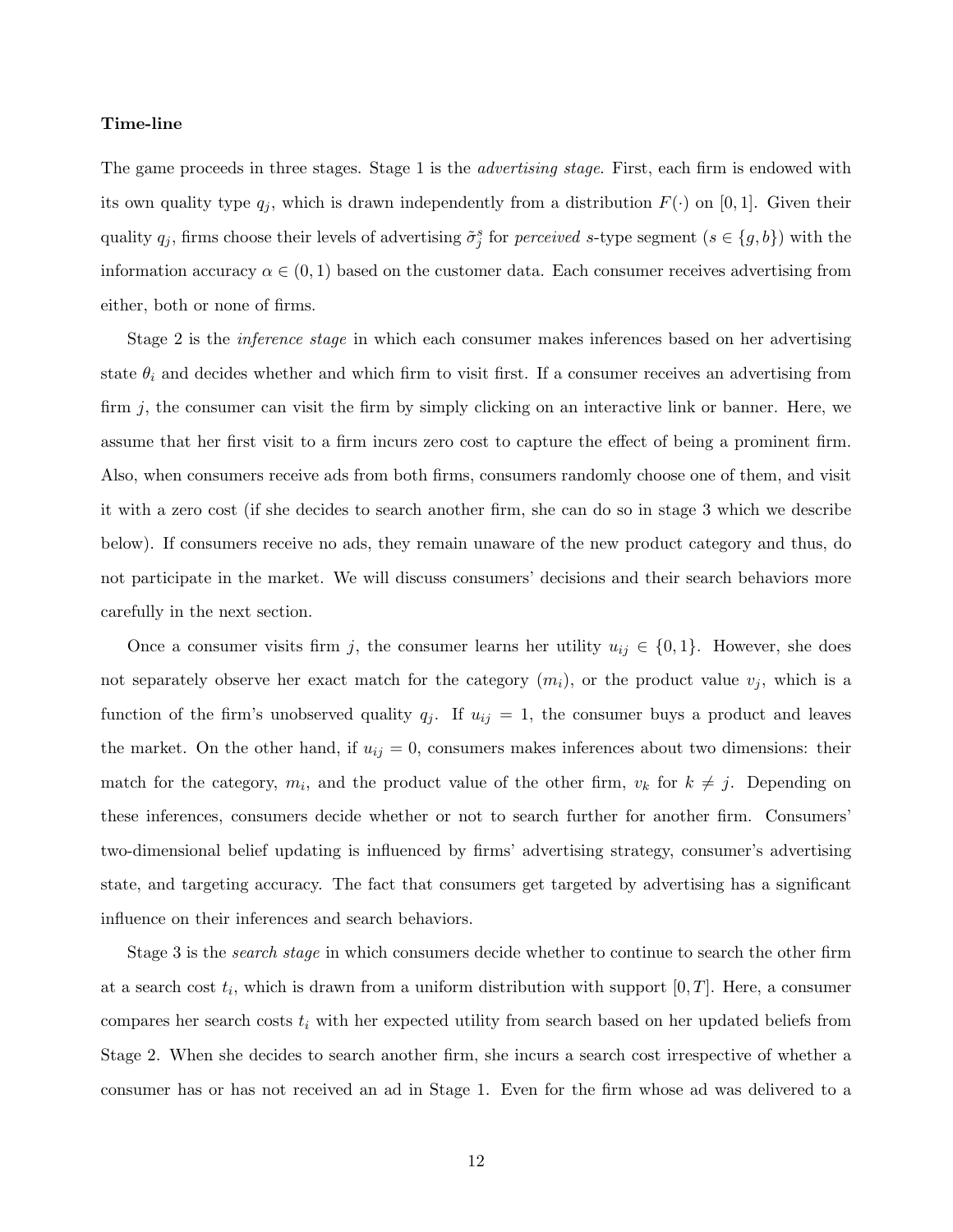#### Time-line

The game proceeds in three stages. Stage 1 is the *advertising stage*. First, each firm is endowed with its own quality type  $q_j$ , which is drawn independently from a distribution  $F(\cdot)$  on [0, 1]. Given their quality  $q_j$ , firms choose their levels of advertising  $\tilde{\sigma}_j^s$  for *perceived* s-type segment  $(s \in \{g, b\})$  with the information accuracy  $\alpha \in (0,1)$  based on the customer data. Each consumer receives advertising from either, both or none of firms.

Stage 2 is the *inference stage* in which each consumer makes inferences based on her advertising state  $\theta_i$  and decides whether and which firm to visit first. If a consumer receives an advertising from firm j, the consumer can visit the firm by simply clicking on an interactive link or banner. Here, we assume that her first visit to a firm incurs zero cost to capture the effect of being a prominent firm. Also, when consumers receive ads from both firms, consumers randomly choose one of them, and visit it with a zero cost (if she decides to search another firm, she can do so in stage 3 which we describe below). If consumers receive no ads, they remain unaware of the new product category and thus, do not participate in the market. We will discuss consumers' decisions and their search behaviors more carefully in the next section.

Once a consumer visits firm j, the consumer learns her utility  $u_{ij} \in \{0,1\}$ . However, she does not separately observe her exact match for the category  $(m_i)$ , or the product value  $v_j$ , which is a function of the firm's unobserved quality  $q_j$ . If  $u_{ij} = 1$ , the consumer buys a product and leaves the market. On the other hand, if  $u_{ij} = 0$ , consumers makes inferences about two dimensions: their match for the category,  $m_i$ , and the product value of the other firm,  $v_k$  for  $k \neq j$ . Depending on these inferences, consumers decide whether or not to search further for another firm. Consumers' two-dimensional belief updating is influenced by firms' advertising strategy, consumer's advertising state, and targeting accuracy. The fact that consumers get targeted by advertising has a significant influence on their inferences and search behaviors.

Stage 3 is the *search* stage in which consumers decide whether to continue to search the other firm at a search cost  $t_i$ , which is drawn from a uniform distribution with support  $[0, T]$ . Here, a consumer compares her search costs  $t_i$  with her expected utility from search based on her updated beliefs from Stage 2. When she decides to search another firm, she incurs a search cost irrespective of whether a consumer has or has not received an ad in Stage 1. Even for the firm whose ad was delivered to a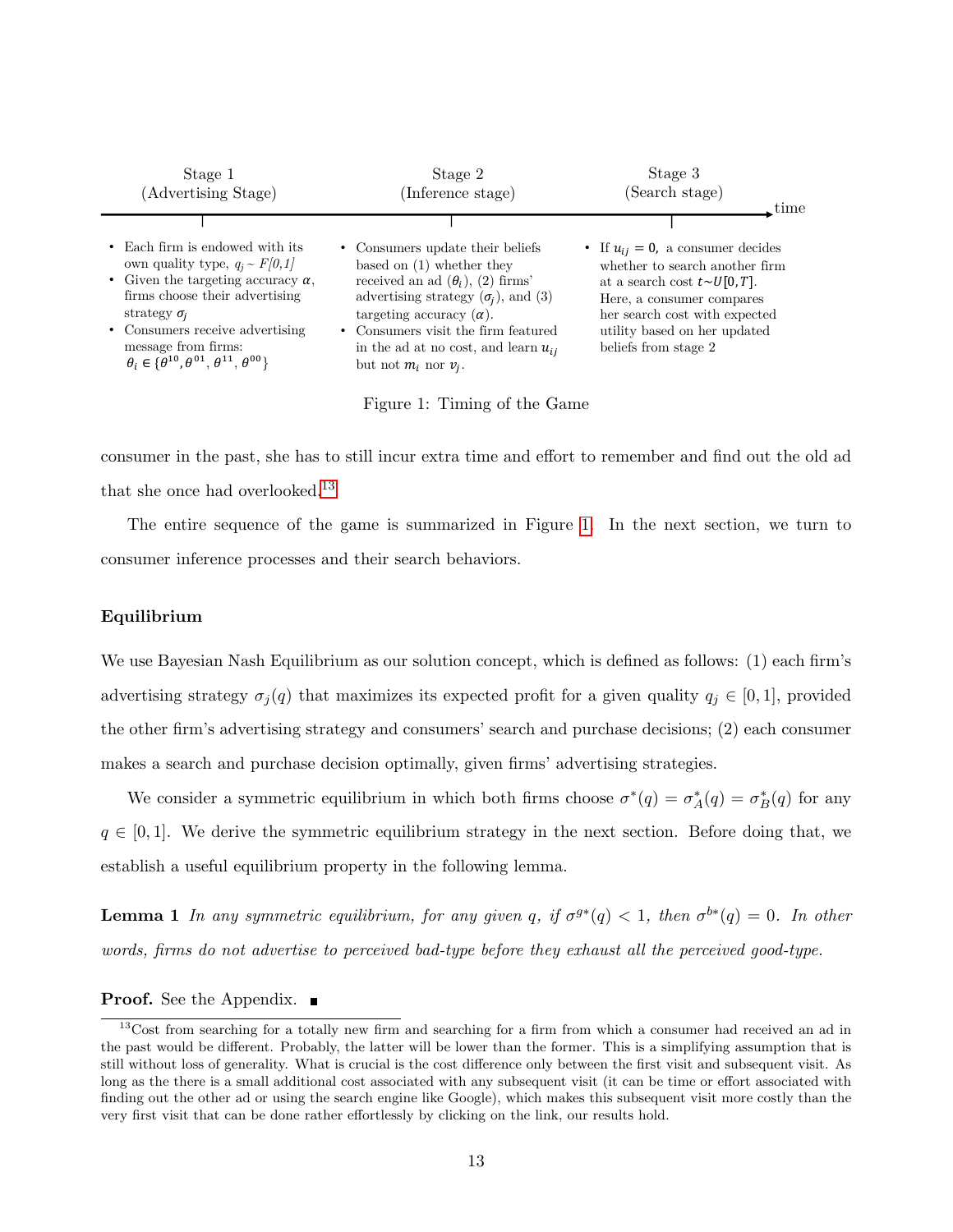<span id="page-13-1"></span>

| Stage 1<br>(Advertising Stage)                                                                                                                                                                                                                                                                                | Stage 2<br>Inference stage)                                                                                                                                                                                                                                                                                   | Stage 3<br>(Search stage)<br>time                                                                                                                                                                                                    |
|---------------------------------------------------------------------------------------------------------------------------------------------------------------------------------------------------------------------------------------------------------------------------------------------------------------|---------------------------------------------------------------------------------------------------------------------------------------------------------------------------------------------------------------------------------------------------------------------------------------------------------------|--------------------------------------------------------------------------------------------------------------------------------------------------------------------------------------------------------------------------------------|
| • Each firm is endowed with its<br>own quality type, $q_i \sim F[0,1]$<br>• Given the targeting accuracy $\alpha$ ,<br>firms choose their advertising<br>strategy $\sigma_i$<br>• Consumers receive advertising<br>message from firms:<br>$\theta_i \in {\theta}^{10}, \theta^{01}, \theta^{11}, \theta^{00}$ | • Consumers update their beliefs<br>based on $(1)$ whether they<br>received an ad $(\theta_i)$ , (2) firms'<br>advertising strategy $(\sigma_i)$ , and (3)<br>targeting accuracy $(\alpha)$ .<br>• Consumers visit the firm featured<br>in the ad at no cost, and learn $u_{ii}$<br>but not $m_i$ nor $v_i$ . | • If $u_{ij} = 0$ , a consumer decides<br>whether to search another firm<br>at a search cost $t \sim U[0,T]$ .<br>Here, a consumer compares<br>her search cost with expected<br>utility based on her updated<br>beliefs from stage 2 |

Figure 1: Timing of the Game

consumer in the past, she has to still incur extra time and effort to remember and find out the old ad that she once had overlooked.<sup>[13](#page-13-0)</sup>

The entire sequence of the game is summarized in Figure [1.](#page-13-1) In the next section, we turn to consumer inference processes and their search behaviors.

### Equilibrium

We use Bayesian Nash Equilibrium as our solution concept, which is defined as follows: (1) each firm's advertising strategy  $\sigma_j(q)$  that maximizes its expected profit for a given quality  $q_j \in [0,1]$ , provided the other firm's advertising strategy and consumers' search and purchase decisions; (2) each consumer makes a search and purchase decision optimally, given firms' advertising strategies.

We consider a symmetric equilibrium in which both firms choose  $\sigma^*(q) = \sigma_A^*(q) = \sigma_B^*(q)$  for any  $q \in [0,1]$ . We derive the symmetric equilibrium strategy in the next section. Before doing that, we establish a useful equilibrium property in the following lemma.

<span id="page-13-2"></span>**Lemma 1** In any symmetric equilibrium, for any given q, if  $\sigma^{g*}(q) < 1$ , then  $\sigma^{b*}(q) = 0$ . In other words, firms do not advertise to perceived bad-type before they exhaust all the perceived good-type.

#### **Proof.** See the Appendix.

<span id="page-13-0"></span><sup>&</sup>lt;sup>13</sup>Cost from searching for a totally new firm and searching for a firm from which a consumer had received an ad in the past would be different. Probably, the latter will be lower than the former. This is a simplifying assumption that is still without loss of generality. What is crucial is the cost difference only between the first visit and subsequent visit. As long as the there is a small additional cost associated with any subsequent visit (it can be time or effort associated with finding out the other ad or using the search engine like Google), which makes this subsequent visit more costly than the very first visit that can be done rather effortlessly by clicking on the link, our results hold.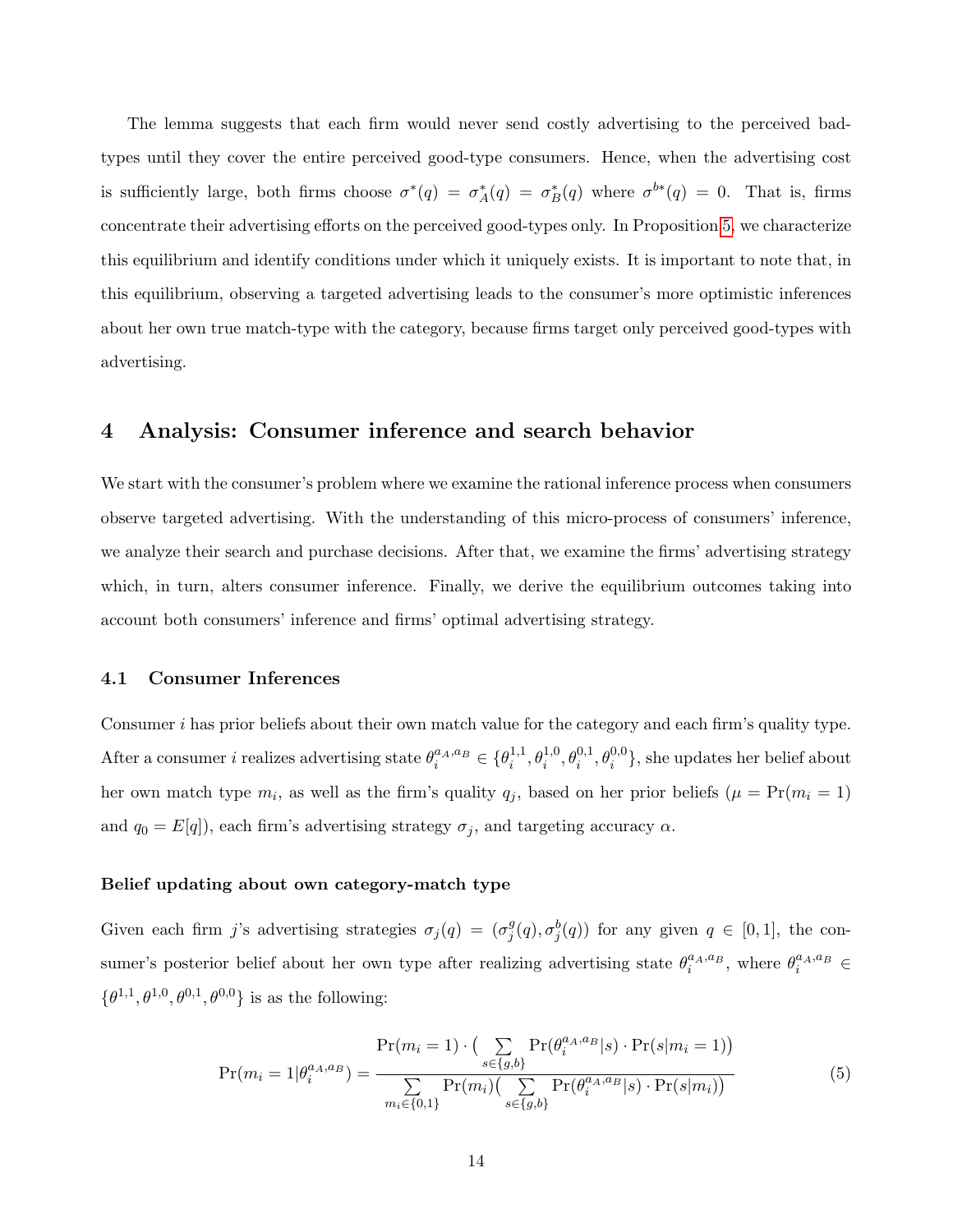The lemma suggests that each firm would never send costly advertising to the perceived badtypes until they cover the entire perceived good-type consumers. Hence, when the advertising cost is sufficiently large, both firms choose  $\sigma^*(q) = \sigma_A^*(q) = \sigma_B^*(q)$  where  $\sigma^{b*}(q) = 0$ . That is, firms concentrate their advertising efforts on the perceived good-types only. In Proposition [5,](#page-27-0) we characterize this equilibrium and identify conditions under which it uniquely exists. It is important to note that, in this equilibrium, observing a targeted advertising leads to the consumer's more optimistic inferences about her own true match-type with the category, because firms target only perceived good-types with advertising.

# <span id="page-14-0"></span>4 Analysis: Consumer inference and search behavior

We start with the consumer's problem where we examine the rational inference process when consumers observe targeted advertising. With the understanding of this micro-process of consumers' inference, we analyze their search and purchase decisions. After that, we examine the firms' advertising strategy which, in turn, alters consumer inference. Finally, we derive the equilibrium outcomes taking into account both consumers' inference and firms' optimal advertising strategy.

#### 4.1 Consumer Inferences

Consumer i has prior beliefs about their own match value for the category and each firm's quality type. After a consumer *i* realizes advertising state  $\theta_i^{a_A, a_B} \in {\theta_i^{1,1}}$  $\{\theta_i^{1,1}, \theta_i^{1,0}, \theta_i^{0,1}, \theta_i^{0,0}\},$  she updates her belief about her own match type  $m_i$ , as well as the firm's quality  $q_j$ , based on her prior beliefs  $(\mu = Pr(m_i = 1))$ and  $q_0 = E[q]$ , each firm's advertising strategy  $\sigma_j$ , and targeting accuracy  $\alpha$ .

#### Belief updating about own category-match type

Given each firm j's advertising strategies  $\sigma_j(q) = (\sigma_j^g)$  $_j^g(q), \sigma_j^b(q)$  for any given  $q \in [0,1]$ , the consumer's posterior belief about her own type after realizing advertising state  $\theta_i^{a_A,a_B}$ , where  $\theta_i^{a_A,a_B}$  $\{\theta^{1,1}, \theta^{1,0}, \theta^{0,1}, \theta^{0,0}\}\$ is as the following:

<span id="page-14-1"></span>
$$
Pr(m_i = 1 | \theta_i^{a_A, a_B}) = \frac{Pr(m_i = 1) \cdot (\sum_{s \in \{g, b\}} Pr(\theta_i^{a_A, a_B} | s) \cdot Pr(s | m_i = 1))}{\sum_{m_i \in \{0, 1\}} Pr(m_i) (\sum_{s \in \{g, b\}} Pr(\theta_i^{a_A, a_B} | s) \cdot Pr(s | m_i))}
$$
(5)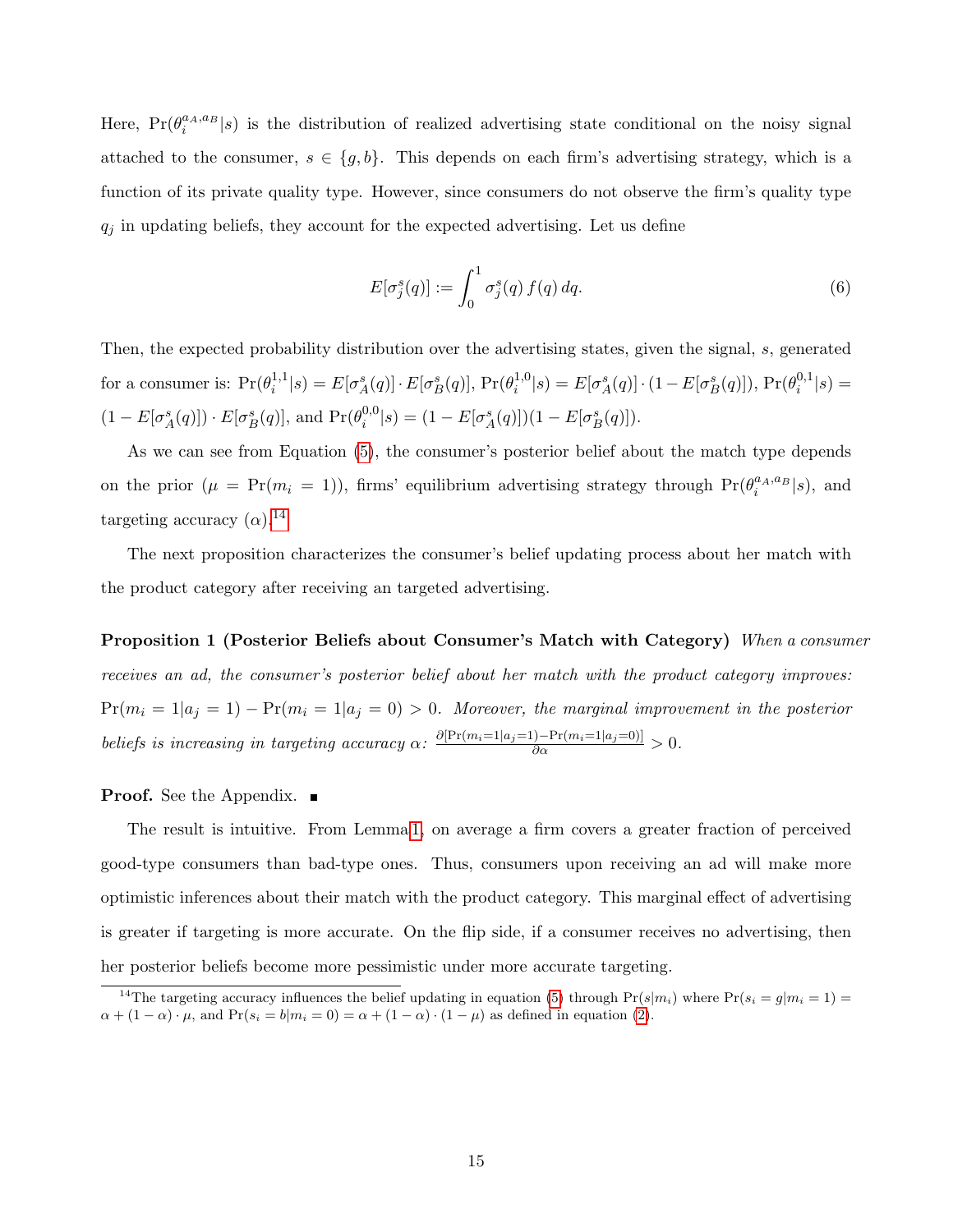Here,  $Pr(\theta_i^{a_A, a_B}|s)$  is the distribution of realized advertising state conditional on the noisy signal attached to the consumer,  $s \in \{g, b\}$ . This depends on each firm's advertising strategy, which is a function of its private quality type. However, since consumers do not observe the firm's quality type  $q_j$  in updating beliefs, they account for the expected advertising. Let us define

$$
E[\sigma_j^s(q)] := \int_0^1 \sigma_j^s(q) f(q) dq.
$$
\n(6)

Then, the expected probability distribution over the advertising states, given the signal, s, generated for a consumer is:  $Pr(\theta_i^{1,1})$  $\hat{L}_i^{1,1}|s) = E[\sigma_A^s(q)] \cdot E[\sigma_B^s(q)], \Pr(\theta_i^{1,0})$  $i^{1,0}(s) = E[\sigma_A^s(q)] \cdot (1 - E[\sigma_B^s(q)]), Pr(\theta_i^{0,1})$  $\binom{0,1}{i}$  s) =  $(1 - E[\sigma_A^s(q)]) \cdot E[\sigma_B^s(q)],$  and  $\Pr(\theta_i^{0,0})$  $i^{0,0}(s) = (1 - E[\sigma_A^s(q)])(1 - E[\sigma_B^s(q)]).$ 

As we can see from Equation [\(5\)](#page-14-1), the consumer's posterior belief about the match type depends on the prior  $(\mu = \Pr(m_i = 1))$ , firms' equilibrium advertising strategy through  $\Pr(\theta_i^{a_A, a_B} | s)$ , and targeting accuracy  $(\alpha)$ .<sup>[14](#page-15-0)</sup>

The next proposition characterizes the consumer's belief updating process about her match with the product category after receiving an targeted advertising.

<span id="page-15-1"></span>Proposition 1 (Posterior Beliefs about Consumer's Match with Category) When a consumer receives an ad, the consumer's posterior belief about her match with the product category improves:  $Pr(m_i = 1|a_j = 1) - Pr(m_i = 1|a_j = 0) > 0$ . Moreover, the marginal improvement in the posterior beliefs is increasing in targeting accuracy  $\alpha$ :  $\frac{\partial [\Pr(m_i=1|a_j=1)-\Pr(m_i=1|a_j=0)]}{\partial \alpha} > 0$ .

**Proof.** See the Appendix. ■

The result is intuitive. From Lemma [1,](#page-13-2) on average a firm covers a greater fraction of perceived good-type consumers than bad-type ones. Thus, consumers upon receiving an ad will make more optimistic inferences about their match with the product category. This marginal effect of advertising is greater if targeting is more accurate. On the flip side, if a consumer receives no advertising, then her posterior beliefs become more pessimistic under more accurate targeting.

<span id="page-15-0"></span><sup>&</sup>lt;sup>14</sup>The targeting accuracy influences the belief updating in equation [\(5\)](#page-14-1) through  $Pr(s|m_i)$  where  $Pr(s_i = g|m_i = 1)$  $\alpha + (1 - \alpha) \cdot \mu$ , and  $Pr(s_i = b | m_i = 0) = \alpha + (1 - \alpha) \cdot (1 - \mu)$  as defined in equation [\(2\)](#page-10-1).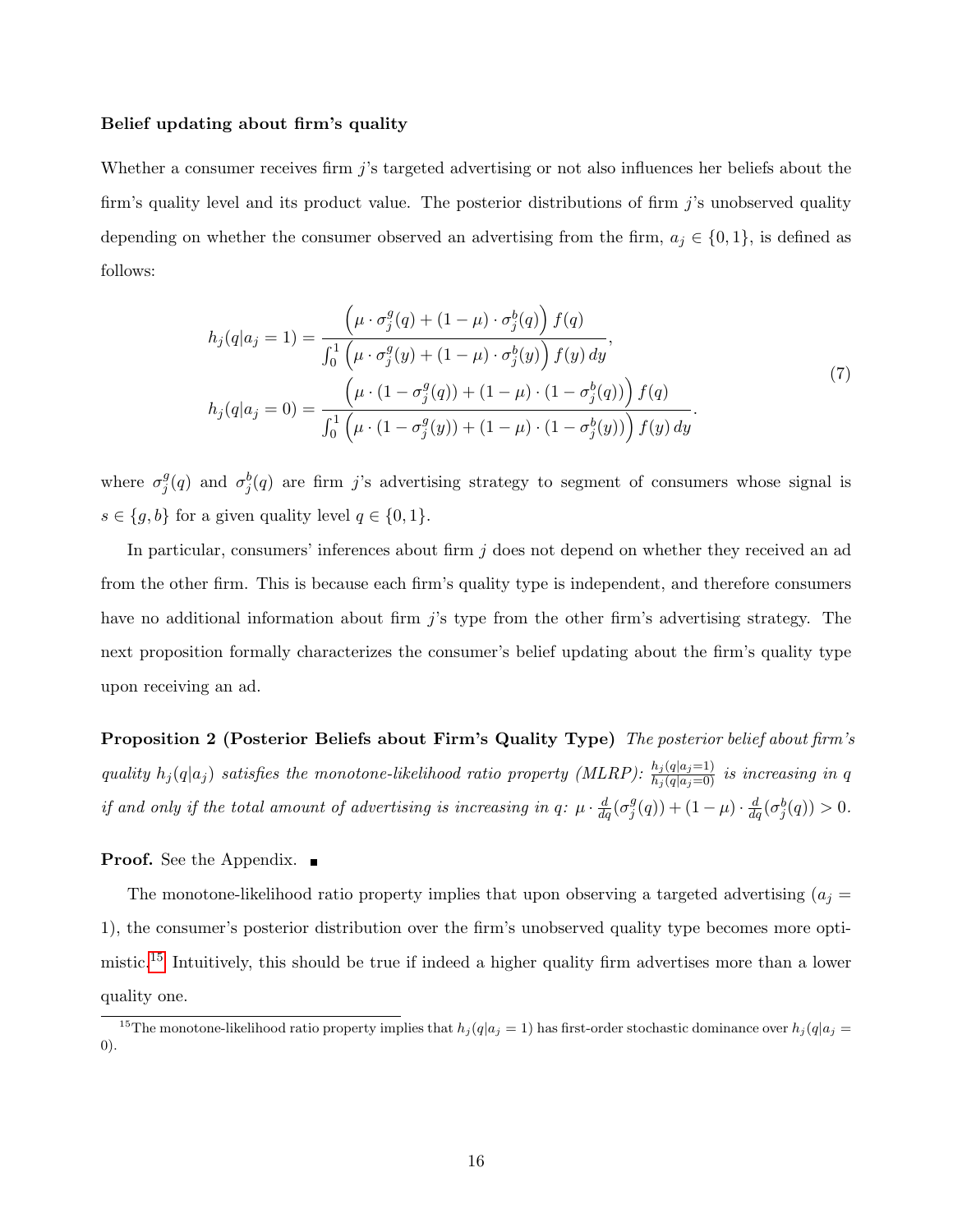#### Belief updating about firm's quality

Whether a consumer receives firm j's targeted advertising or not also influences her beliefs about the firm's quality level and its product value. The posterior distributions of firm j's unobserved quality depending on whether the consumer observed an advertising from the firm,  $a_j \in \{0,1\}$ , is defined as follows:

<span id="page-16-1"></span>
$$
h_j(q|a_j = 1) = \frac{\left(\mu \cdot \sigma_j^g(q) + (1 - \mu) \cdot \sigma_j^b(q)\right) f(q)}{\int_0^1 \left(\mu \cdot \sigma_j^g(y) + (1 - \mu) \cdot \sigma_j^b(y)\right) f(y) dy},
$$
  
\n
$$
h_j(q|a_j = 0) = \frac{\left(\mu \cdot (1 - \sigma_j^g(q)) + (1 - \mu) \cdot (1 - \sigma_j^b(q))\right) f(q)}{\int_0^1 \left(\mu \cdot (1 - \sigma_j^g(y)) + (1 - \mu) \cdot (1 - \sigma_j^b(y))\right) f(y) dy}.
$$
\n(7)

where  $\sigma_i^g$  $_j^g(q)$  and  $\sigma_j^b(q)$  are firm j's advertising strategy to segment of consumers whose signal is  $s \in \{g, b\}$  for a given quality level  $q \in \{0, 1\}.$ 

In particular, consumers' inferences about firm  $j$  does not depend on whether they received an ad from the other firm. This is because each firm's quality type is independent, and therefore consumers have no additional information about firm  $j$ 's type from the other firm's advertising strategy. The next proposition formally characterizes the consumer's belief updating about the firm's quality type upon receiving an ad.

<span id="page-16-2"></span>Proposition 2 (Posterior Beliefs about Firm's Quality Type) The posterior belief about firm's quality  $h_j(q|a_j)$  satisfies the monotone-likelihood ratio property (MLRP):  $\frac{h_j(q|a_j=1)}{h_j(q|a_j=0)}$  is increasing in q if and only if the total amount of advertising is increasing in q:  $\mu \cdot \frac{d}{dq}(\sigma_j^g)$  $j^g(q)$  +  $(1 - \mu) \cdot \frac{d}{dq}(\sigma_j^b(q)) > 0.$ 

#### **Proof.** See the Appendix. ■

The monotone-likelihood ratio property implies that upon observing a targeted advertising  $(a_j =$ 1), the consumer's posterior distribution over the firm's unobserved quality type becomes more optimistic.[15](#page-16-0) Intuitively, this should be true if indeed a higher quality firm advertises more than a lower quality one.

<span id="page-16-0"></span><sup>&</sup>lt;sup>15</sup>The monotone-likelihood ratio property implies that  $h_j(q|a_j = 1)$  has first-order stochastic dominance over  $h_j(q|a_j = 1)$ 0).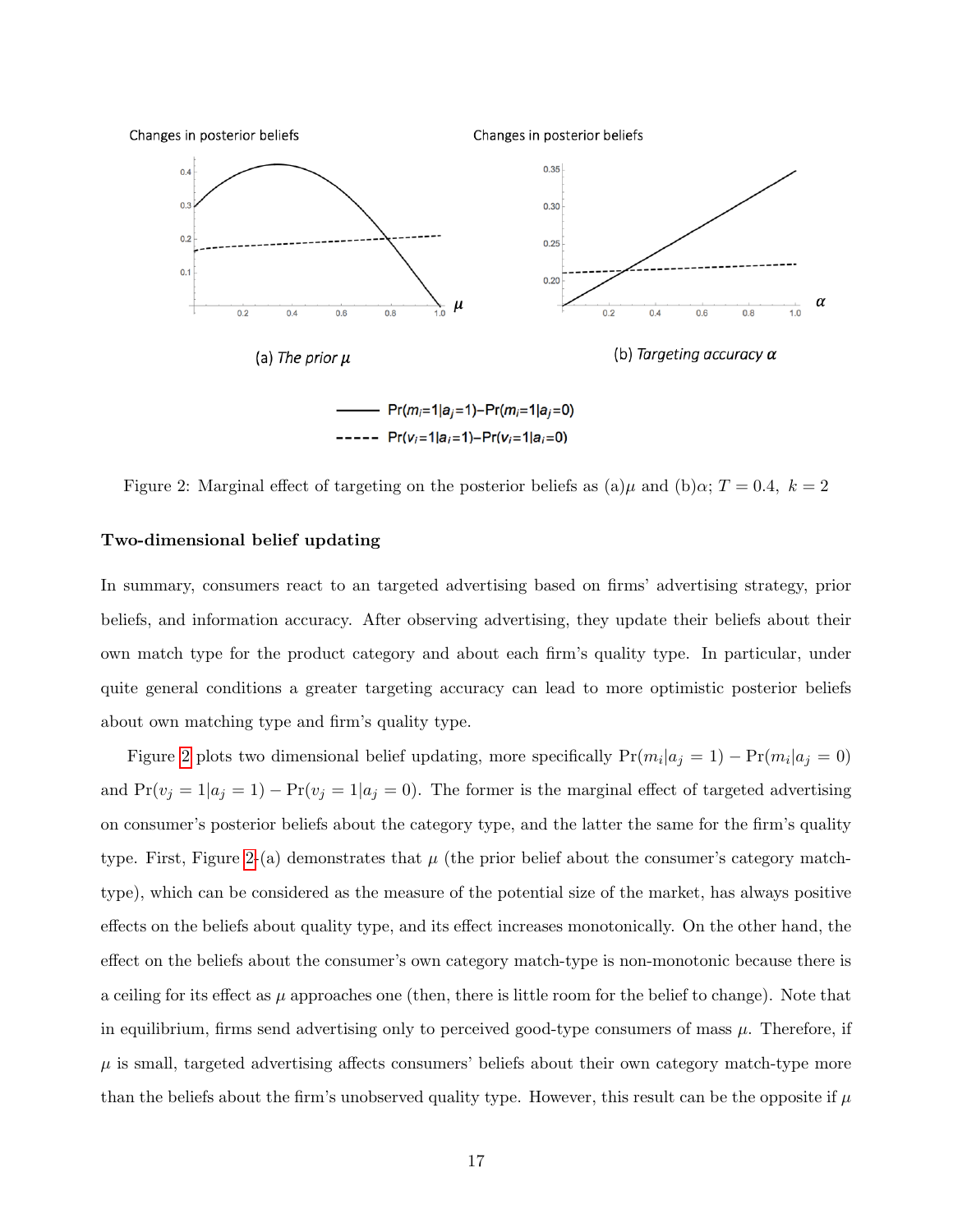<span id="page-17-0"></span>

Figure 2: Marginal effect of targeting on the posterior beliefs as (a) $\mu$  and (b) $\alpha$ ; T = 0.4, k = 2

### Two-dimensional belief updating

In summary, consumers react to an targeted advertising based on firms' advertising strategy, prior beliefs, and information accuracy. After observing advertising, they update their beliefs about their own match type for the product category and about each firm's quality type. In particular, under quite general conditions a greater targeting accuracy can lead to more optimistic posterior beliefs about own matching type and firm's quality type.

Figure [2](#page-17-0) plots two dimensional belief updating, more specifically  $Pr(m_i|a_j = 1) - Pr(m_i|a_j = 0)$ and  $Pr(v_j = 1|a_j = 1) - Pr(v_j = 1|a_j = 0)$ . The former is the marginal effect of targeted advertising on consumer's posterior beliefs about the category type, and the latter the same for the firm's quality type. First, Figure [2-](#page-17-0)(a) demonstrates that  $\mu$  (the prior belief about the consumer's category matchtype), which can be considered as the measure of the potential size of the market, has always positive effects on the beliefs about quality type, and its effect increases monotonically. On the other hand, the effect on the beliefs about the consumer's own category match-type is non-monotonic because there is a ceiling for its effect as  $\mu$  approaches one (then, there is little room for the belief to change). Note that in equilibrium, firms send advertising only to perceived good-type consumers of mass  $\mu$ . Therefore, if  $\mu$  is small, targeted advertising affects consumers' beliefs about their own category match-type more than the beliefs about the firm's unobserved quality type. However, this result can be the opposite if  $\mu$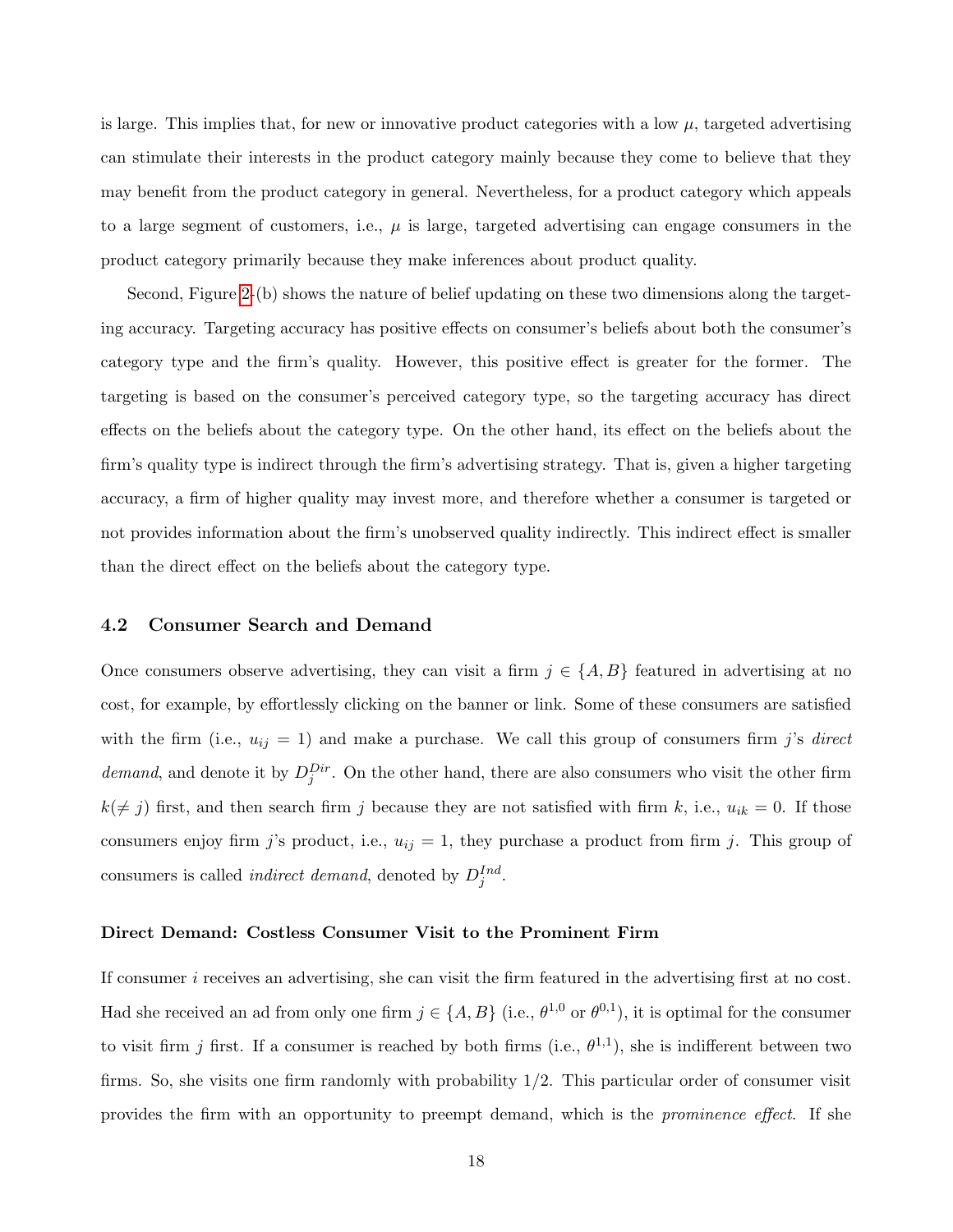is large. This implies that, for new or innovative product categories with a low  $\mu$ , targeted advertising can stimulate their interests in the product category mainly because they come to believe that they may benefit from the product category in general. Nevertheless, for a product category which appeals to a large segment of customers, i.e.,  $\mu$  is large, targeted advertising can engage consumers in the product category primarily because they make inferences about product quality.

Second, Figure [2-](#page-17-0)(b) shows the nature of belief updating on these two dimensions along the targeting accuracy. Targeting accuracy has positive effects on consumer's beliefs about both the consumer's category type and the firm's quality. However, this positive effect is greater for the former. The targeting is based on the consumer's perceived category type, so the targeting accuracy has direct effects on the beliefs about the category type. On the other hand, its effect on the beliefs about the firm's quality type is indirect through the firm's advertising strategy. That is, given a higher targeting accuracy, a firm of higher quality may invest more, and therefore whether a consumer is targeted or not provides information about the firm's unobserved quality indirectly. This indirect effect is smaller than the direct effect on the beliefs about the category type.

## 4.2 Consumer Search and Demand

Once consumers observe advertising, they can visit a firm  $j \in \{A, B\}$  featured in advertising at no cost, for example, by effortlessly clicking on the banner or link. Some of these consumers are satisfied with the firm (i.e.,  $u_{ij} = 1$ ) and make a purchase. We call this group of consumers firm j's direct demand, and denote it by  $D_j^{Dir}$ . On the other hand, there are also consumers who visit the other firm  $k(\neq j)$  first, and then search firm j because they are not satisfied with firm k, i.e.,  $u_{ik} = 0$ . If those consumers enjoy firm j's product, i.e.,  $u_{ij} = 1$ , they purchase a product from firm j. This group of consumers is called *indirect demand*, denoted by  $D_j^{Ind}$ .

#### Direct Demand: Costless Consumer Visit to the Prominent Firm

If consumer i receives an advertising, she can visit the firm featured in the advertising first at no cost. Had she received an ad from only one firm  $j \in \{A, B\}$  (i.e.,  $\theta^{1,0}$  or  $\theta^{0,1}$ ), it is optimal for the consumer to visit firm j first. If a consumer is reached by both firms (i.e.,  $\theta^{1,1}$ ), she is indifferent between two firms. So, she visits one firm randomly with probability  $1/2$ . This particular order of consumer visit provides the firm with an opportunity to preempt demand, which is the prominence effect. If she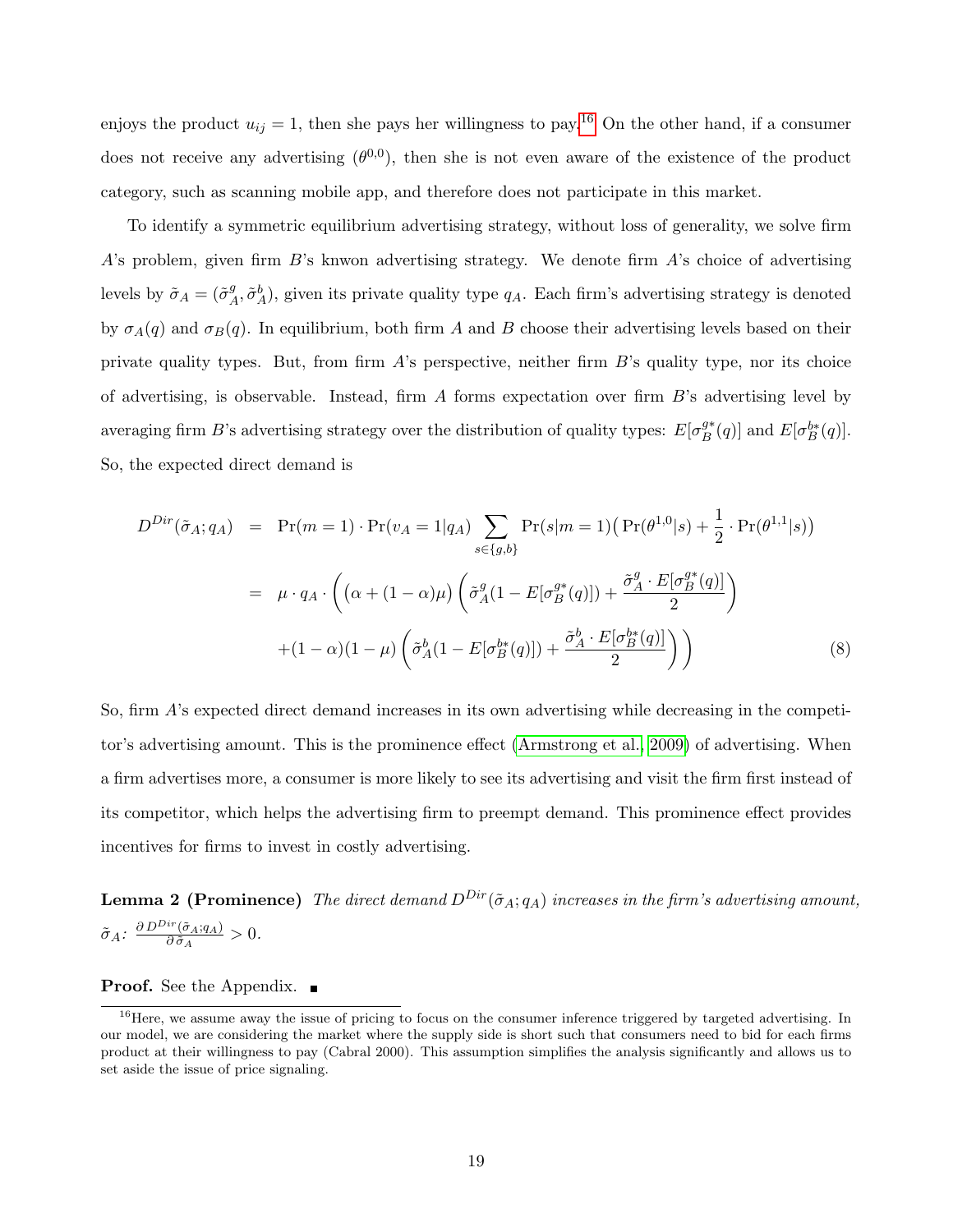enjoys the product  $u_{ij} = 1$ , then she pays her willingness to pay.<sup>[16](#page-19-0)</sup> On the other hand, if a consumer does not receive any advertising  $(\theta^{0,0})$ , then she is not even aware of the existence of the product category, such as scanning mobile app, and therefore does not participate in this market.

To identify a symmetric equilibrium advertising strategy, without loss of generality, we solve firm  $A$ 's problem, given firm  $B$ 's knwon advertising strategy. We denote firm  $A$ 's choice of advertising levels by  $\tilde{\sigma}_A = (\tilde{\sigma}_A^g)$  $_A^g$ ,  $\tilde{\sigma}_A^b$ ), given its private quality type  $q_A$ . Each firm's advertising strategy is denoted by  $\sigma_A(q)$  and  $\sigma_B(q)$ . In equilibrium, both firm A and B choose their advertising levels based on their private quality types. But, from firm A's perspective, neither firm B's quality type, nor its choice of advertising, is observable. Instead, firm A forms expectation over firm B's advertising level by averaging firm B's advertising strategy over the distribution of quality types:  $E[\sigma_R^{g*}]$  $_{B}^{g*}(q)$ ] and  $E[\sigma_{B}^{b*}(q)]$ . So, the expected direct demand is

<span id="page-19-1"></span>
$$
D^{Dir}(\tilde{\sigma}_A; q_A) = \Pr(m = 1) \cdot \Pr(v_A = 1|q_A) \sum_{s \in \{g, b\}} \Pr(s|m = 1) \left( \Pr(\theta^{1,0}|s) + \frac{1}{2} \cdot \Pr(\theta^{1,1}|s) \right)
$$

$$
= \mu \cdot q_A \cdot \left( \left( \alpha + (1 - \alpha)\mu \right) \left( \tilde{\sigma}_A^g (1 - E[\sigma_B^{g*}(q)]) + \frac{\tilde{\sigma}_A^g \cdot E[\sigma_B^{g*}(q)]}{2} \right) \right)
$$

$$
+ (1 - \alpha)(1 - \mu) \left( \tilde{\sigma}_A^b (1 - E[\sigma_B^{b*}(q)]) + \frac{\tilde{\sigma}_A^b \cdot E[\sigma_B^{b*}(q)]}{2} \right) \right) \tag{8}
$$

So, firm A's expected direct demand increases in its own advertising while decreasing in the competitor's advertising amount. This is the prominence effect [\(Armstrong et al., 2009\)](#page-46-3) of advertising. When a firm advertises more, a consumer is more likely to see its advertising and visit the firm first instead of its competitor, which helps the advertising firm to preempt demand. This prominence effect provides incentives for firms to invest in costly advertising.

<span id="page-19-2"></span>**Lemma 2 (Prominence)** The direct demand  $D^{Dir}(\tilde{\sigma}_A; q_A)$  increases in the firm's advertising amount,  $\tilde{\sigma}_A$ :  $\frac{\partial D^{Dir}(\tilde{\sigma}_A;q_A)}{\partial \tilde{\sigma}_A}$  $\frac{\partial \sigma_A}{\partial \tilde{\sigma}_A} > 0.$ 

**Proof.** See the Appendix.

<span id="page-19-0"></span> $16$  Here, we assume away the issue of pricing to focus on the consumer inference triggered by targeted advertising. In our model, we are considering the market where the supply side is short such that consumers need to bid for each firms product at their willingness to pay (Cabral 2000). This assumption simplifies the analysis significantly and allows us to set aside the issue of price signaling.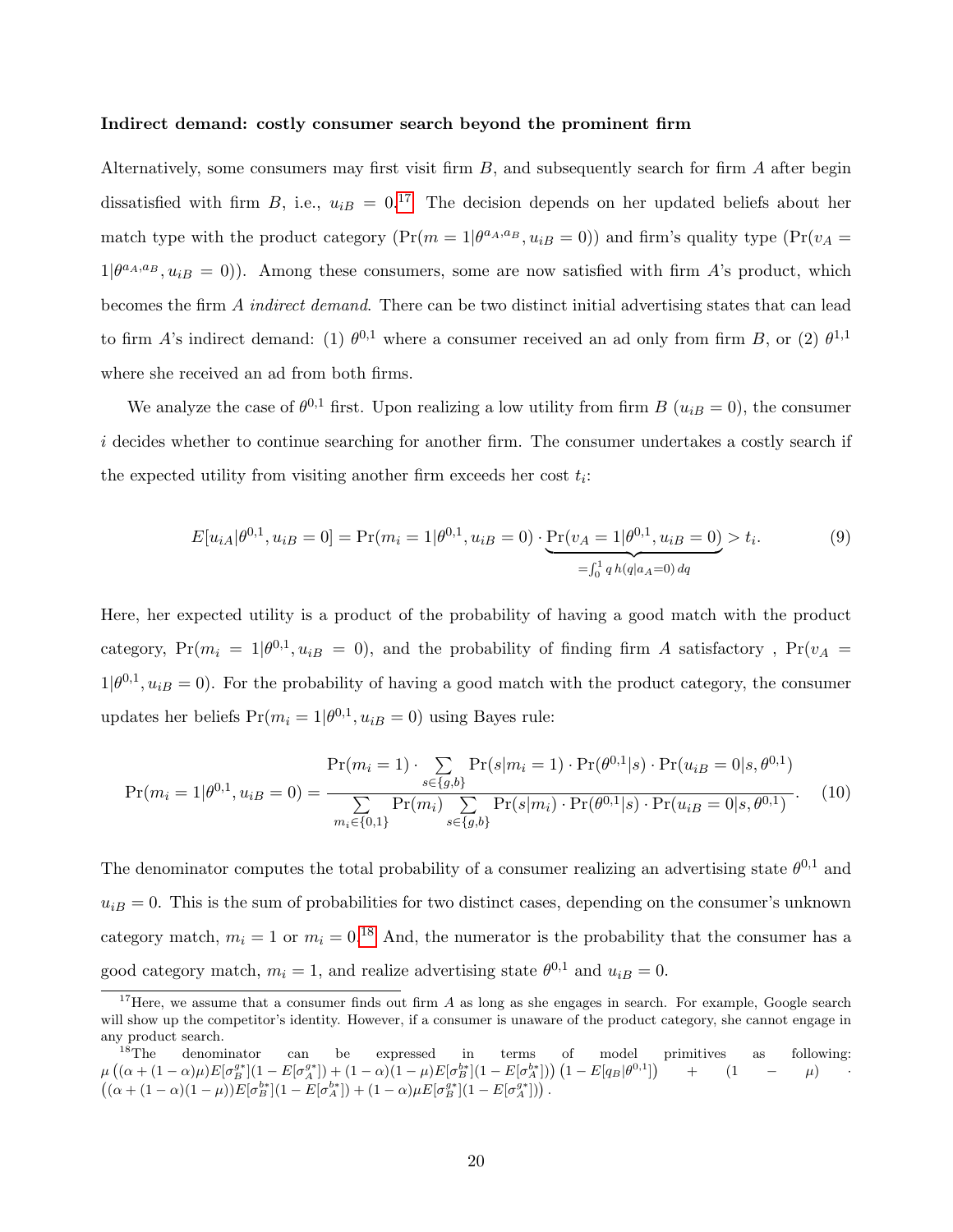#### Indirect demand: costly consumer search beyond the prominent firm

Alternatively, some consumers may first visit firm  $B$ , and subsequently search for firm  $A$  after begin dissatisfied with firm B, i.e.,  $u_{iB} = 0.17$  $u_{iB} = 0.17$  The decision depends on her updated beliefs about her match type with the product category  $(\Pr(m=1|\theta^{a_A,a_B}, u_{iB}=0))$  and firm's quality type  $(\Pr(v_A =$  $1|\theta^{a_A,a_B}, u_{iB} = 0$ ). Among these consumers, some are now satisfied with firm A's product, which becomes the firm A indirect demand. There can be two distinct initial advertising states that can lead to firm A's indirect demand: (1)  $\theta^{0,1}$  where a consumer received an ad only from firm B, or (2)  $\theta^{1,1}$ where she received an ad from both firms.

We analyze the case of  $\theta^{0,1}$  first. Upon realizing a low utility from firm B  $(u_{iB} = 0)$ , the consumer i decides whether to continue searching for another firm. The consumer undertakes a costly search if the expected utility from visiting another firm exceeds her cost  $t_i$ :

<span id="page-20-2"></span>
$$
E[u_{iA}|\theta^{0,1}, u_{iB} = 0] = \Pr(m_i = 1|\theta^{0,1}, u_{iB} = 0) \cdot \underbrace{\Pr(v_A = 1|\theta^{0,1}, u_{iB} = 0)}_{= \int_0^1 q \, h(q|a_A = 0) \, dq} > t_i.
$$
\n(9)

Here, her expected utility is a product of the probability of having a good match with the product category,  $Pr(m_i = 1 | \theta^{0,1}, u_{iB} = 0)$ , and the probability of finding firm A satisfactory,  $Pr(v_A = 1 | \theta^{0,1}, u_{iB} = 0)$  $1|\theta^{0,1}, u_{iB} = 0$ ). For the probability of having a good match with the product category, the consumer updates her beliefs  $Pr(m_i = 1 | \theta^{0,1}, u_{iB} = 0)$  using Bayes rule:

$$
Pr(m_i = 1 | \theta^{0,1}, u_{iB} = 0) = \frac{Pr(m_i = 1) \cdot \sum_{s \in \{g, b\}} Pr(s|m_i = 1) \cdot Pr(\theta^{0,1} | s) \cdot Pr(u_{iB} = 0 | s, \theta^{0,1})}{\sum_{m_i \in \{0, 1\}} Pr(m_i) \sum_{s \in \{g, b\}} Pr(s|m_i) \cdot Pr(\theta^{0,1} | s) \cdot Pr(u_{iB} = 0 | s, \theta^{0,1})}.
$$
(10)

The denominator computes the total probability of a consumer realizing an advertising state  $\theta^{0,1}$  and  $u_{iB} = 0$ . This is the sum of probabilities for two distinct cases, depending on the consumer's unknown category match,  $m_i = 1$  or  $m_i = 0.18$  $m_i = 0.18$  And, the numerator is the probability that the consumer has a good category match,  $m_i = 1$ , and realize advertising state  $\theta^{0,1}$  and  $u_{iB} = 0$ .

<span id="page-20-0"></span><sup>&</sup>lt;sup>17</sup>Here, we assume that a consumer finds out firm  $A$  as long as she engages in search. For example, Google search will show up the competitor's identity. However, if a consumer is unaware of the product category, she cannot engage in any product search.<br> $18$ The denominator

<span id="page-20-1"></span><sup>&</sup>lt;sup>18</sup>The denominator can be expressed in terms of model primitives as following:  $\mu\left((\alpha + (1-\alpha)\mu)E[\sigma_B^{g*}](1-E[\sigma_A^{g*}]) + (1-\alpha)(1-\mu)E[\sigma_B^{b*}](1-E[\sigma_A^{b*}])\right)\left(1-E[q_B|\theta^{0,1}]\right)$  +  $(1 - \mu)$  $((\alpha + (1 - \alpha)(1 - \mu))E[\sigma_B^{b*}](1 - E[\sigma_A^{b*}]) + (1 - \alpha)\mu E[\sigma_B^{g*}](1 - E[\sigma_A^{g*}]))$ .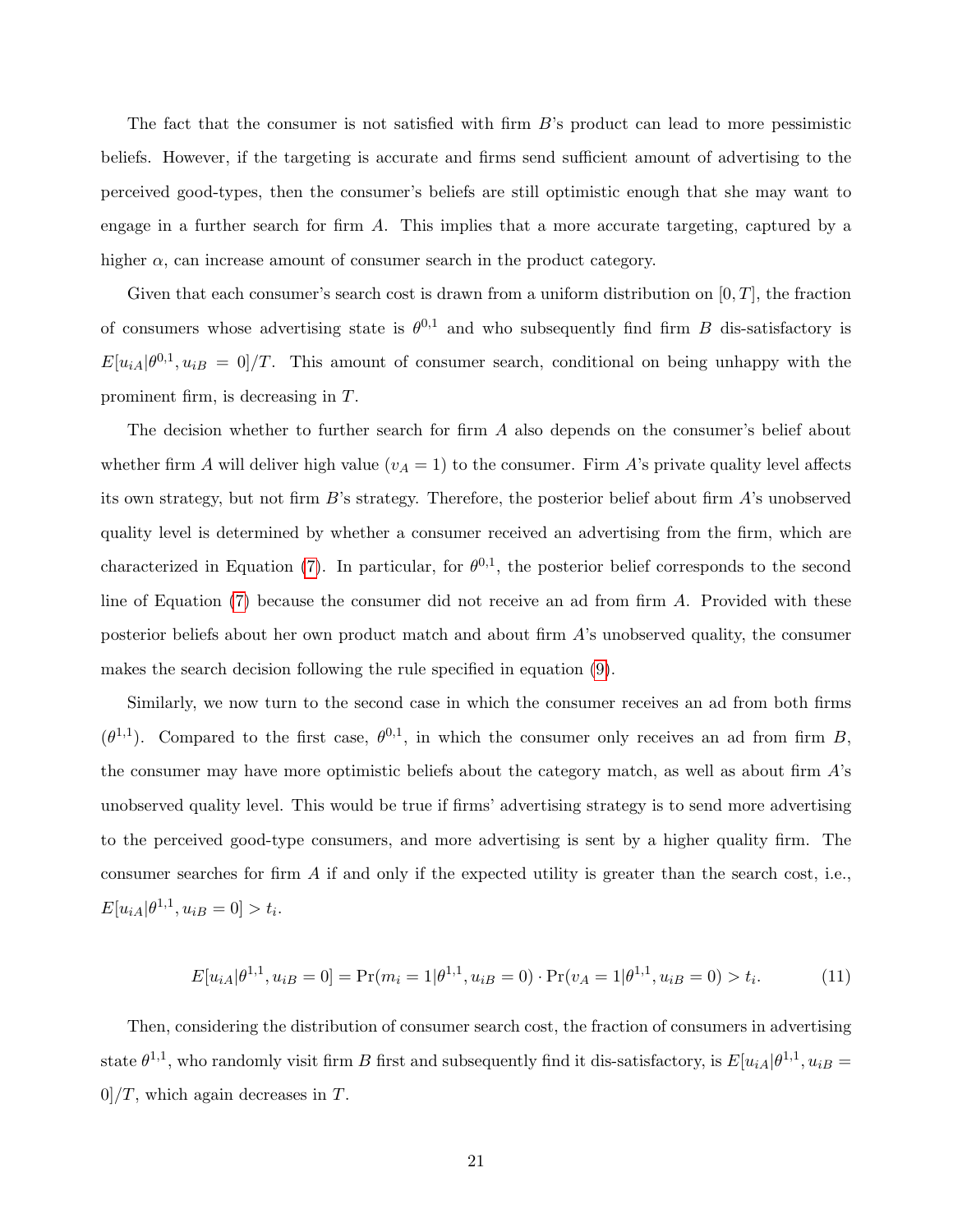The fact that the consumer is not satisfied with firm B's product can lead to more pessimistic beliefs. However, if the targeting is accurate and firms send sufficient amount of advertising to the perceived good-types, then the consumer's beliefs are still optimistic enough that she may want to engage in a further search for firm A. This implies that a more accurate targeting, captured by a higher  $\alpha$ , can increase amount of consumer search in the product category.

Given that each consumer's search cost is drawn from a uniform distribution on  $[0, T]$ , the fraction of consumers whose advertising state is  $\theta^{0,1}$  and who subsequently find firm B dis-satisfactory is  $E[u_{iA}|\theta^{0,1},u_{iB}=0]/T$ . This amount of consumer search, conditional on being unhappy with the prominent firm, is decreasing in T.

The decision whether to further search for firm A also depends on the consumer's belief about whether firm A will deliver high value  $(v_A = 1)$  to the consumer. Firm A's private quality level affects its own strategy, but not firm  $B$ 's strategy. Therefore, the posterior belief about firm  $A$ 's unobserved quality level is determined by whether a consumer received an advertising from the firm, which are characterized in Equation [\(7\)](#page-16-1). In particular, for  $\theta^{0,1}$ , the posterior belief corresponds to the second line of Equation  $(7)$  because the consumer did not receive an ad from firm A. Provided with these posterior beliefs about her own product match and about firm A's unobserved quality, the consumer makes the search decision following the rule specified in equation [\(9\)](#page-20-2).

Similarly, we now turn to the second case in which the consumer receives an ad from both firms  $(\theta^{1,1})$ . Compared to the first case,  $\theta^{0,1}$ , in which the consumer only receives an ad from firm B, the consumer may have more optimistic beliefs about the category match, as well as about firm  $\hat{A}$ 's unobserved quality level. This would be true if firms' advertising strategy is to send more advertising to the perceived good-type consumers, and more advertising is sent by a higher quality firm. The consumer searches for firm  $A$  if and only if the expected utility is greater than the search cost, i.e.,  $E[u_{iA}|\theta^{1,1}, u_{iB} = 0] > t_i.$ 

$$
E[u_{iA}|\theta^{1,1}, u_{iB} = 0] = \Pr(m_i = 1|\theta^{1,1}, u_{iB} = 0) \cdot \Pr(v_A = 1|\theta^{1,1}, u_{iB} = 0) > t_i.
$$
 (11)

Then, considering the distribution of consumer search cost, the fraction of consumers in advertising state  $\theta^{1,1}$ , who randomly visit firm B first and subsequently find it dis-satisfactory, is  $E[u_{iA}|\theta^{1,1}, u_{iB} =$  $0$ /T, which again decreases in T.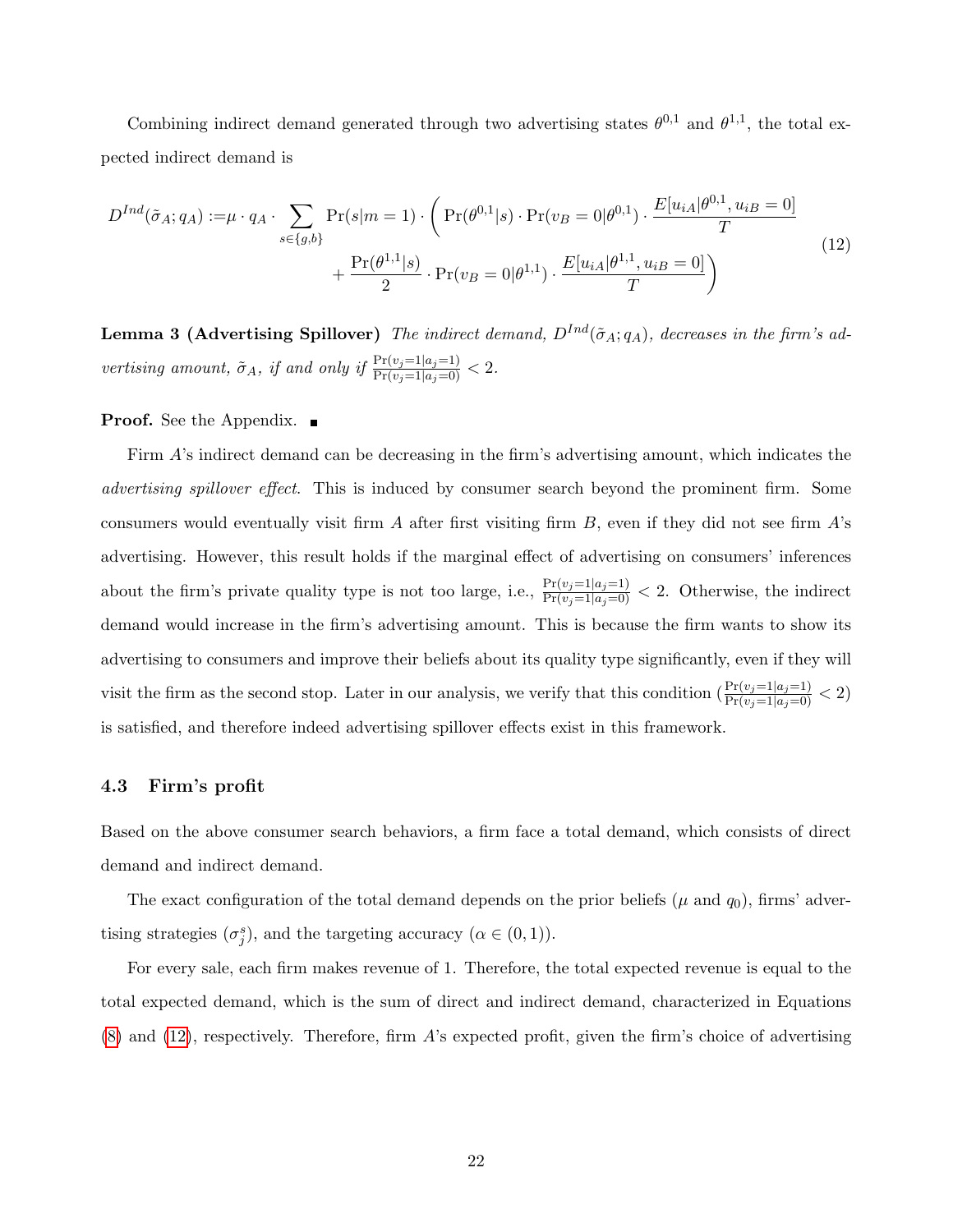Combining indirect demand generated through two advertising states  $\theta^{0,1}$  and  $\theta^{1,1}$ , the total expected indirect demand is

<span id="page-22-0"></span>
$$
D^{Ind}(\tilde{\sigma}_A; q_A) := \mu \cdot q_A \cdot \sum_{s \in \{g, b\}} \Pr(s|m = 1) \cdot \left( \Pr(\theta^{0,1}|s) \cdot \Pr(v_B = 0|\theta^{0,1}) \cdot \frac{E[u_{iA}|\theta^{0,1}, u_{iB} = 0]}{T} + \frac{\Pr(\theta^{1,1}|s)}{2} \cdot \Pr(v_B = 0|\theta^{1,1}) \cdot \frac{E[u_{iA}|\theta^{1,1}, u_{iB} = 0]}{T} \right)
$$
\n(12)

<span id="page-22-1"></span>**Lemma 3 (Advertising Spillover)** The indirect demand,  $D^{Ind}(\tilde{\sigma}_A; q_A)$ , decreases in the firm's advertising amount,  $\tilde{\sigma}_A$ , if and only if  $\frac{\Pr(v_j=1|a_j=1)}{\Pr(v_j=1|a_j=0)} < 2$ .

### **Proof.** See the Appendix. ■

Firm A's indirect demand can be decreasing in the firm's advertising amount, which indicates the distormarrial advertising spillover effect. This is induced by consumer search beyond the prominent firm. Some consumers would eventually visit firm  $A$  after first visiting firm  $B$ , even if they did not see firm  $A$ 's advertising. However, this result holds if the marginal effect of advertising on consumers' inferences about the firm's private quality type is not too large, i.e.,  $\frac{\Pr(v_j=1|a_j=1)}{\Pr(v_j=1|a_j=0)} < 2$ . Otherwise, the indirect demand would increase in the firm's advertising amount. This is because the firm wants to show its advertising to consumers and improve their beliefs about its quality type significantly, even if they will visit the firm as the second stop. Later in our analysis, we verify that this condition  $\left(\frac{\Pr(v_j=1|a_j=1)}{\Pr(v_j=1|a_j=0)} < 2\right)$ is satisfied, and therefore indeed advertising spillover effects exist in this framework.

### 4.3 Firm's profit

Based on the above consumer search behaviors, a firm face a total demand, which consists of direct demand and indirect demand.

The exact configuration of the total demand depends on the prior beliefs ( $\mu$  and  $q_0$ ), firms' advertising strategies  $(\sigma_j^s)$ , and the targeting accuracy  $(\alpha \in (0,1)).$ 

For every sale, each firm makes revenue of 1. Therefore, the total expected revenue is equal to the total expected demand, which is the sum of direct and indirect demand, characterized in Equations [\(8\)](#page-19-1) and [\(12\)](#page-22-0), respectively. Therefore, firm A's expected profit, given the firm's choice of advertising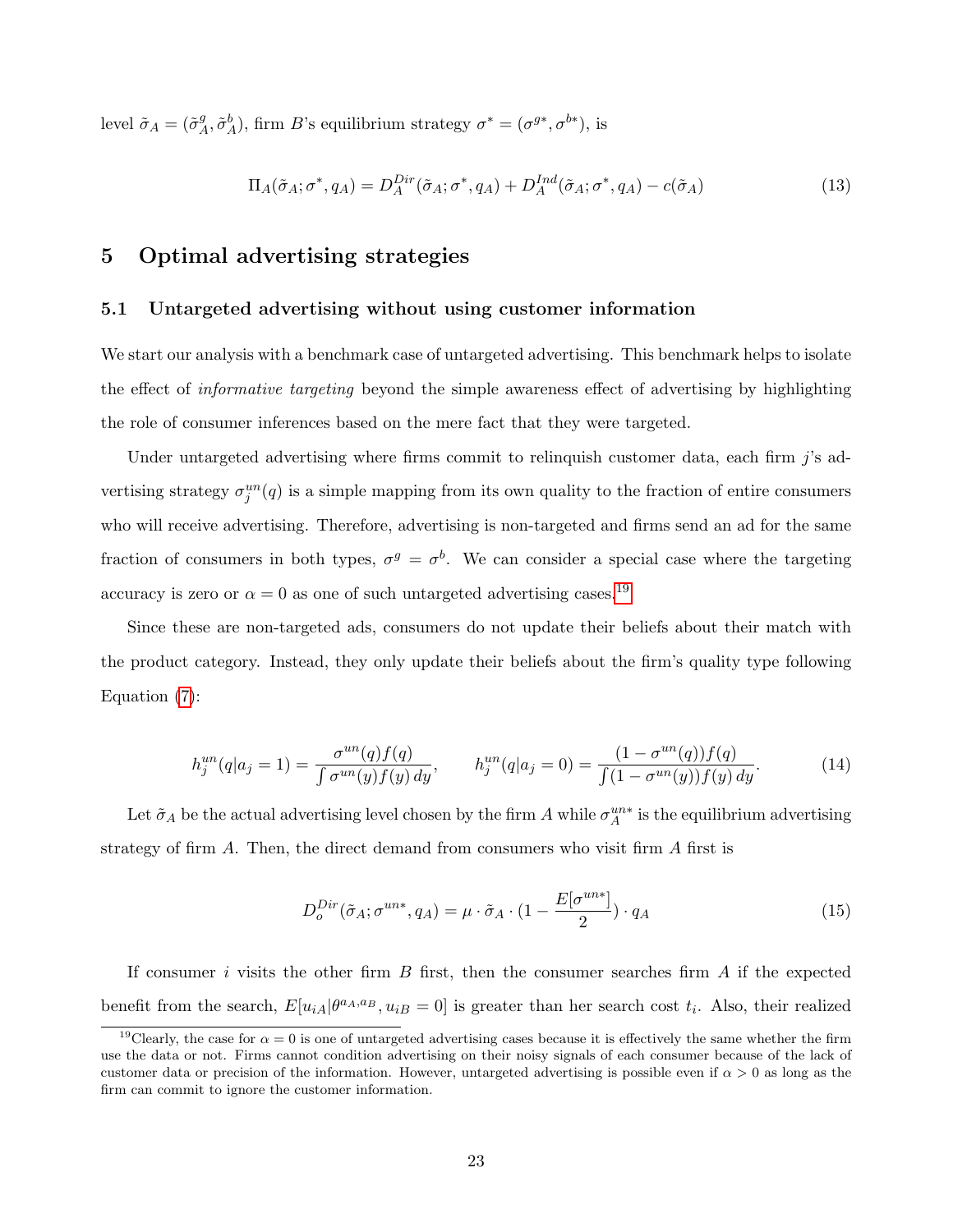level  $\tilde{\sigma}_A = (\tilde{\sigma}_A^g)$  $A^g, \tilde{\sigma}_A^b$ , firm B's equilibrium strategy  $\sigma^* = (\sigma^{g*}, \sigma^{b*})$ , is

<span id="page-23-3"></span>
$$
\Pi_A(\tilde{\sigma}_A; \sigma^*, q_A) = D_A^{Dir}(\tilde{\sigma}_A; \sigma^*, q_A) + D_A^{Ind}(\tilde{\sigma}_A; \sigma^*, q_A) - c(\tilde{\sigma}_A)
$$
\n(13)

# <span id="page-23-0"></span>5 Optimal advertising strategies

### 5.1 Untargeted advertising without using customer information

We start our analysis with a benchmark case of untargeted advertising. This benchmark helps to isolate the effect of informative targeting beyond the simple awareness effect of advertising by highlighting the role of consumer inferences based on the mere fact that they were targeted.

Under untargeted advertising where firms commit to relinquish customer data, each firm j's advertising strategy  $\sigma_j^{un}(q)$  is a simple mapping from its own quality to the fraction of entire consumers who will receive advertising. Therefore, advertising is non-targeted and firms send an ad for the same fraction of consumers in both types,  $\sigma^g = \sigma^b$ . We can consider a special case where the targeting accuracy is zero or  $\alpha = 0$  as one of such untargeted advertising cases.<sup>[19](#page-23-1)</sup>

Since these are non-targeted ads, consumers do not update their beliefs about their match with the product category. Instead, they only update their beliefs about the firm's quality type following Equation [\(7\)](#page-16-1):

<span id="page-23-2"></span>
$$
h_j^{un}(q|a_j = 1) = \frac{\sigma^{un}(q)f(q)}{\int \sigma^{un}(y)f(y) \, dy}, \qquad h_j^{un}(q|a_j = 0) = \frac{(1 - \sigma^{un}(q))f(q)}{\int (1 - \sigma^{un}(y))f(y) \, dy}.
$$
 (14)

Let  $\tilde{\sigma}_A$  be the actual advertising level chosen by the firm A while  $\sigma_A^{un*}$  is the equilibrium advertising strategy of firm  $A$ . Then, the direct demand from consumers who visit firm  $A$  first is

$$
D_o^{Dir}(\tilde{\sigma}_A; \sigma^{un*}, q_A) = \mu \cdot \tilde{\sigma}_A \cdot (1 - \frac{E[\sigma^{un*}]}{2}) \cdot q_A \tag{15}
$$

If consumer i visits the other firm  $B$  first, then the consumer searches firm  $A$  if the expected benefit from the search,  $E[u_{iA}|\theta^{a_A,a_B},u_{iB}=0]$  is greater than her search cost  $t_i$ . Also, their realized

<span id="page-23-1"></span><sup>&</sup>lt;sup>19</sup>Clearly, the case for  $\alpha = 0$  is one of untargeted advertising cases because it is effectively the same whether the firm use the data or not. Firms cannot condition advertising on their noisy signals of each consumer because of the lack of customer data or precision of the information. However, untargeted advertising is possible even if  $\alpha > 0$  as long as the firm can commit to ignore the customer information.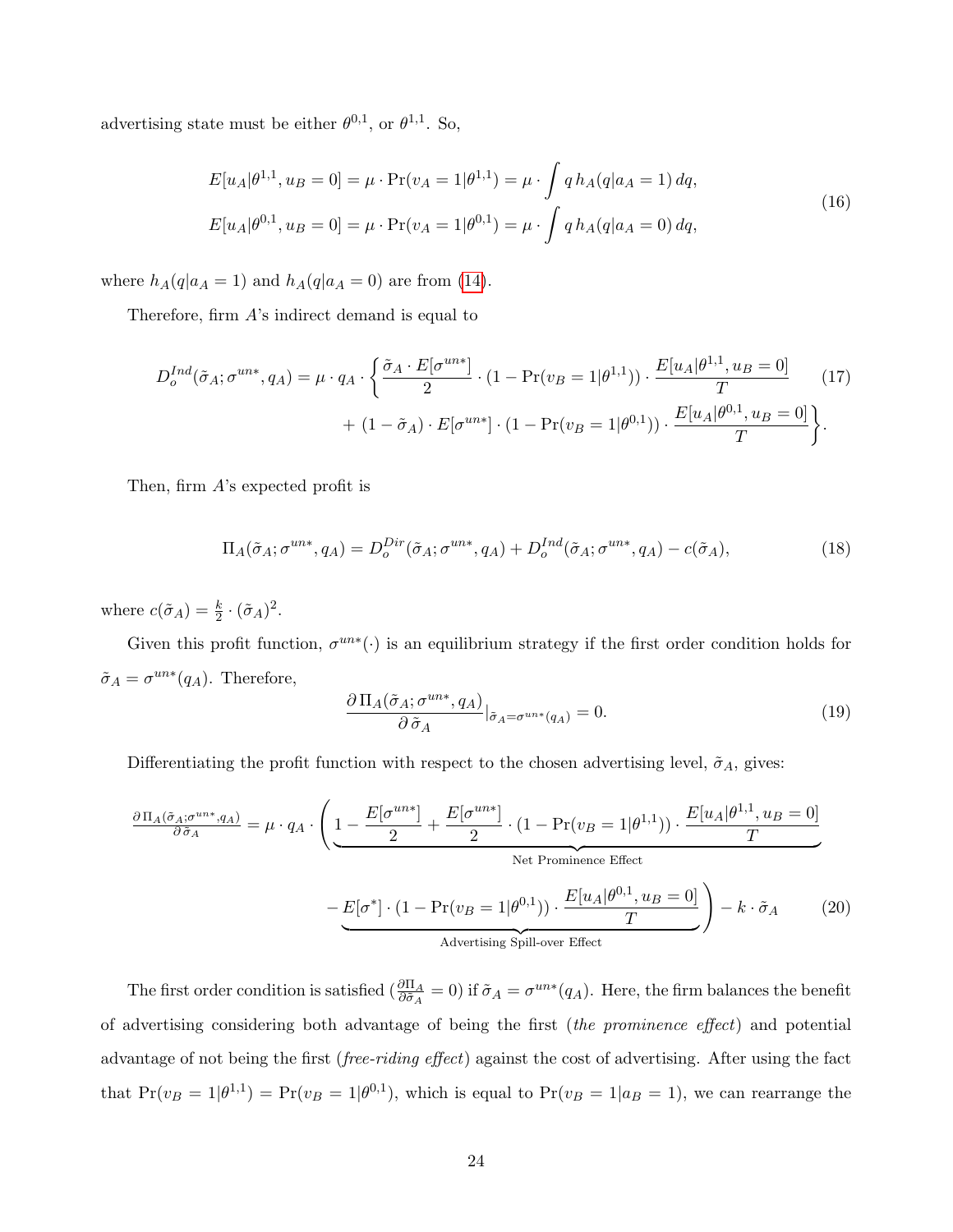advertising state must be either  $\theta^{0,1}$ , or  $\theta^{1,1}$ . So,

$$
E[u_A|\theta^{1,1}, u_B = 0] = \mu \cdot \Pr(v_A = 1|\theta^{1,1}) = \mu \cdot \int q h_A(q|a_A = 1) dq,
$$
  
\n
$$
E[u_A|\theta^{0,1}, u_B = 0] = \mu \cdot \Pr(v_A = 1|\theta^{0,1}) = \mu \cdot \int q h_A(q|a_A = 0) dq,
$$
\n(16)

where  $h_A(q|a_A = 1)$  and  $h_A(q|a_A = 0)$  are from [\(14\)](#page-23-2).

Therefore, firm  $A$ 's indirect demand is equal to

$$
D_o^{Ind}(\tilde{\sigma}_A; \sigma^{un*}, q_A) = \mu \cdot q_A \cdot \left\{ \frac{\tilde{\sigma}_A \cdot E[\sigma^{un*}]}{2} \cdot (1 - \Pr(v_B = 1 | \theta^{1,1})) \cdot \frac{E[u_A | \theta^{1,1}, u_B = 0]}{T} \right\}
$$
\n
$$
+ (1 - \tilde{\sigma}_A) \cdot E[\sigma^{un*}] \cdot (1 - \Pr(v_B = 1 | \theta^{0,1})) \cdot \frac{E[u_A | \theta^{0,1}, u_B = 0]}{T} \right\}.
$$
\n(17)

Then, firm A's expected profit is

<span id="page-24-1"></span>
$$
\Pi_A(\tilde{\sigma}_A; \sigma^{un*}, q_A) = D_o^{Dir}(\tilde{\sigma}_A; \sigma^{un*}, q_A) + D_o^{Ind}(\tilde{\sigma}_A; \sigma^{un*}, q_A) - c(\tilde{\sigma}_A),\tag{18}
$$

where  $c(\tilde{\sigma}_A) = \frac{k}{2} \cdot (\tilde{\sigma}_A)^2$ .

Given this profit function,  $\sigma^{un*}(\cdot)$  is an equilibrium strategy if the first order condition holds for  $\tilde{\sigma}_A = \sigma^{un*}(q_A)$ . Therefore,

$$
\frac{\partial \Pi_A(\tilde{\sigma}_A; \sigma^{un*}, q_A)}{\partial \tilde{\sigma}_A}|_{\tilde{\sigma}_A = \sigma^{un*}(q_A)} = 0.
$$
\n(19)

Differentiating the profit function with respect to the chosen advertising level,  $\tilde{\sigma}_A$ , gives:

<span id="page-24-0"></span>
$$
\frac{\partial \Pi_A(\tilde{\sigma}_A; \sigma^{un*}, q_A)}{\partial \tilde{\sigma}_A} = \mu \cdot q_A \cdot \left( \underbrace{1 - \frac{E[\sigma^{un*}]}{2} + \frac{E[\sigma^{un*}]}{2} \cdot (1 - \Pr(v_B = 1 | \theta^{1,1}))}_{\text{Net Prominence Effect}} \cdot \frac{E[u_A | \theta^{1,1}, u_B = 0]}{T} - E[\sigma^*] \cdot (1 - \Pr(v_B = 1 | \theta^{0,1})) \cdot \frac{E[u_A | \theta^{0,1}, u_B = 0]}{T} \right) - k \cdot \tilde{\sigma}_A \tag{20}
$$
\nAdvertising Spill-over Effect

The first order condition is satisfied  $\left(\frac{\partial \Pi_A}{\partial \tilde{\sigma}_A} = 0\right)$  if  $\tilde{\sigma}_A = \sigma^{un*}(q_A)$ . Here, the firm balances the benefit of advertising considering both advantage of being the first (the prominence effect) and potential advantage of not being the first (free-riding effect) against the cost of advertising. After using the fact that  $Pr(v_B = 1|\theta^{1,1}) = Pr(v_B = 1|\theta^{0,1})$ , which is equal to  $Pr(v_B = 1|a_B = 1)$ , we can rearrange the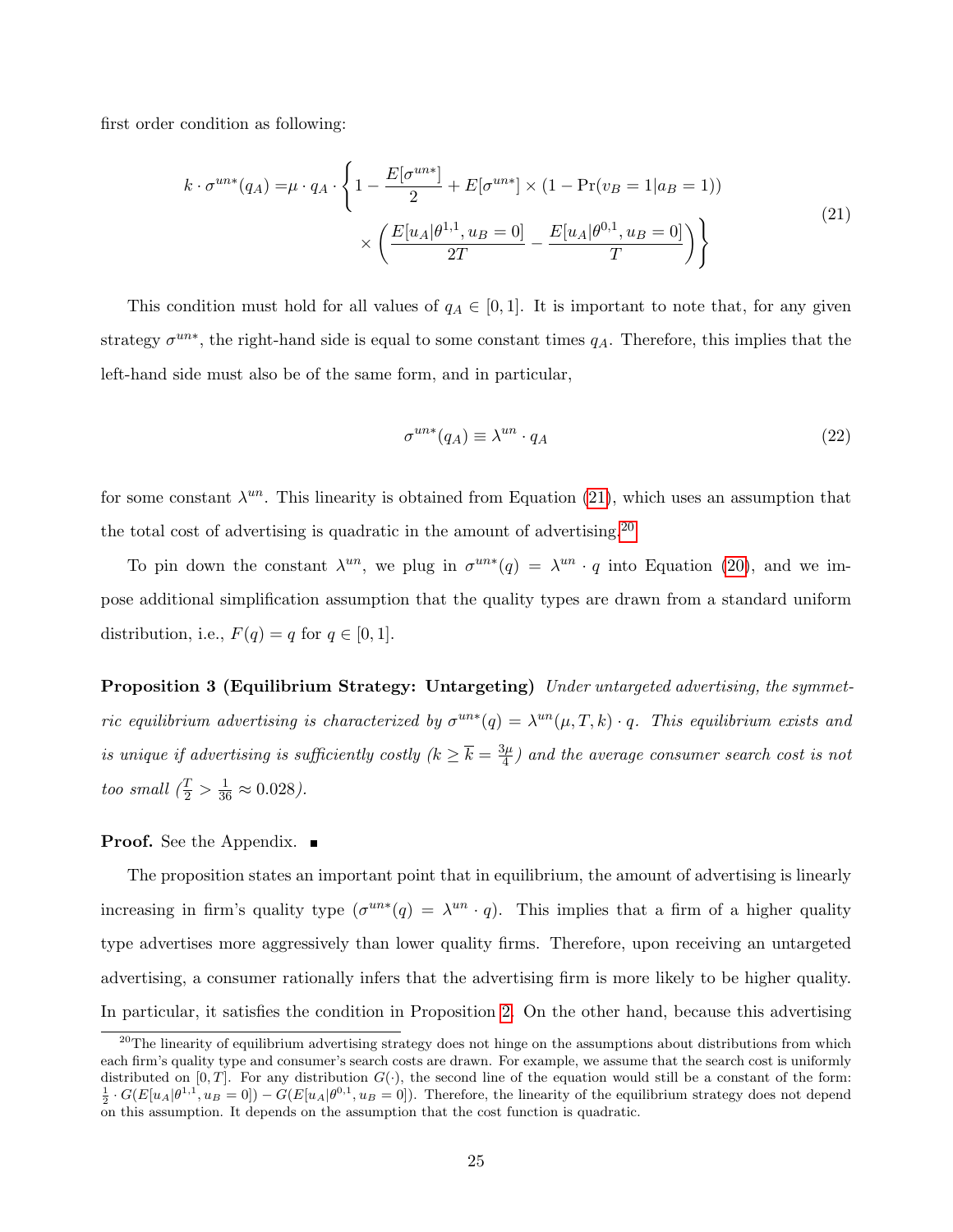first order condition as following:

<span id="page-25-0"></span>
$$
k \cdot \sigma^{un*}(q_A) = \mu \cdot q_A \cdot \left\{ 1 - \frac{E[\sigma^{un*}]}{2} + E[\sigma^{un*}] \times (1 - \Pr(v_B = 1|a_B = 1)) \times \left( \frac{E[u_A|\theta^{1,1}, u_B = 0]}{2T} - \frac{E[u_A|\theta^{0,1}, u_B = 0]}{T} \right) \right\}
$$
\n(21)

This condition must hold for all values of  $q_A \in [0,1]$ . It is important to note that, for any given strategy  $\sigma^{un*}$ , the right-hand side is equal to some constant times  $q_A$ . Therefore, this implies that the left-hand side must also be of the same form, and in particular,

$$
\sigma^{un*}(q_A) \equiv \lambda^{un} \cdot q_A \tag{22}
$$

for some constant  $\lambda^{un}$ . This linearity is obtained from Equation [\(21\)](#page-25-0), which uses an assumption that the total cost of advertising is quadratic in the amount of advertising.<sup>[20](#page-25-1)</sup>

To pin down the constant  $\lambda^{un}$ , we plug in  $\sigma^{un*}(q) = \lambda^{un} \cdot q$  into Equation [\(20\)](#page-24-0), and we impose additional simplification assumption that the quality types are drawn from a standard uniform distribution, i.e.,  $F(q) = q$  for  $q \in [0, 1]$ .

<span id="page-25-2"></span>Proposition 3 (Equilibrium Strategy: Untargeting) Under untargeted advertising, the symmetric equilibrium advertising is characterized by  $\sigma^{un*}(q) = \lambda^{un}(\mu, T, k) \cdot q$ . This equilibrium exists and is unique if advertising is sufficiently costly  $(k \geq \overline{k} = \frac{3\mu}{4})$  $\frac{d\mu}{4}$ ) and the average consumer search cost is not too small  $(\frac{T}{2} > \frac{1}{36} \approx 0.028)$ .

#### **Proof.** See the Appendix.

The proposition states an important point that in equilibrium, the amount of advertising is linearly increasing in firm's quality type  $(\sigma^{un*}(q) = \lambda^{un} \cdot q)$ . This implies that a firm of a higher quality type advertises more aggressively than lower quality firms. Therefore, upon receiving an untargeted advertising, a consumer rationally infers that the advertising firm is more likely to be higher quality. In particular, it satisfies the condition in Proposition [2.](#page-16-2) On the other hand, because this advertising

<span id="page-25-1"></span> $20$ The linearity of equilibrium advertising strategy does not hinge on the assumptions about distributions from which each firm's quality type and consumer's search costs are drawn. For example, we assume that the search cost is uniformly distributed on [0, T]. For any distribution  $G(\cdot)$ , the second line of the equation would still be a constant of the form:<br> $\frac{1}{2} \cdot G(E[u_A|\theta^{1,1}, u_B=0]) - G(E[u_A|\theta^{0,1}, u_B=0])$ . Therefore, the linearity of the equilibrium strategy on this assumption. It depends on the assumption that the cost function is quadratic.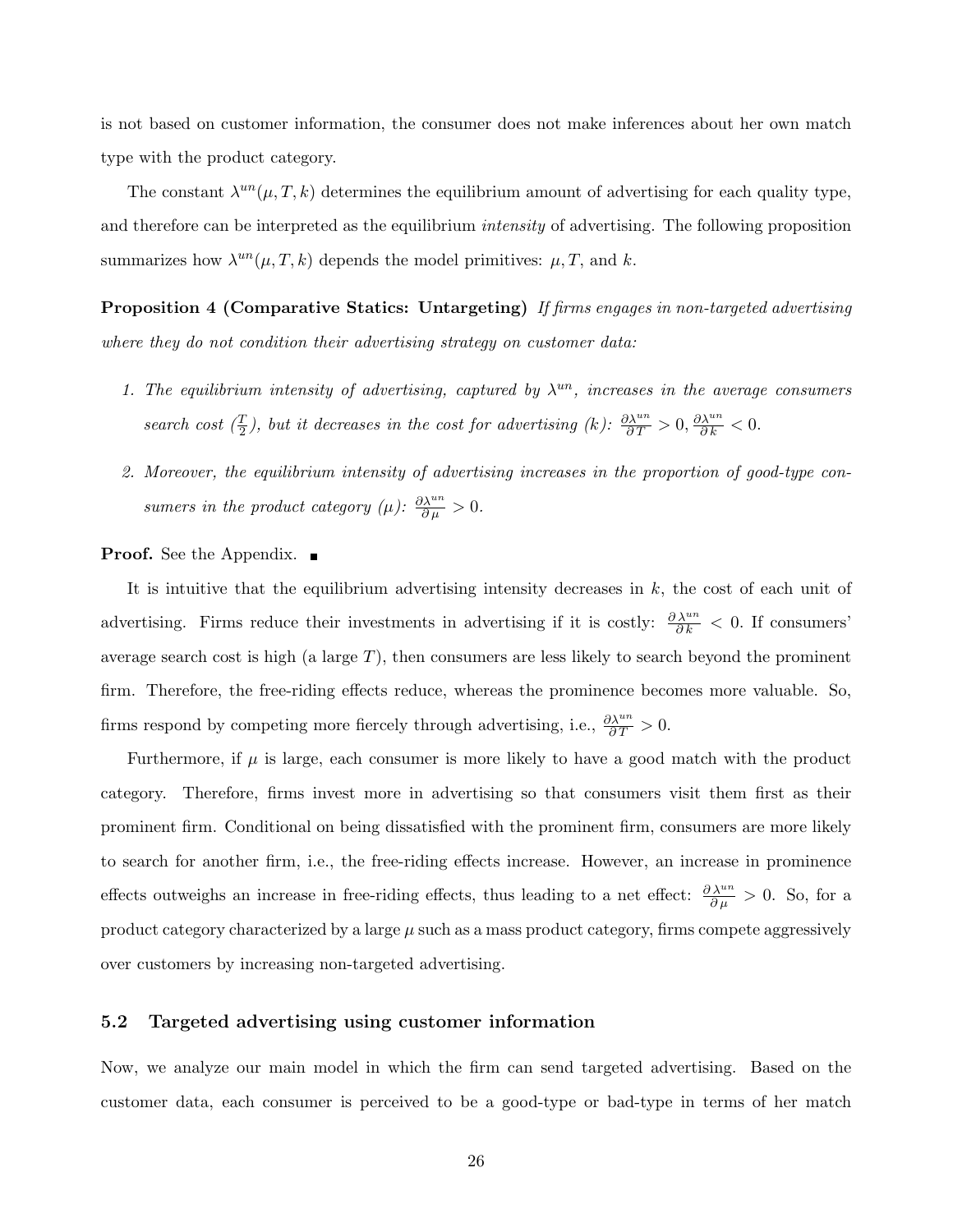is not based on customer information, the consumer does not make inferences about her own match type with the product category.

The constant  $\lambda^{un}(\mu, T, k)$  determines the equilibrium amount of advertising for each quality type, and therefore can be interpreted as the equilibrium *intensity* of advertising. The following proposition summarizes how  $\lambda^{un}(\mu, T, k)$  depends the model primitives:  $\mu, T$ , and k.

**Proposition 4 (Comparative Statics: Untargeting)** If firms engages in non-targeted advertising where they do not condition their advertising strategy on customer data:

- <span id="page-26-0"></span>1. The equilibrium intensity of advertising, captured by  $\lambda^{un}$ , increases in the average consumers search cost  $(\frac{T}{2})$ , but it decreases in the cost for advertising  $(k)$ :  $\frac{\partial \lambda^{un}}{\partial T} > 0$ ,  $\frac{\partial \lambda^{un}}{\partial k} < 0$ .
- 2. Moreover, the equilibrium intensity of advertising increases in the proportion of good-type consumers in the product category ( $\mu$ ):  $\frac{\partial \lambda^{un}}{\partial \mu} > 0$ .

#### **Proof.** See the Appendix. ■

It is intuitive that the equilibrium advertising intensity decreases in  $k$ , the cost of each unit of advertising. Firms reduce their investments in advertising if it is costly:  $\frac{\partial \lambda^{un}}{\partial k} < 0$ . If consumers' average search cost is high (a large  $T$ ), then consumers are less likely to search beyond the prominent firm. Therefore, the free-riding effects reduce, whereas the prominence becomes more valuable. So, firms respond by competing more fiercely through advertising, i.e.,  $\frac{\partial \lambda^{un}}{\partial T} > 0$ .

Furthermore, if  $\mu$  is large, each consumer is more likely to have a good match with the product category. Therefore, firms invest more in advertising so that consumers visit them first as their prominent firm. Conditional on being dissatisfied with the prominent firm, consumers are more likely to search for another firm, i.e., the free-riding effects increase. However, an increase in prominence effects outweighs an increase in free-riding effects, thus leading to a net effect:  $\frac{\partial \lambda^{un}}{\partial \mu} > 0$ . So, for a product category characterized by a large  $\mu$  such as a mass product category, firms compete aggressively over customers by increasing non-targeted advertising.

#### 5.2 Targeted advertising using customer information

Now, we analyze our main model in which the firm can send targeted advertising. Based on the customer data, each consumer is perceived to be a good-type or bad-type in terms of her match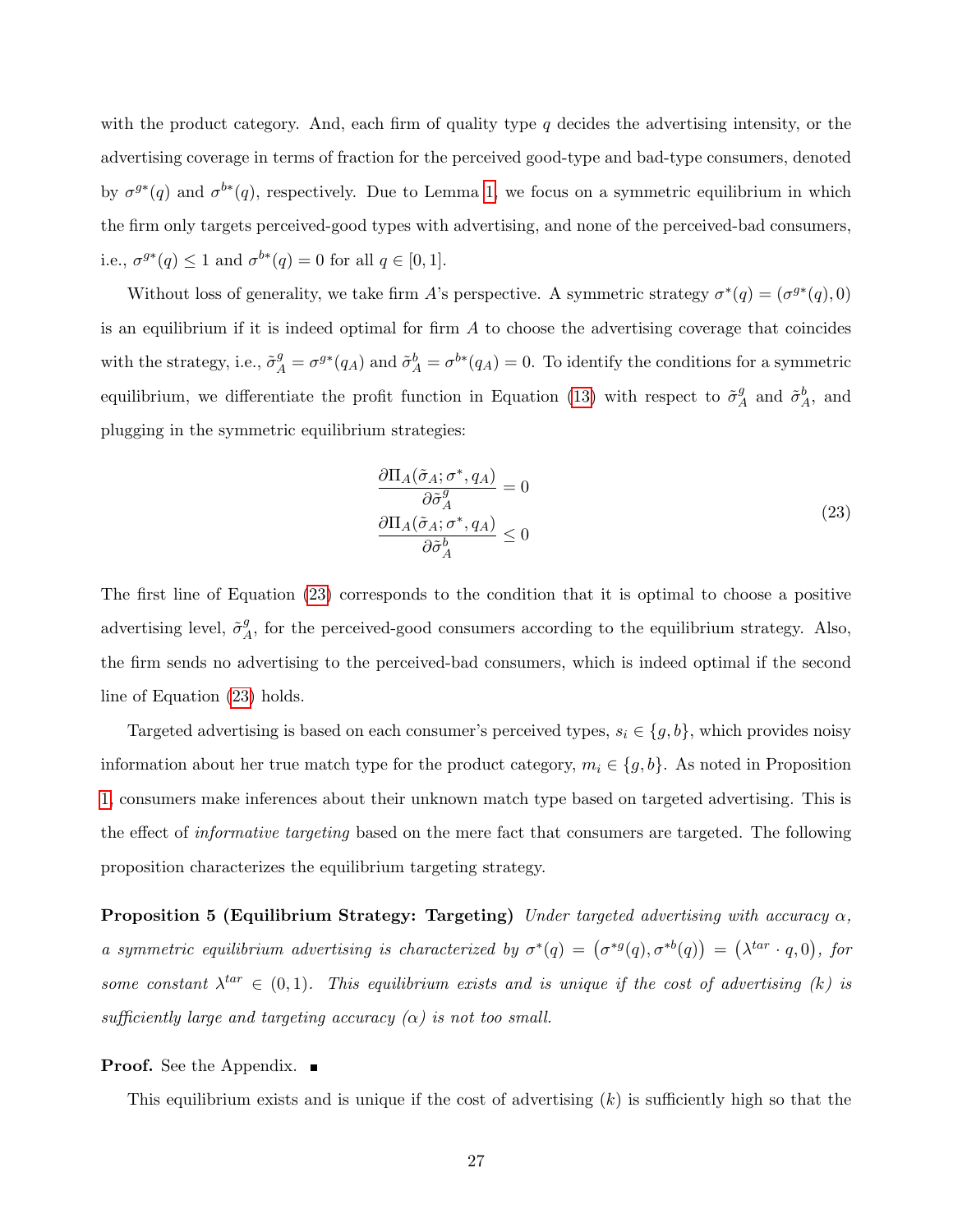with the product category. And, each firm of quality type  $q$  decides the advertising intensity, or the advertising coverage in terms of fraction for the perceived good-type and bad-type consumers, denoted by  $\sigma^{g*}(q)$  and  $\sigma^{b*}(q)$ , respectively. Due to Lemma [1,](#page-13-2) we focus on a symmetric equilibrium in which the firm only targets perceived-good types with advertising, and none of the perceived-bad consumers, i.e.,  $\sigma^{g*}(q) \leq 1$  and  $\sigma^{b*}(q) = 0$  for all  $q \in [0, 1]$ .

Without loss of generality, we take firm A's perspective. A symmetric strategy  $\sigma^*(q) = (\sigma^{g*}(q), 0)$ is an equilibrium if it is indeed optimal for firm  $\tilde{A}$  to choose the advertising coverage that coincides with the strategy, i.e.,  $\tilde{\sigma}_A^g = \sigma^{g*}(q_A)$  and  $\tilde{\sigma}_A^b = \sigma^{b*}(q_A) = 0$ . To identify the conditions for a symmetric equilibrium, we differentiate the profit function in Equation [\(13\)](#page-23-3) with respect to  $\tilde{\sigma}_{\ell}^{g}$  $A^g$  and  $\tilde{\sigma}^b_A$ , and plugging in the symmetric equilibrium strategies:

<span id="page-27-1"></span><span id="page-27-0"></span>
$$
\frac{\partial \Pi_A(\tilde{\sigma}_A; \sigma^*, q_A)}{\partial \tilde{\sigma}_A^g} = 0
$$
\n
$$
\frac{\partial \Pi_A(\tilde{\sigma}_A; \sigma^*, q_A)}{\partial \tilde{\sigma}_A^b} \le 0
$$
\n(23)

The first line of Equation [\(23\)](#page-27-1) corresponds to the condition that it is optimal to choose a positive advertising level,  $\tilde{\sigma}^g_{\mu}$  $A<sup>g</sup>$ , for the perceived-good consumers according to the equilibrium strategy. Also, the firm sends no advertising to the perceived-bad consumers, which is indeed optimal if the second line of Equation [\(23\)](#page-27-1) holds.

Targeted advertising is based on each consumer's perceived types,  $s_i \in \{g, b\}$ , which provides noisy information about her true match type for the product category,  $m_i \in \{g, b\}$ . As noted in Proposition [1,](#page-15-1) consumers make inferences about their unknown match type based on targeted advertising. This is the effect of *informative targeting* based on the mere fact that consumers are targeted. The following proposition characterizes the equilibrium targeting strategy.

**Proposition 5 (Equilibrium Strategy: Targeting)** Under targeted advertising with accuracy  $\alpha$ , a symmetric equilibrium advertising is characterized by  $\sigma^*(q) = (\sigma^{*g}(q), \sigma^{*b}(q)) = (\lambda^{tar} \cdot q, 0)$ , for some constant  $\lambda^{tar} \in (0,1)$ . This equilibrium exists and is unique if the cost of advertising (k) is sufficiently large and targeting accuracy  $(\alpha)$  is not too small.

#### **Proof.** See the Appendix.

This equilibrium exists and is unique if the cost of advertising  $(k)$  is sufficiently high so that the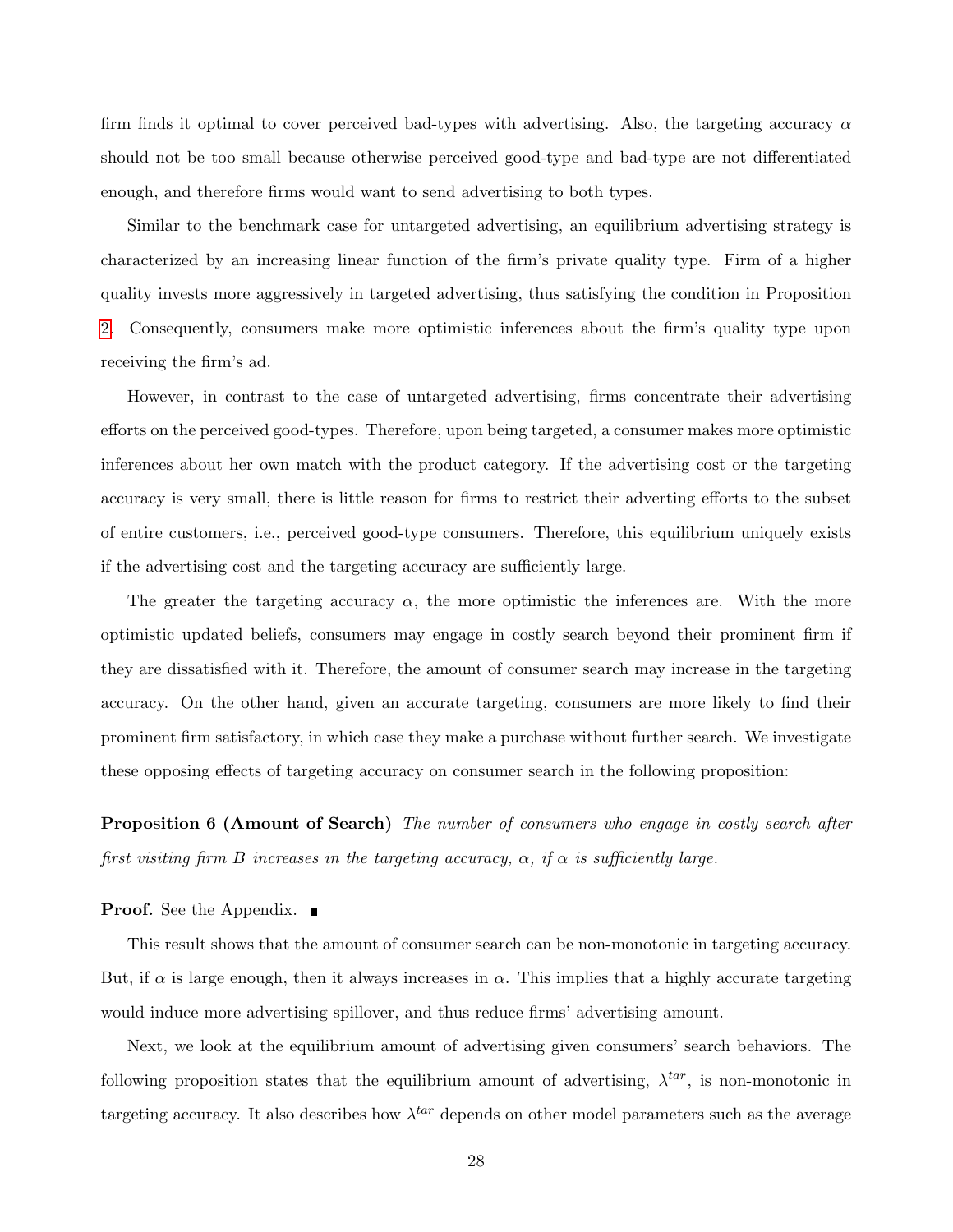firm finds it optimal to cover perceived bad-types with advertising. Also, the targeting accuracy  $\alpha$ should not be too small because otherwise perceived good-type and bad-type are not differentiated enough, and therefore firms would want to send advertising to both types.

Similar to the benchmark case for untargeted advertising, an equilibrium advertising strategy is characterized by an increasing linear function of the firm's private quality type. Firm of a higher quality invests more aggressively in targeted advertising, thus satisfying the condition in Proposition [2.](#page-16-2) Consequently, consumers make more optimistic inferences about the firm's quality type upon receiving the firm's ad.

However, in contrast to the case of untargeted advertising, firms concentrate their advertising efforts on the perceived good-types. Therefore, upon being targeted, a consumer makes more optimistic inferences about her own match with the product category. If the advertising cost or the targeting accuracy is very small, there is little reason for firms to restrict their adverting efforts to the subset of entire customers, i.e., perceived good-type consumers. Therefore, this equilibrium uniquely exists if the advertising cost and the targeting accuracy are sufficiently large.

The greater the targeting accuracy  $\alpha$ , the more optimistic the inferences are. With the more optimistic updated beliefs, consumers may engage in costly search beyond their prominent firm if they are dissatisfied with it. Therefore, the amount of consumer search may increase in the targeting accuracy. On the other hand, given an accurate targeting, consumers are more likely to find their prominent firm satisfactory, in which case they make a purchase without further search. We investigate these opposing effects of targeting accuracy on consumer search in the following proposition:

<span id="page-28-0"></span>**Proposition 6 (Amount of Search)** The number of consumers who engage in costly search after first visiting firm B increases in the targeting accuracy,  $\alpha$ , if  $\alpha$  is sufficiently large.

**Proof.** See the Appendix.

This result shows that the amount of consumer search can be non-monotonic in targeting accuracy. But, if  $\alpha$  is large enough, then it always increases in  $\alpha$ . This implies that a highly accurate targeting would induce more advertising spillover, and thus reduce firms' advertising amount.

Next, we look at the equilibrium amount of advertising given consumers' search behaviors. The following proposition states that the equilibrium amount of advertising,  $\lambda^{tar}$ , is non-monotonic in targeting accuracy. It also describes how  $\lambda^{tar}$  depends on other model parameters such as the average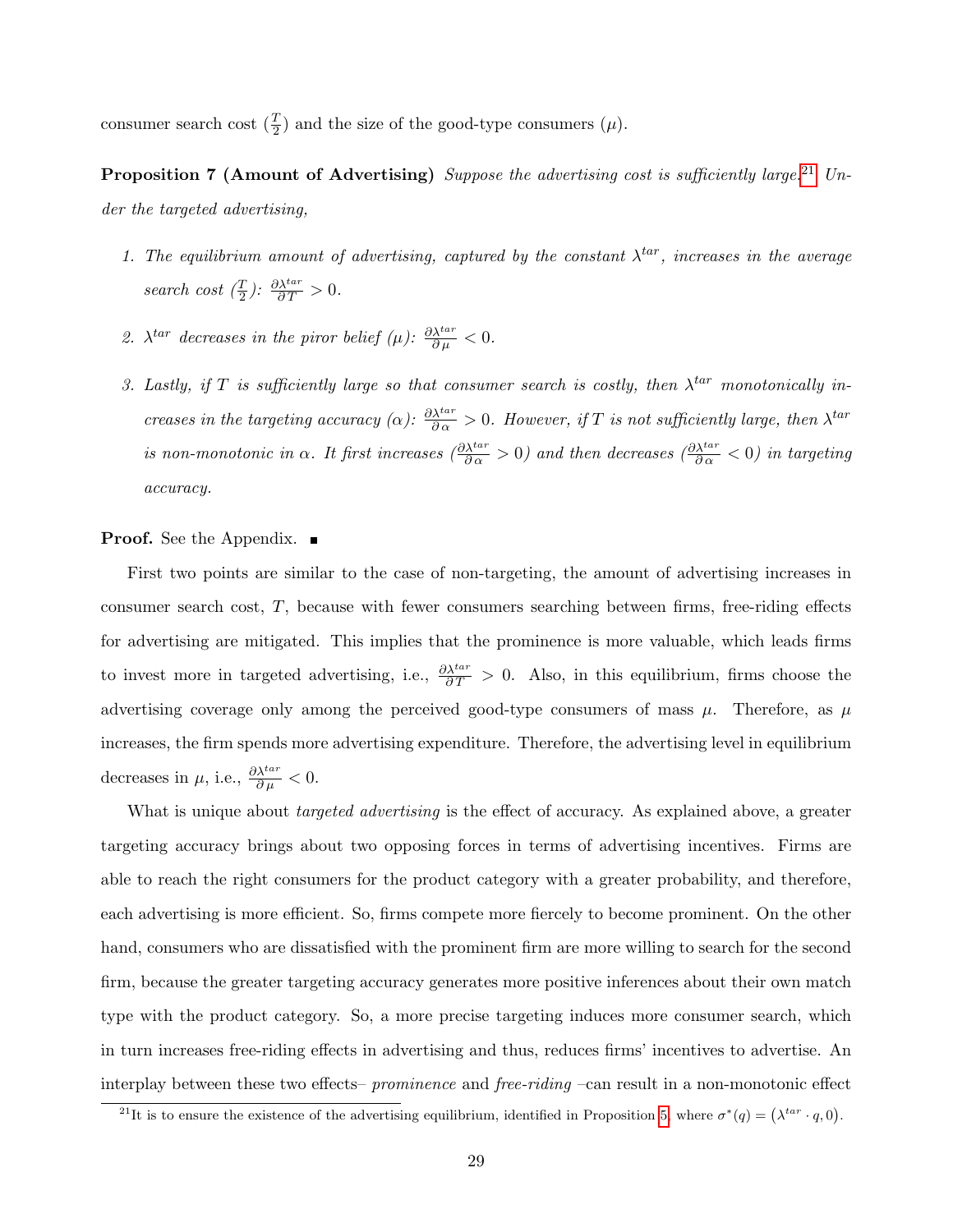<span id="page-29-1"></span>consumer search cost  $(\frac{T}{2})$  and the size of the good-type consumers  $(\mu)$ .

**Proposition 7 (Amount of Advertising)** Suppose the advertising cost is sufficiently large.<sup>[21](#page-29-0)</sup> Under the targeted advertising,

- 1. The equilibrium amount of advertising, captured by the constant  $\lambda^{tar}$ , increases in the average search cost  $(\frac{T}{2})$ :  $\frac{\partial \lambda^{tar}}{\partial T} > 0$ .
- 2.  $\lambda^{tar}$  decreases in the piror belief ( $\mu$ ):  $\frac{\partial \lambda^{tar}}{\partial \mu} < 0$ .
- 3. Lastly, if T is sufficiently large so that consumer search is costly, then  $\lambda^{tar}$  monotonically increases in the targeting accuracy ( $\alpha$ ):  $\frac{\partial \lambda^{tar}}{\partial \alpha} > 0$ . However, if T is not sufficiently large, then  $\lambda^{tar}$ is non-monotonic in  $\alpha$ . It first increases  $\left(\frac{\partial \lambda^{tar}}{\partial \alpha} > 0\right)$  and then decreases  $\left(\frac{\partial \lambda^{tar}}{\partial \alpha} < 0\right)$  in targeting accuracy.

#### **Proof.** See the Appendix. ■

First two points are similar to the case of non-targeting, the amount of advertising increases in consumer search cost, T, because with fewer consumers searching between firms, free-riding effects for advertising are mitigated. This implies that the prominence is more valuable, which leads firms to invest more in targeted advertising, i.e.,  $\frac{\partial \lambda^{tar}}{\partial T} > 0$ . Also, in this equilibrium, firms choose the advertising coverage only among the perceived good-type consumers of mass  $\mu$ . Therefore, as  $\mu$ increases, the firm spends more advertising expenditure. Therefore, the advertising level in equilibrium decreases in  $\mu$ , i.e.,  $\frac{\partial \lambda^{tar}}{\partial \mu} < 0$ .

What is unique about *targeted advertising* is the effect of accuracy. As explained above, a greater targeting accuracy brings about two opposing forces in terms of advertising incentives. Firms are able to reach the right consumers for the product category with a greater probability, and therefore, each advertising is more efficient. So, firms compete more fiercely to become prominent. On the other hand, consumers who are dissatisfied with the prominent firm are more willing to search for the second firm, because the greater targeting accuracy generates more positive inferences about their own match type with the product category. So, a more precise targeting induces more consumer search, which in turn increases free-riding effects in advertising and thus, reduces firms' incentives to advertise. An interplay between these two effects– prominence and free-riding –can result in a non-monotonic effect

<span id="page-29-0"></span><sup>&</sup>lt;sup>21</sup>It is to ensure the existence of the advertising equilibrium, identified in Proposition [5,](#page-27-0) where  $\sigma^*(q) = (\lambda^{tar} \cdot q, 0)$ .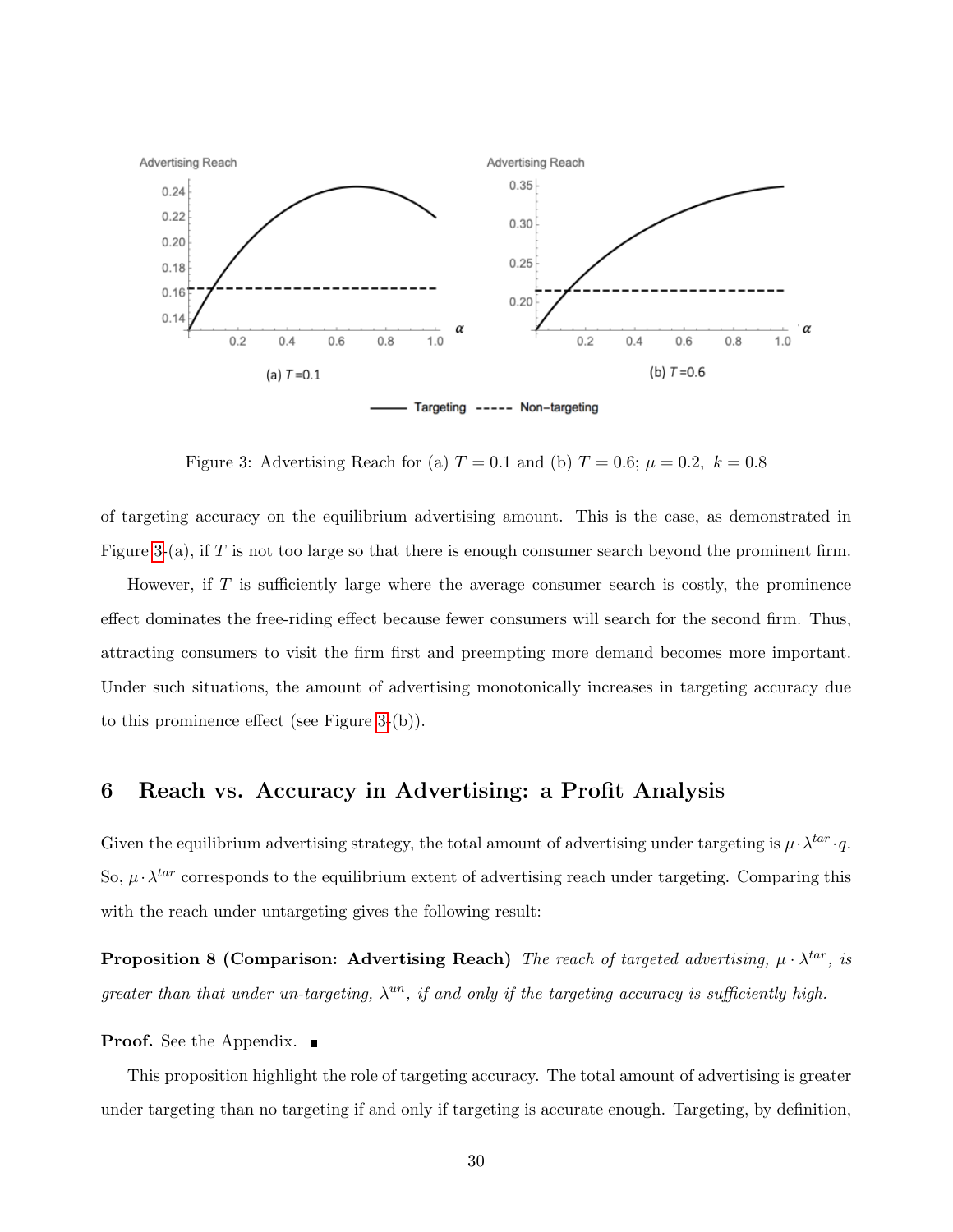<span id="page-30-1"></span>

Figure 3: Advertising Reach for (a)  $T = 0.1$  and (b)  $T = 0.6$ ;  $\mu = 0.2$ ,  $k = 0.8$ 

of targeting accuracy on the equilibrium advertising amount. This is the case, as demonstrated in Figure [3-](#page-30-1)(a), if  $T$  is not too large so that there is enough consumer search beyond the prominent firm.

However, if  $T$  is sufficiently large where the average consumer search is costly, the prominence effect dominates the free-riding effect because fewer consumers will search for the second firm. Thus, attracting consumers to visit the firm first and preempting more demand becomes more important. Under such situations, the amount of advertising monotonically increases in targeting accuracy due to this prominence effect (see Figure [3-](#page-30-1)(b)).

# <span id="page-30-0"></span>6 Reach vs. Accuracy in Advertising: a Profit Analysis

<span id="page-30-2"></span>Given the equilibrium advertising strategy, the total amount of advertising under targeting is  $\mu \cdot \lambda^{tar} \cdot q$ . So,  $\mu \cdot \lambda^{tar}$  corresponds to the equilibrium extent of advertising reach under targeting. Comparing this with the reach under untargeting gives the following result:

**Proposition 8 (Comparison: Advertising Reach)** The reach of targeted advertising,  $\mu \cdot \lambda^{tar}$ , is greater than that under un-targeting,  $\lambda^{un}$ , if and only if the targeting accuracy is sufficiently high.

**Proof.** See the Appendix. ■

This proposition highlight the role of targeting accuracy. The total amount of advertising is greater under targeting than no targeting if and only if targeting is accurate enough. Targeting, by definition,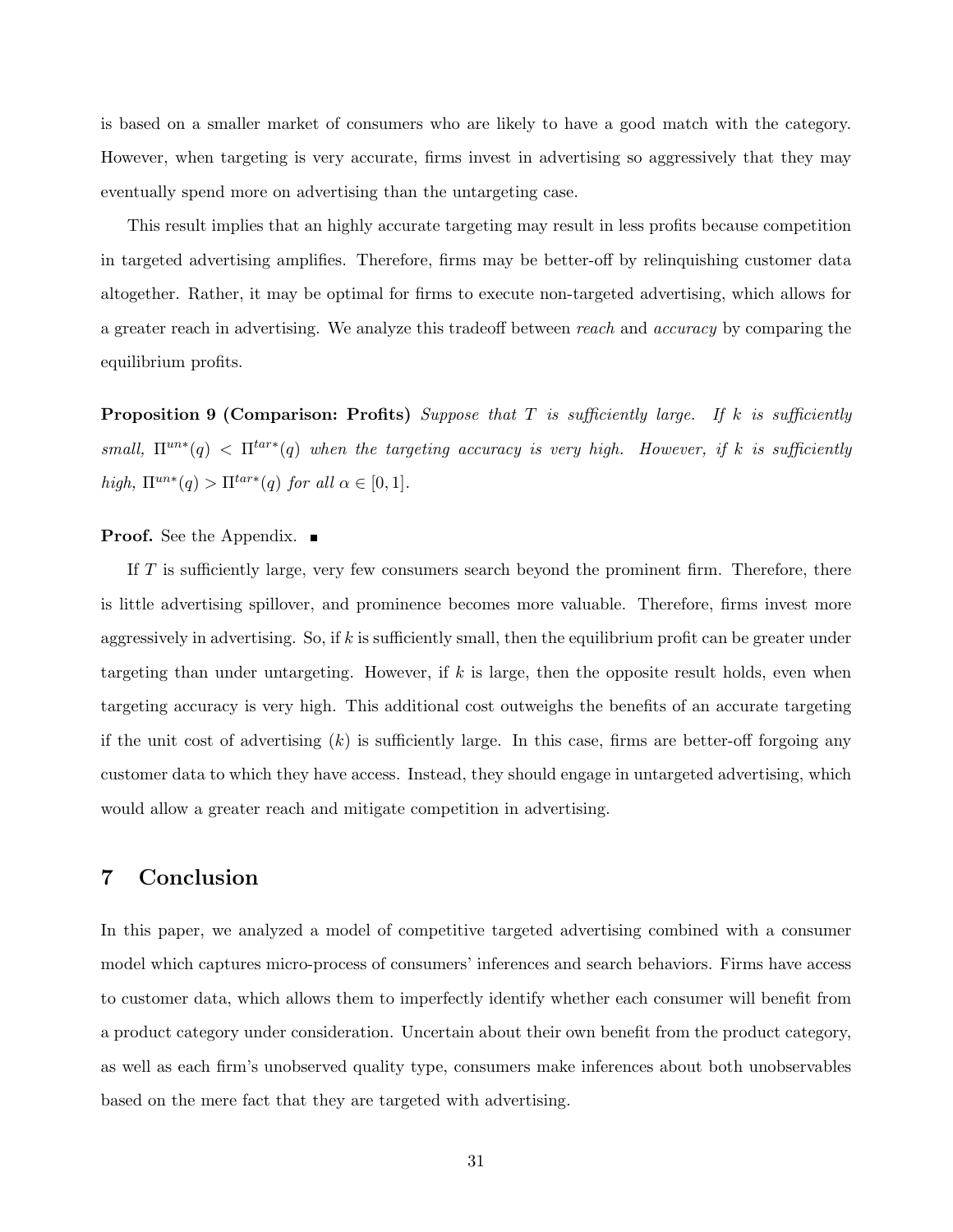is based on a smaller market of consumers who are likely to have a good match with the category. However, when targeting is very accurate, firms invest in advertising so aggressively that they may eventually spend more on advertising than the untargeting case.

This result implies that an highly accurate targeting may result in less profits because competition in targeted advertising amplifies. Therefore, firms may be better-off by relinquishing customer data altogether. Rather, it may be optimal for firms to execute non-targeted advertising, which allows for a greater reach in advertising. We analyze this tradeoff between reach and accuracy by comparing the equilibrium profits.

<span id="page-31-1"></span>**Proposition 9 (Comparison: Profits)** Suppose that T is sufficiently large. If k is sufficiently small,  $\Pi^{un*}(q) < \Pi^{tar*}(q)$  when the targeting accuracy is very high. However, if k is sufficiently high,  $\Pi^{un*}(q) > \Pi^{tar*}(q)$  for all  $\alpha \in [0,1]$ .

#### **Proof.** See the Appendix. ■

If  $T$  is sufficiently large, very few consumers search beyond the prominent firm. Therefore, there is little advertising spillover, and prominence becomes more valuable. Therefore, firms invest more aggressively in advertising. So, if k is sufficiently small, then the equilibrium profit can be greater under targeting than under untargeting. However, if k is large, then the opposite result holds, even when targeting accuracy is very high. This additional cost outweighs the benefits of an accurate targeting if the unit cost of advertising  $(k)$  is sufficiently large. In this case, firms are better-off forgoing any customer data to which they have access. Instead, they should engage in untargeted advertising, which would allow a greater reach and mitigate competition in advertising.

# <span id="page-31-0"></span>7 Conclusion

In this paper, we analyzed a model of competitive targeted advertising combined with a consumer model which captures micro-process of consumers' inferences and search behaviors. Firms have access to customer data, which allows them to imperfectly identify whether each consumer will benefit from a product category under consideration. Uncertain about their own benefit from the product category, as well as each firm's unobserved quality type, consumers make inferences about both unobservables based on the mere fact that they are targeted with advertising.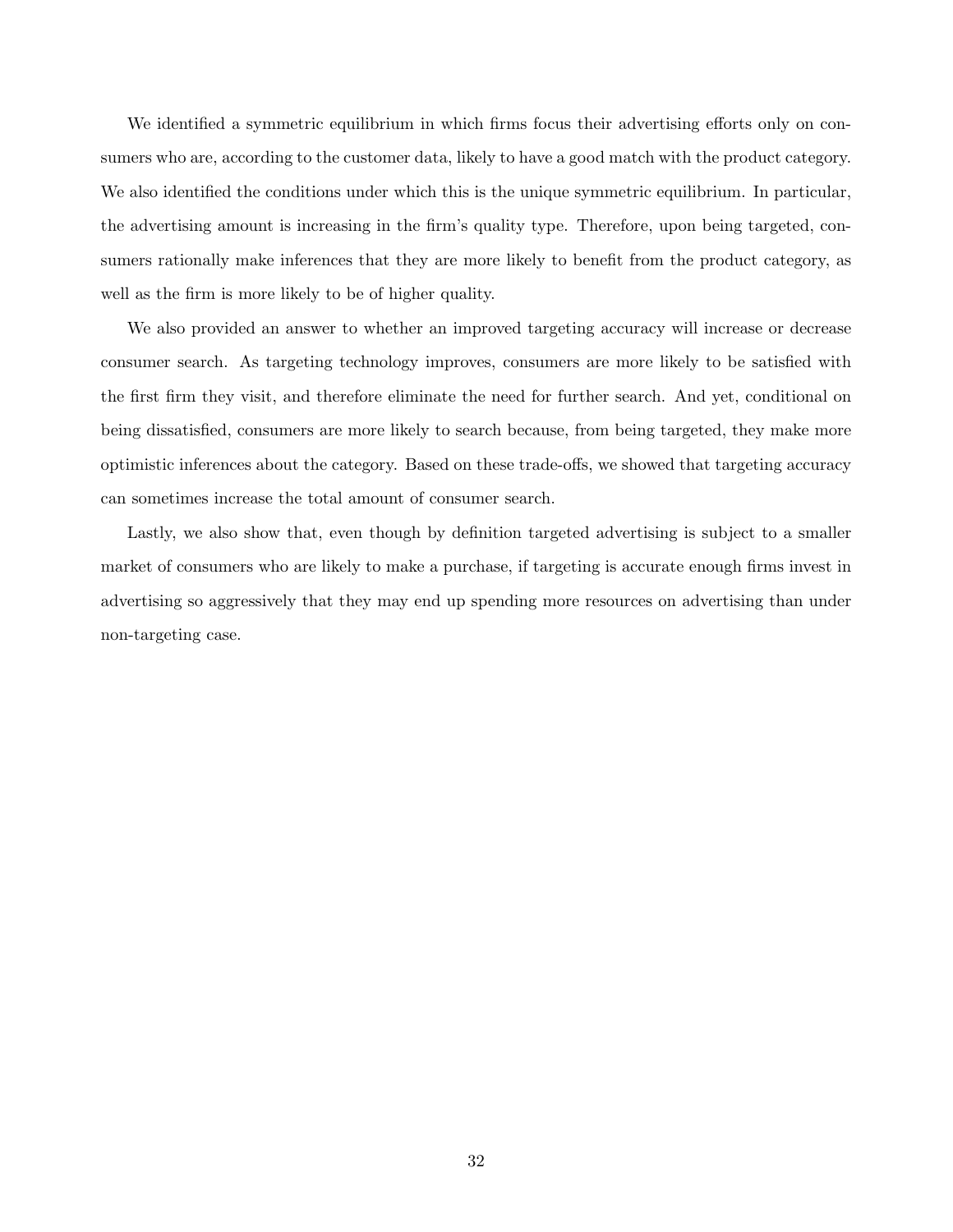We identified a symmetric equilibrium in which firms focus their advertising efforts only on consumers who are, according to the customer data, likely to have a good match with the product category. We also identified the conditions under which this is the unique symmetric equilibrium. In particular, the advertising amount is increasing in the firm's quality type. Therefore, upon being targeted, consumers rationally make inferences that they are more likely to benefit from the product category, as well as the firm is more likely to be of higher quality.

We also provided an answer to whether an improved targeting accuracy will increase or decrease consumer search. As targeting technology improves, consumers are more likely to be satisfied with the first firm they visit, and therefore eliminate the need for further search. And yet, conditional on being dissatisfied, consumers are more likely to search because, from being targeted, they make more optimistic inferences about the category. Based on these trade-offs, we showed that targeting accuracy can sometimes increase the total amount of consumer search.

Lastly, we also show that, even though by definition targeted advertising is subject to a smaller market of consumers who are likely to make a purchase, if targeting is accurate enough firms invest in advertising so aggressively that they may end up spending more resources on advertising than under non-targeting case.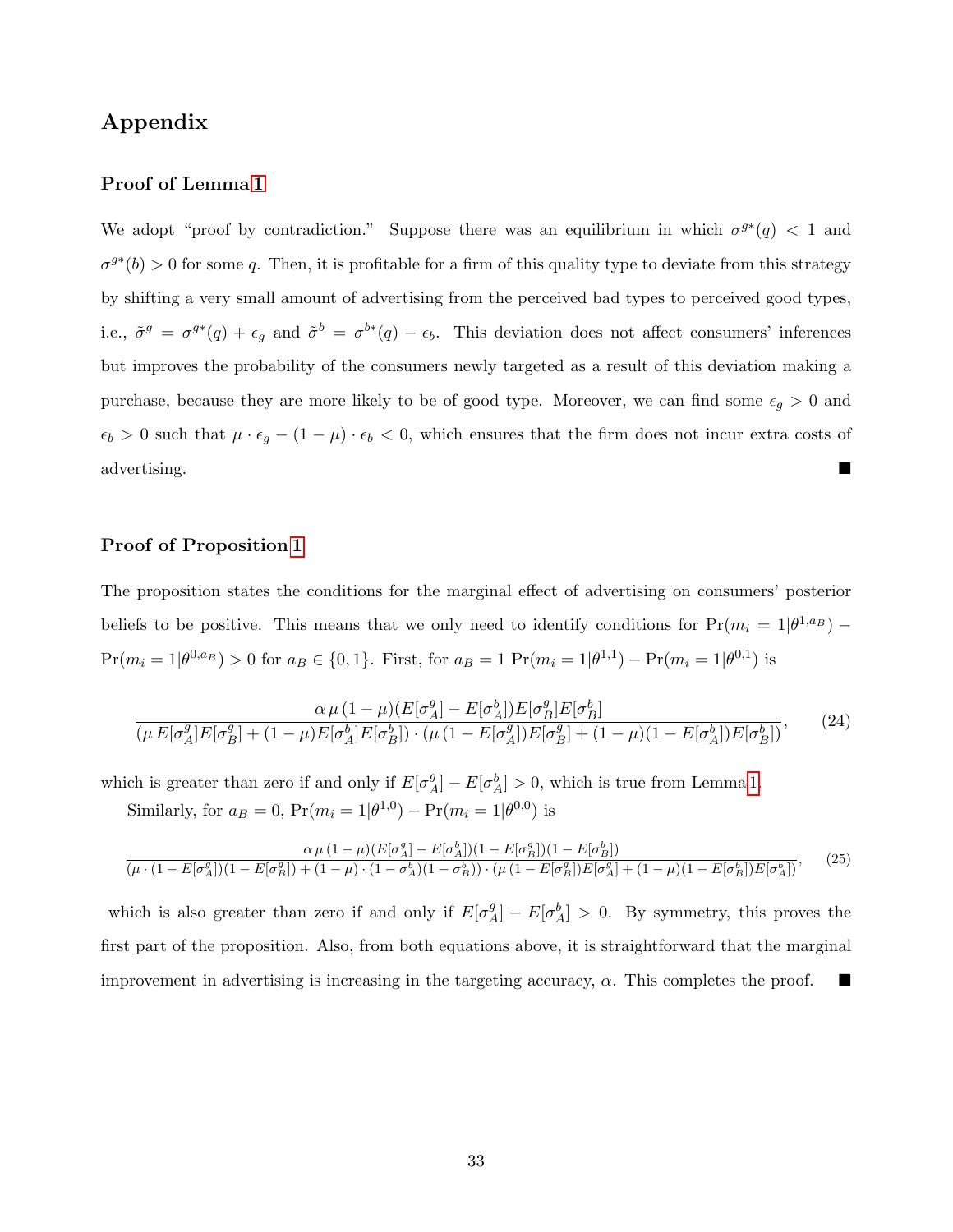# Appendix

## Proof of Lemma [1](#page-13-2)

We adopt "proof by contradiction." Suppose there was an equilibrium in which  $\sigma^{g*}(q) < 1$  and  $\sigma^{g*}(b) > 0$  for some q. Then, it is profitable for a firm of this quality type to deviate from this strategy by shifting a very small amount of advertising from the perceived bad types to perceived good types, i.e.,  $\tilde{\sigma}^g = \sigma^{g*}(q) + \epsilon_g$  and  $\tilde{\sigma}^b = \sigma^{b*}(q) - \epsilon_b$ . This deviation does not affect consumers' inferences but improves the probability of the consumers newly targeted as a result of this deviation making a purchase, because they are more likely to be of good type. Moreover, we can find some  $\epsilon_g > 0$  and  $\epsilon_b > 0$  such that  $\mu \cdot \epsilon_g - (1 - \mu) \cdot \epsilon_b < 0$ , which ensures that the firm does not incur extra costs of advertising.

### Proof of Proposition [1](#page-15-1)

The proposition states the conditions for the marginal effect of advertising on consumers' posterior beliefs to be positive. This means that we only need to identify conditions for  $Pr(m_i = 1 | \theta^{1, a})$  –  $Pr(m_i = 1 | \theta^{0,a_B}) > 0$  for  $a_B \in \{0,1\}$ . First, for  $a_B = 1$   $Pr(m_i = 1 | \theta^{1,1}) - Pr(m_i = 1 | \theta^{0,1})$  is

$$
\frac{\alpha \mu (1-\mu)(E[\sigma_A^g] - E[\sigma_A^b])E[\sigma_B^g]E[\sigma_B^b]}{(\mu E[\sigma_A^g]E[\sigma_B^g] + (1-\mu)E[\sigma_A^b]E[\sigma_B^b]) \cdot (\mu (1 - E[\sigma_A^g])E[\sigma_B^g] + (1-\mu)(1 - E[\sigma_A^b])E[\sigma_B^b])},
$$
\n(24)

which is greater than zero if and only if  $E[\sigma_A^g]$  $\mathcal{L}_A^g$ ] –  $E[\sigma_A^b] > 0$ , which is true from Lemma [1.](#page-13-2) Similarly, for  $a_B = 0$ ,  $Pr(m_i = 1 | \theta^{1,0}) - Pr(m_i = 1 | \theta^{0,0})$  is

$$
\frac{\alpha \mu (1-\mu)(E[\sigma_A^g]-E[\sigma_A^h])(1-E[\sigma_B^g])}{(\mu \cdot (1-E[\sigma_A^g])(1-E[\sigma_B^g])+(1-\mu)\cdot (1-\sigma_A^h)(1-\sigma_B^h))\cdot (\mu (1-E[\sigma_B^g])E[\sigma_A^g]+(1-\mu)(1-E[\sigma_B^h])E[\sigma_A^h])},\tag{25}
$$

which is also greater than zero if and only if  $E[\sigma_A^g]$  $\mathcal{L}_A^g$  –  $E[\sigma_A^b] > 0$ . By symmetry, this proves the first part of the proposition. Also, from both equations above, it is straightforward that the marginal improvement in advertising is increasing in the targeting accuracy,  $\alpha$ . This completes the proof.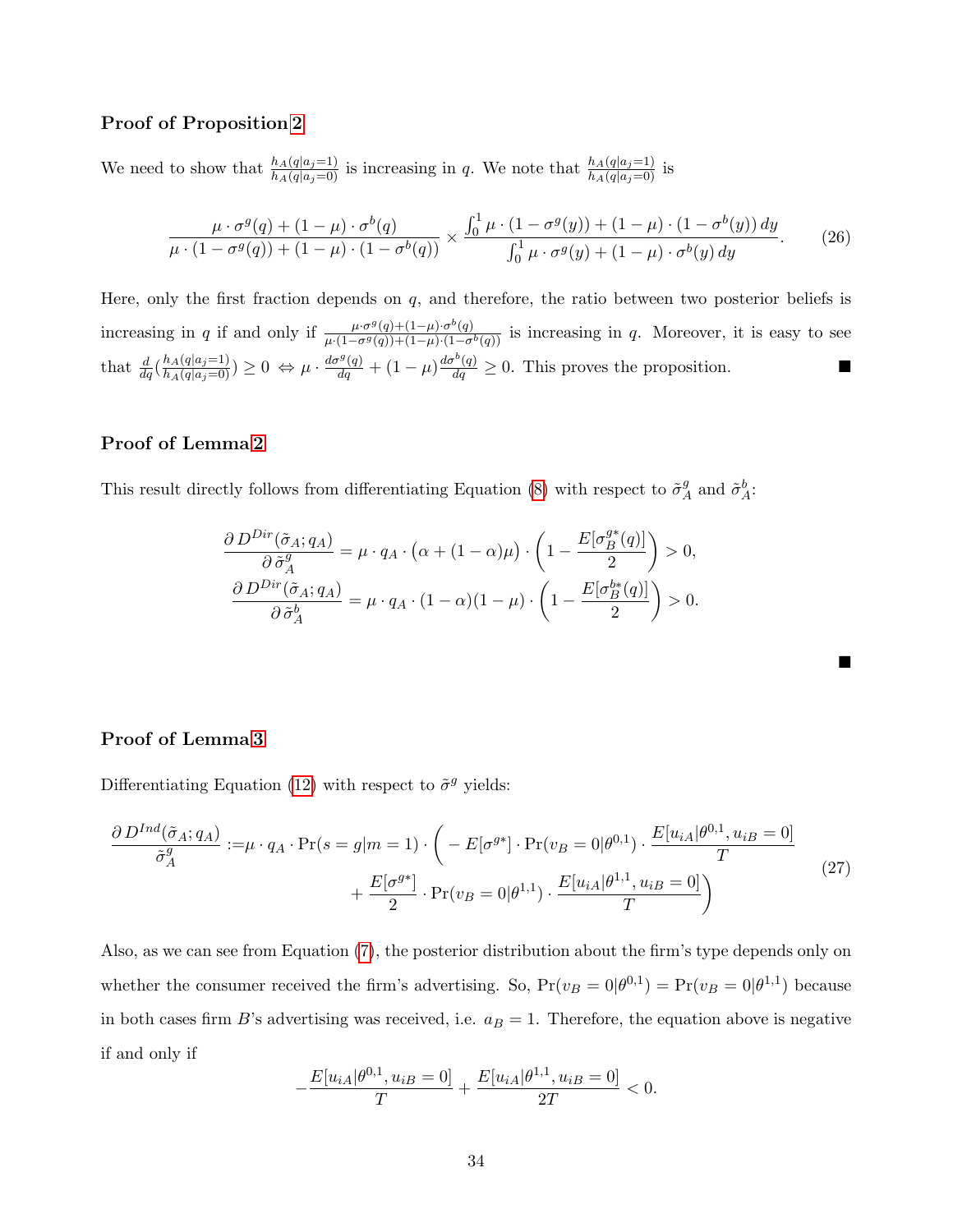### Proof of Proposition [2](#page-16-2)

We need to show that  $\frac{h_A(q|a_j=1)}{h_A(q|a_j=0)}$  is increasing in q. We note that  $\frac{h_A(q|a_j=1)}{h_A(q|a_j=0)}$  is

$$
\frac{\mu \cdot \sigma^g(q) + (1-\mu) \cdot \sigma^b(q)}{\mu \cdot (1-\sigma^g(q)) + (1-\mu) \cdot (1-\sigma^b(q))} \times \frac{\int_0^1 \mu \cdot (1-\sigma^g(y)) + (1-\mu) \cdot (1-\sigma^b(y)) dy}{\int_0^1 \mu \cdot \sigma^g(y) + (1-\mu) \cdot \sigma^b(y) dy}.
$$
 (26)

Here, only the first fraction depends on  $q$ , and therefore, the ratio between two posterior beliefs is increasing in q if and only if  $\frac{\mu \cdot \sigma^g(q) + (1-\mu) \cdot \sigma^b(q)}{\mu \cdot (1-\sigma^g(q)) + (1-\mu) \cdot (1-\sigma^b(q))}$  is increasing in q. Moreover, it is easy to see that  $\frac{d}{dq} \left( \frac{h_A(q|a_j=1)}{h_A(q|a_j=0)} \right) \ge 0 \Leftrightarrow \mu \cdot \frac{d\sigma^g(q)}{dq} + (1-\mu) \frac{d\sigma^b(q)}{dq} \ge 0$ . This proves the proposition.

### Proof of Lemma [2](#page-19-2)

This result directly follows from differentiating Equation [\(8\)](#page-19-1) with respect to  $\tilde{\sigma}_{\ell}^{g}$  $^g_A$  and  $\tilde{\sigma}^b_A$ :

$$
\frac{\partial D^{Dir}(\tilde{\sigma}_A; q_A)}{\partial \tilde{\sigma}_A^g} = \mu \cdot q_A \cdot (\alpha + (1 - \alpha)\mu) \cdot \left(1 - \frac{E[\sigma_B^{g*}(q)]}{2}\right) > 0,
$$
  

$$
\frac{\partial D^{Dir}(\tilde{\sigma}_A; q_A)}{\partial \tilde{\sigma}_A^b} = \mu \cdot q_A \cdot (1 - \alpha)(1 - \mu) \cdot \left(1 - \frac{E[\sigma_B^{b*}(q)]}{2}\right) > 0.
$$

 $\blacksquare$ 

### Proof of Lemma [3](#page-22-1)

Differentiating Equation [\(12\)](#page-22-0) with respect to  $\tilde{\sigma}^g$  yields:

$$
\frac{\partial D^{Ind}(\tilde{\sigma}_A; q_A)}{\tilde{\sigma}_A^g} := \mu \cdot q_A \cdot \Pr(s = g|m = 1) \cdot \left( -E[\sigma^{g*}] \cdot \Pr(v_B = 0 | \theta^{0,1}) \cdot \frac{E[u_{iA} | \theta^{0,1}, u_{iB} = 0]}{T} + \frac{E[\sigma^{g*}]}{2} \cdot \Pr(v_B = 0 | \theta^{1,1}) \cdot \frac{E[u_{iA} | \theta^{1,1}, u_{iB} = 0]}{T} \right)
$$
\n(27)

Also, as we can see from Equation [\(7\)](#page-16-1), the posterior distribution about the firm's type depends only on whether the consumer received the firm's advertising. So,  $Pr(v_B = 0|\theta^{0,1}) = Pr(v_B = 0|\theta^{1,1})$  because in both cases firm B's advertising was received, i.e.  $a_B = 1$ . Therefore, the equation above is negative if and only if

$$
-\frac{E[u_{iA}|\theta^{0,1},u_{iB}=0]}{T} + \frac{E[u_{iA}|\theta^{1,1},u_{iB}=0]}{2T} < 0.
$$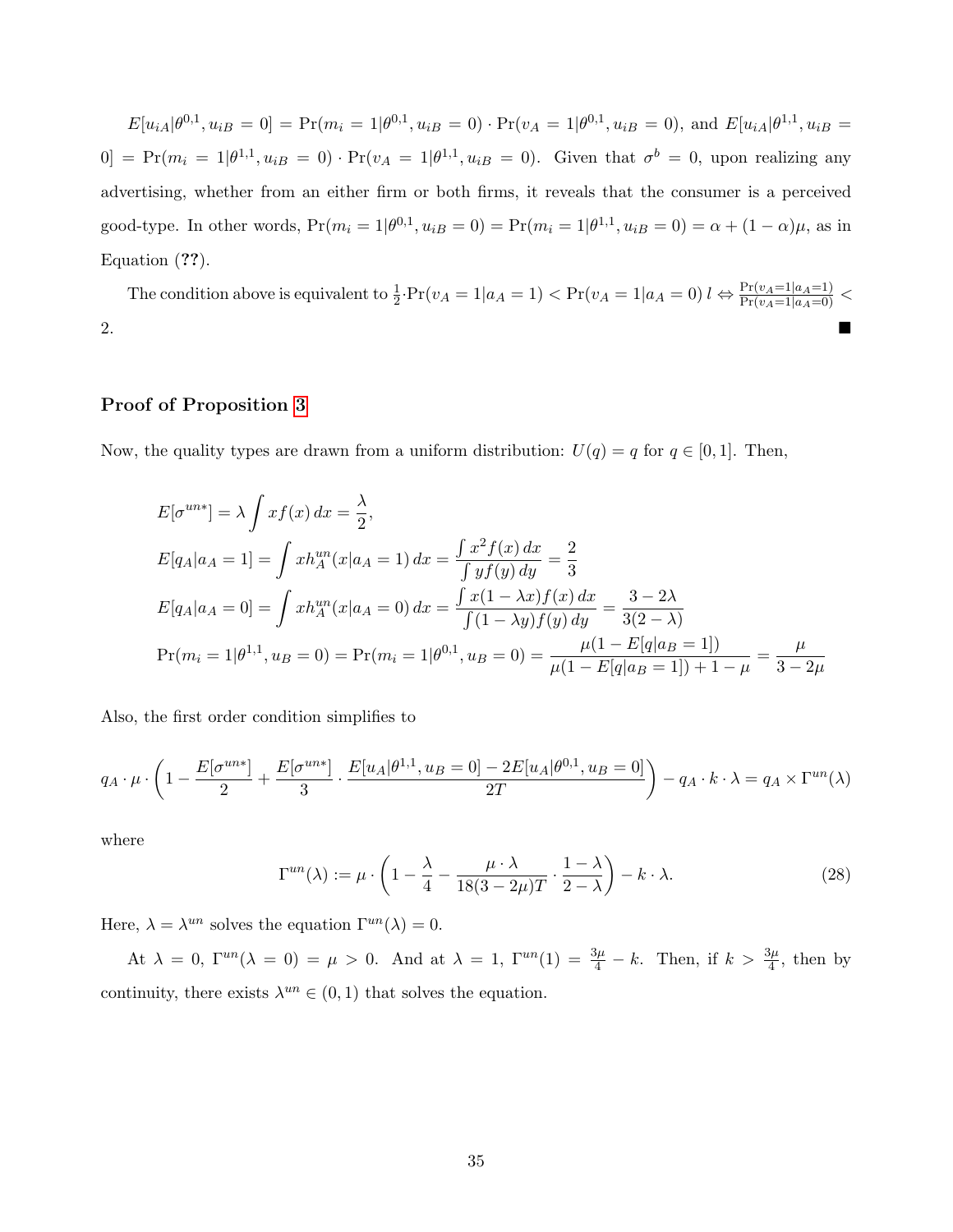$E[u_{iA}|\theta^{0,1},u_{iB}=0]=\Pr(m_i=1|\theta^{0,1},u_{iB}=0)\cdot\Pr(v_A=1|\theta^{0,1},u_{iB}=0),$  and  $E[u_{iA}|\theta^{1,1},u_{iB}=0]$  $[0] = Pr(m_i = 1 | \theta^{1,1}, u_{iB} = 0) \cdot Pr(v_A = 1 | \theta^{1,1}, u_{iB} = 0)$ . Given that  $\sigma^b = 0$ , upon realizing any advertising, whether from an either firm or both firms, it reveals that the consumer is a perceived good-type. In other words,  $Pr(m_i = 1 | \theta^{0,1}, u_{iB} = 0) = Pr(m_i = 1 | \theta^{1,1}, u_{iB} = 0) = \alpha + (1 - \alpha)\mu$ , as in Equation (??).

The condition above is equivalent to  $\frac{1}{2} \cdot \Pr(v_A = 1|a_A = 1) < \Pr(v_A = 1|a_A = 0)$   $l \Leftrightarrow \frac{\Pr(v_A = 1|a_A = 1)}{\Pr(v_A = 1|a_A = 0)}$ 2.

## Proof of Proposition [3](#page-25-2)

Now, the quality types are drawn from a uniform distribution:  $U(q) = q$  for  $q \in [0, 1]$ . Then,

$$
E[\sigma^{un*}] = \lambda \int x f(x) dx = \frac{\lambda}{2},
$$
  
\n
$$
E[q_A|a_A = 1] = \int x h_A^{un}(x|a_A = 1) dx = \frac{\int x^2 f(x) dx}{\int y f(y) dy} = \frac{2}{3}
$$
  
\n
$$
E[q_A|a_A = 0] = \int x h_A^{un}(x|a_A = 0) dx = \frac{\int x(1 - \lambda x) f(x) dx}{\int (1 - \lambda y) f(y) dy} = \frac{3 - 2\lambda}{3(2 - \lambda)}
$$
  
\n
$$
Pr(m_i = 1 | \theta^{1,1}, u_B = 0) = Pr(m_i = 1 | \theta^{0,1}, u_B = 0) = \frac{\mu(1 - E[q|a_B = 1])}{\mu(1 - E[q|a_B = 1]) + 1 - \mu} = \frac{\mu}{3 - 2\mu}
$$

Also, the first order condition simplifies to

$$
q_A \cdot \mu \cdot \left(1 - \frac{E[\sigma^{un*}]}{2} + \frac{E[\sigma^{un*}]}{3} \cdot \frac{E[u_A|\theta^{1,1}, u_B = 0] - 2E[u_A|\theta^{0,1}, u_B = 0]}{2T}\right) - q_A \cdot k \cdot \lambda = q_A \times \Gamma^{un}(\lambda)
$$

where

<span id="page-35-0"></span>
$$
\Gamma^{un}(\lambda) := \mu \cdot \left(1 - \frac{\lambda}{4} - \frac{\mu \cdot \lambda}{18(3 - 2\mu)T} \cdot \frac{1 - \lambda}{2 - \lambda}\right) - k \cdot \lambda. \tag{28}
$$

Here,  $\lambda = \lambda^{un}$  solves the equation  $\Gamma^{un}(\lambda) = 0$ .

At  $\lambda = 0$ ,  $\Gamma^{un}(\lambda = 0) = \mu > 0$ . And at  $\lambda = 1$ ,  $\Gamma^{un}(1) = \frac{3\mu}{4} - k$ . Then, if  $k > \frac{3\mu}{4}$ , then by continuity, there exists  $\lambda^{un} \in (0,1)$  that solves the equation.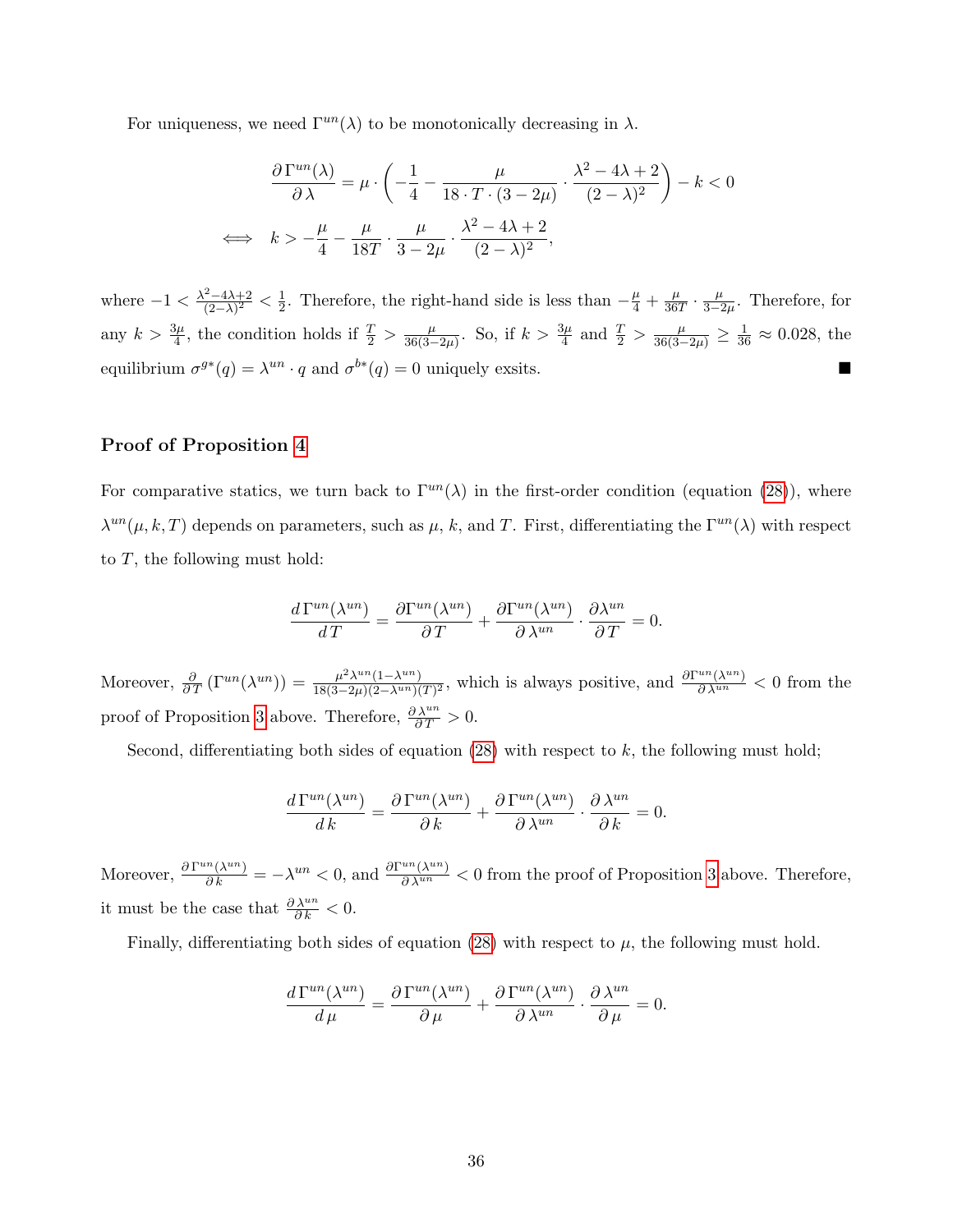For uniqueness, we need  $\Gamma^{un}(\lambda)$  to be monotonically decreasing in  $\lambda$ .

$$
\frac{\partial \Gamma^{un}(\lambda)}{\partial \lambda} = \mu \cdot \left( -\frac{1}{4} - \frac{\mu}{18 \cdot T \cdot (3 - 2\mu)} \cdot \frac{\lambda^2 - 4\lambda + 2}{(2 - \lambda)^2} \right) - k < 0
$$
\n
$$
\iff k > -\frac{\mu}{4} - \frac{\mu}{18T} \cdot \frac{\mu}{3 - 2\mu} \cdot \frac{\lambda^2 - 4\lambda + 2}{(2 - \lambda)^2},
$$

where  $-1 < \frac{\lambda^2 - 4\lambda + 2}{(2-\lambda)^2}$  $\frac{2-4\lambda+2}{(2-\lambda)^2}<\frac{1}{2}$  $\frac{1}{2}$ . Therefore, the right-hand side is less than  $-\frac{\mu}{4} + \frac{\mu}{36}$  $rac{\mu}{36T} \cdot \frac{\mu}{3-2}$  $\frac{\mu}{3-2\mu}$ . Therefore, for any  $k > \frac{3\mu}{4}$ , the condition holds if  $\frac{T}{2} > \frac{\mu}{36(3-\mu)}$  $\frac{\mu}{36(3-2\mu)}$ . So, if  $k > \frac{3\mu}{4}$  and  $\frac{T}{2} > \frac{\mu}{36(3-2\mu)} \ge \frac{1}{36} \approx 0.028$ , the equilibrium  $\sigma^{g*}(q) = \lambda^{un} \cdot q$  and  $\sigma^{b*}(q) = 0$  uniquely exsits.

## Proof of Proposition [4](#page-26-0)

For comparative statics, we turn back to  $\Gamma^{un}(\lambda)$  in the first-order condition (equation [\(28\)](#page-35-0)), where  $\lambda^{un}(\mu, k, T)$  depends on parameters, such as  $\mu, k$ , and T. First, differentiating the  $\Gamma^{un}(\lambda)$  with respect to  $T$ , the following must hold:

$$
\frac{d\Gamma^{un}(\lambda^{un})}{dT} = \frac{\partial \Gamma^{un}(\lambda^{un})}{\partial T} + \frac{\partial \Gamma^{un}(\lambda^{un})}{\partial \lambda^{un}} \cdot \frac{\partial \lambda^{un}}{\partial T} = 0.
$$

Moreover,  $\frac{\partial}{\partial T}(\Gamma^{un}(\lambda^{un})) = \frac{\mu^2 \lambda^{un}(1-\lambda^{un})}{18(3-2\mu)(2-\lambda^{un})}$  $\frac{\mu^2 \lambda^{un}(1-\lambda^{un})}{18(3-2\mu)(2-\lambda^{un})(T)^2}$ , which is always positive, and  $\frac{\partial \Gamma^{un}(\lambda^{un})}{\partial \lambda^{un}} < 0$  from the proof of Proposition [3](#page-25-2) above. Therefore,  $\frac{\partial \lambda^{un}}{\partial T} > 0$ .

Second, differentiating both sides of equation  $(28)$  with respect to k, the following must hold;

$$
\frac{d\Gamma^{un}(\lambda^{un})}{dk} = \frac{\partial \Gamma^{un}(\lambda^{un})}{\partial k} + \frac{\partial \Gamma^{un}(\lambda^{un})}{\partial \lambda^{un}} \cdot \frac{\partial \lambda^{un}}{\partial k} = 0.
$$

Moreover,  $\frac{\partial \Gamma^{un}(\lambda^{un})}{\partial k} = -\lambda^{un} < 0$ , and  $\frac{\partial \Gamma^{un}(\lambda^{un})}{\partial \lambda^{un}} < 0$  from the proof of Proposition [3](#page-25-2) above. Therefore, it must be the case that  $\frac{\partial \lambda^{un}}{\partial k} < 0$ .

Finally, differentiating both sides of equation [\(28\)](#page-35-0) with respect to  $\mu$ , the following must hold.

$$
\frac{d\Gamma^{un}(\lambda^{un})}{d\mu} = \frac{\partial \Gamma^{un}(\lambda^{un})}{\partial \mu} + \frac{\partial \Gamma^{un}(\lambda^{un})}{\partial \lambda^{un}} \cdot \frac{\partial \lambda^{un}}{\partial \mu} = 0.
$$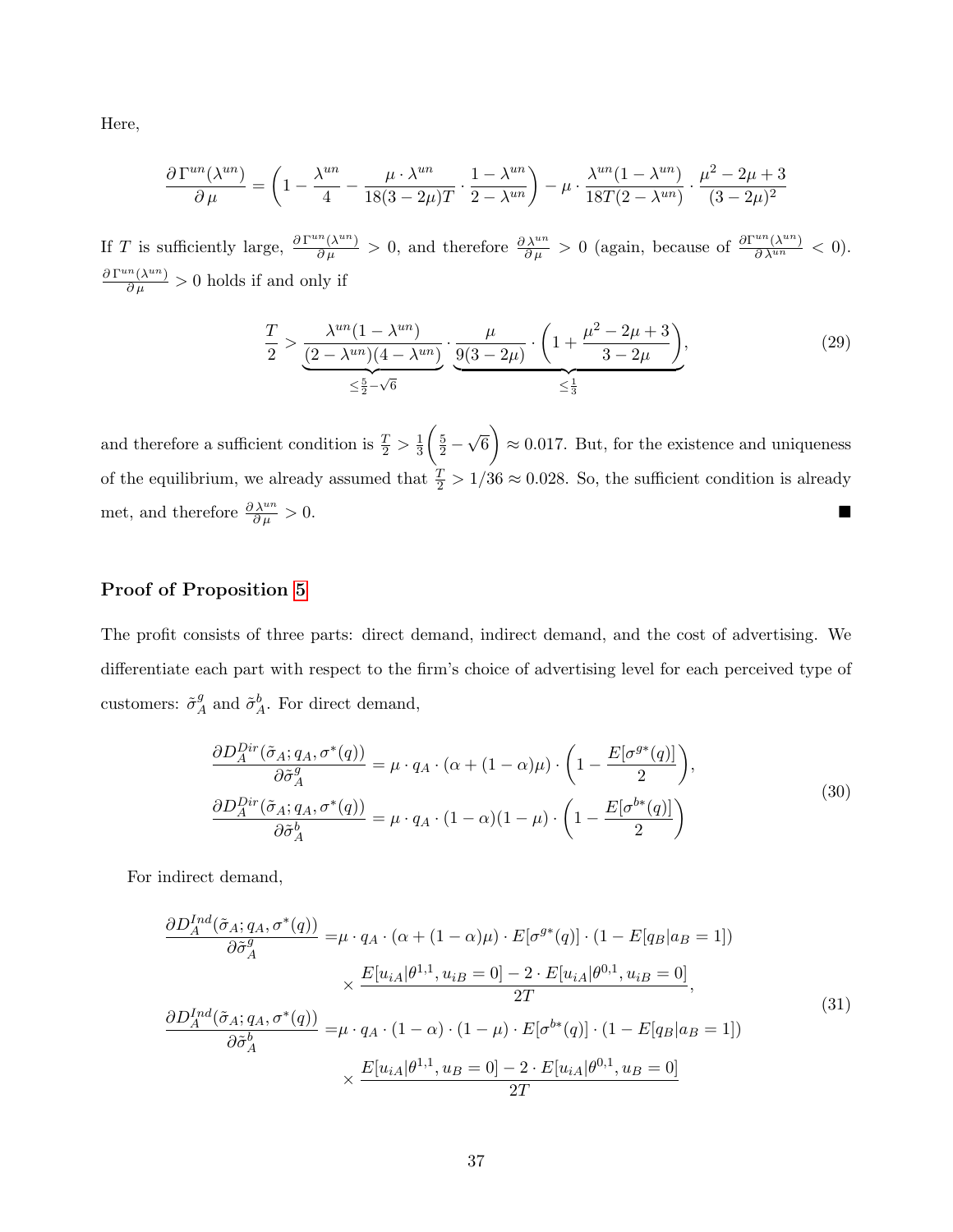Here,

$$
\frac{\partial \Gamma^{un}(\lambda^{un})}{\partial \mu} = \left(1 - \frac{\lambda^{un}}{4} - \frac{\mu \cdot \lambda^{un}}{18(3 - 2\mu)T} \cdot \frac{1 - \lambda^{un}}{2 - \lambda^{un}}\right) - \mu \cdot \frac{\lambda^{un}(1 - \lambda^{un})}{18T(2 - \lambda^{un})} \cdot \frac{\mu^2 - 2\mu + 3}{(3 - 2\mu)^2}
$$

If T is sufficiently large,  $\frac{\partial \Gamma^{un}(\lambda^{un})}{\partial \mu} > 0$ , and therefore  $\frac{\partial \lambda^{un}}{\partial \mu} > 0$  (again, because of  $\frac{\partial \Gamma^{un}(\lambda^{un})}{\partial \lambda^{un}} < 0$ ).  $\frac{\partial \Gamma^{un}(\lambda^{un})}{\partial \mu} > 0$  holds if and only if

$$
\frac{T}{2} > \underbrace{\frac{\lambda^{un}(1 - \lambda^{un})}{(2 - \lambda^{un})(4 - \lambda^{un})}}_{\leq \frac{5}{2} - \sqrt{6}} \cdot \underbrace{\frac{\mu}{9(3 - 2\mu)} \cdot \left(1 + \frac{\mu^2 - 2\mu + 3}{3 - 2\mu}\right)}_{\leq \frac{1}{3}},
$$
\n(29)

and therefore a sufficient condition is  $\frac{T}{2} > \frac{1}{3}$ 3  $\left(\frac{5}{2}-\right)$ √  $\left( \overline{6} \right) \approx 0.017$ . But, for the existence and uniqueness of the equilibrium, we already assumed that  $\frac{T}{2} > 1/36 \approx 0.028$ . So, the sufficient condition is already met, and therefore  $\frac{\partial \lambda^{un}}{\partial \mu} > 0$ .

## Proof of Proposition [5](#page-27-0)

The profit consists of three parts: direct demand, indirect demand, and the cost of advertising. We differentiate each part with respect to the firm's choice of advertising level for each perceived type of customers:  $\tilde{\sigma}^g_{\n\lambda}$  $A^g$  and  $\tilde{\sigma}^b_A$ . For direct demand,

$$
\frac{\partial D_A^{Dir}(\tilde{\sigma}_A; q_A, \sigma^*(q))}{\partial \tilde{\sigma}_A^g} = \mu \cdot q_A \cdot (\alpha + (1 - \alpha)\mu) \cdot \left(1 - \frac{E[\sigma^{g*}(q)]}{2}\right),
$$
\n
$$
\frac{\partial D_A^{Dir}(\tilde{\sigma}_A; q_A, \sigma^*(q))}{\partial \tilde{\sigma}_A^b} = \mu \cdot q_A \cdot (1 - \alpha)(1 - \mu) \cdot \left(1 - \frac{E[\sigma^{b*}(q)]}{2}\right)
$$
\n(30)

For indirect demand,

$$
\frac{\partial D_A^{Ind}(\tilde{\sigma}_A; q_A, \sigma^*(q))}{\partial \tilde{\sigma}_A^g} = \mu \cdot q_A \cdot (\alpha + (1 - \alpha)\mu) \cdot E[\sigma^{g*}(q)] \cdot (1 - E[q_B|a_B = 1])
$$
\n
$$
\times \frac{E[u_{iA}|\theta^{1,1}, u_{iB} = 0] - 2 \cdot E[u_{iA}|\theta^{0,1}, u_{iB} = 0]}{2T},
$$
\n
$$
\frac{\partial D_A^{Ind}(\tilde{\sigma}_A; q_A, \sigma^*(q))}{\partial \tilde{\sigma}_A^b} = \mu \cdot q_A \cdot (1 - \alpha) \cdot (1 - \mu) \cdot E[\sigma^{b*}(q)] \cdot (1 - E[q_B|a_B = 1])
$$
\n
$$
\times \frac{E[u_{iA}|\theta^{1,1}, u_B = 0] - 2 \cdot E[u_{iA}|\theta^{0,1}, u_B = 0]}{2T}
$$
\n(31)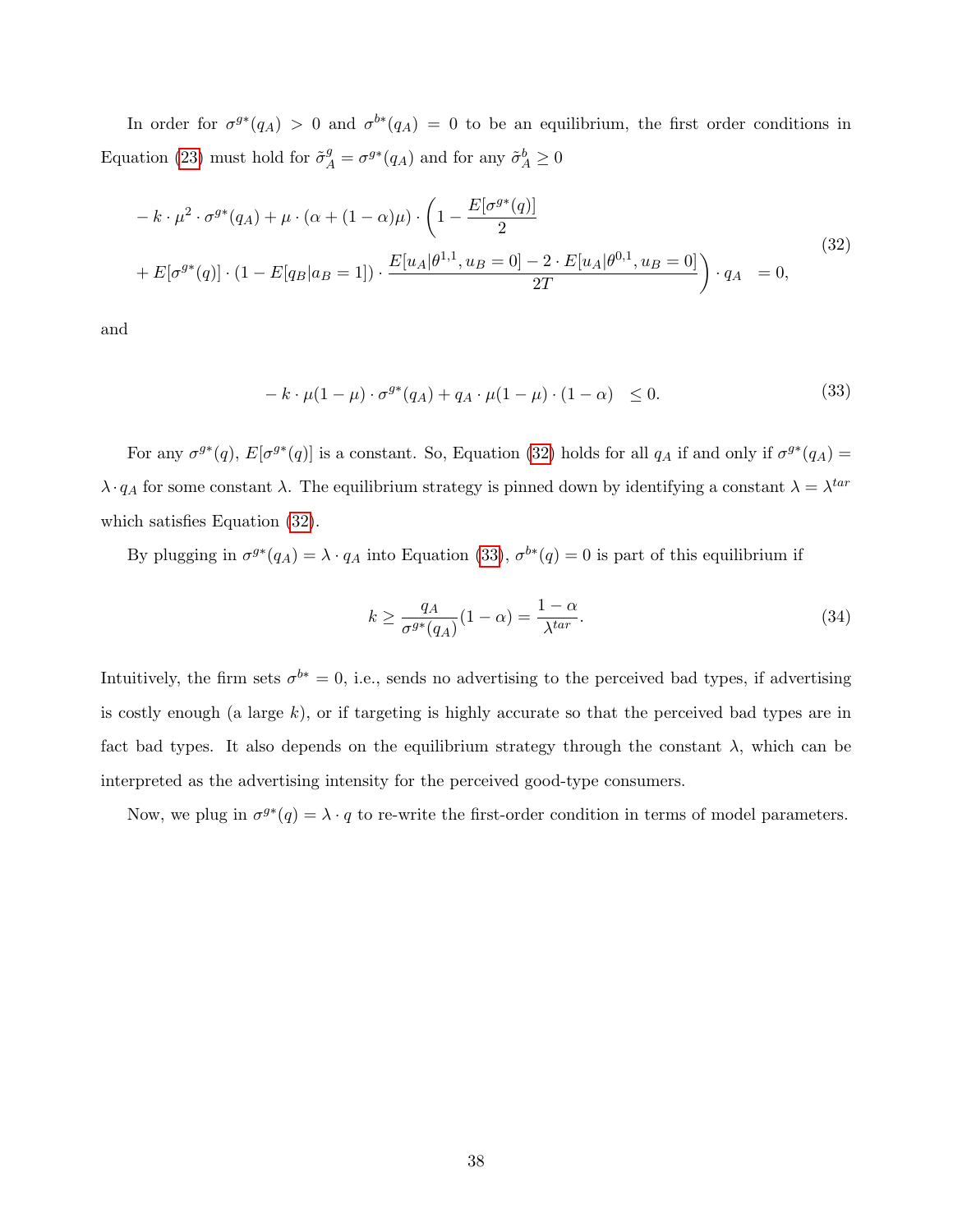In order for  $\sigma^{g*}(q_A) > 0$  and  $\sigma^{b*}(q_A) = 0$  to be an equilibrium, the first order conditions in Equation [\(23\)](#page-27-1) must hold for  $\tilde{\sigma}_A^g = \sigma^{g*}(q_A)$  and for any  $\tilde{\sigma}_A^b \ge 0$ 

<span id="page-38-0"></span>
$$
- k \cdot \mu^2 \cdot \sigma^{g*}(q_A) + \mu \cdot (\alpha + (1 - \alpha)\mu) \cdot \left(1 - \frac{E[\sigma^{g*}(q)]}{2}\right)
$$
  
+ 
$$
E[\sigma^{g*}(q)] \cdot (1 - E[q_B|a_B = 1]) \cdot \frac{E[u_A|\theta^{1,1}, u_B = 0] - 2 \cdot E[u_A|\theta^{0,1}, u_B = 0]}{2T}\right) \cdot q_A = 0,
$$
  
(32)

and

<span id="page-38-1"></span>
$$
-k \cdot \mu(1-\mu) \cdot \sigma^{g*}(q_A) + q_A \cdot \mu(1-\mu) \cdot (1-\alpha) \le 0. \tag{33}
$$

For any  $\sigma^{g*}(q)$ ,  $E[\sigma^{g*}(q)]$  is a constant. So, Equation [\(32\)](#page-38-0) holds for all  $q_A$  if and only if  $\sigma^{g*}(q_A)$  =  $\lambda \cdot q_A$  for some constant  $\lambda$ . The equilibrium strategy is pinned down by identifying a constant  $\lambda = \lambda^{tar}$ which satisfies Equation [\(32\)](#page-38-0).

By plugging in  $\sigma^{g*}(q_A) = \lambda \cdot q_A$  into Equation [\(33\)](#page-38-1),  $\sigma^{b*}(q) = 0$  is part of this equilibrium if

<span id="page-38-2"></span>
$$
k \ge \frac{q_A}{\sigma^{g*}(q_A)}(1-\alpha) = \frac{1-\alpha}{\lambda^{tar}}.\tag{34}
$$

Intuitively, the firm sets  $\sigma^{b*} = 0$ , i.e., sends no advertising to the perceived bad types, if advertising is costly enough (a large  $k$ ), or if targeting is highly accurate so that the perceived bad types are in fact bad types. It also depends on the equilibrium strategy through the constant  $\lambda$ , which can be interpreted as the advertising intensity for the perceived good-type consumers.

Now, we plug in  $\sigma^{g*}(q) = \lambda \cdot q$  to re-write the first-order condition in terms of model parameters.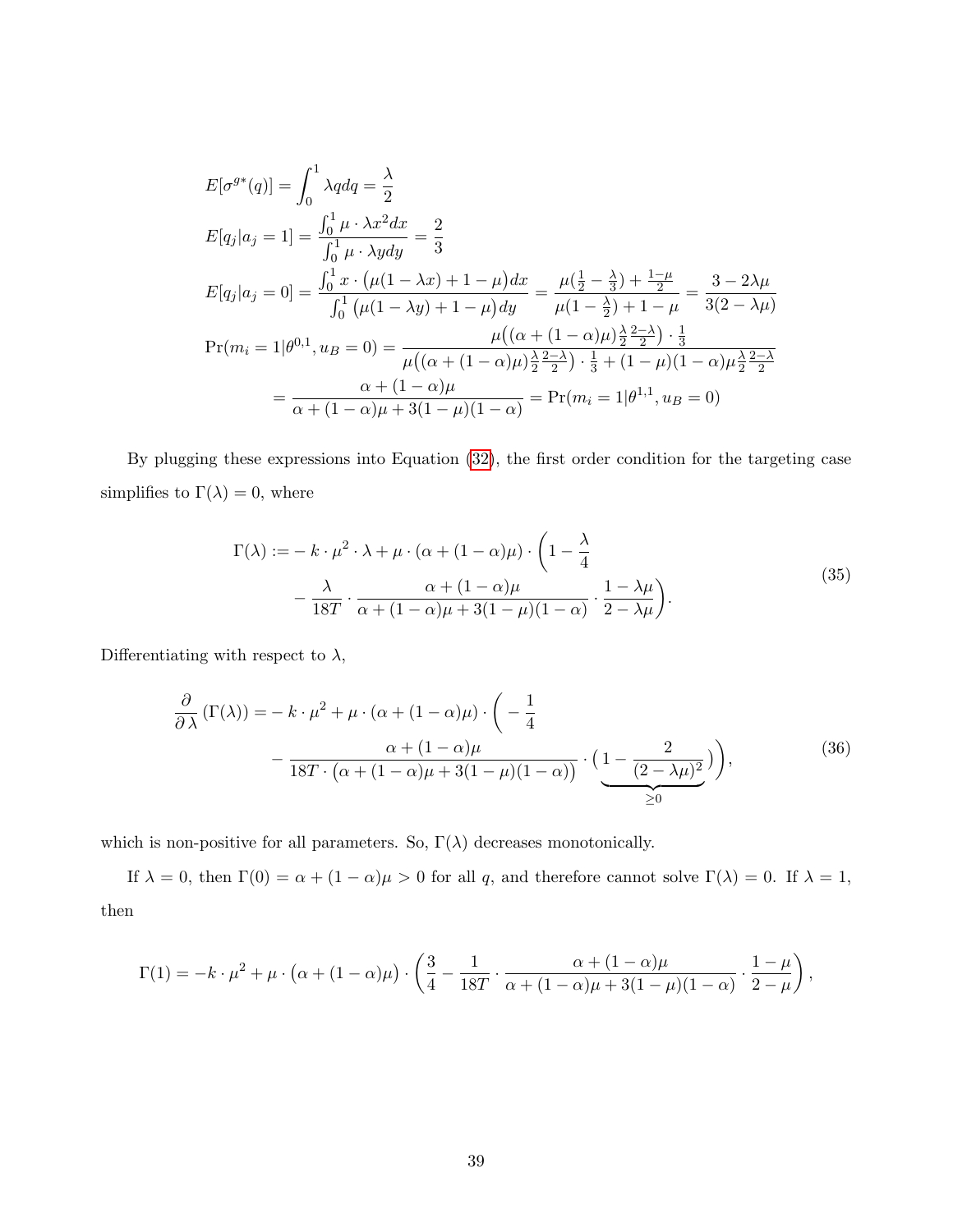$$
E[\sigma^{g*}(q)] = \int_0^1 \lambda q dq = \frac{\lambda}{2}
$$
  
\n
$$
E[q_j|a_j = 1] = \frac{\int_0^1 \mu \cdot \lambda x^2 dx}{\int_0^1 \mu \cdot \lambda y dy} = \frac{2}{3}
$$
  
\n
$$
E[q_j|a_j = 0] = \frac{\int_0^1 x \cdot (\mu(1 - \lambda x) + 1 - \mu) dx}{\int_0^1 (\mu(1 - \lambda y) + 1 - \mu) dy} = \frac{\mu(\frac{1}{2} - \frac{\lambda}{3}) + \frac{1 - \mu}{2}}{\mu(1 - \frac{\lambda}{2}) + 1 - \mu} = \frac{3 - 2\lambda\mu}{3(2 - \lambda\mu)}
$$
  
\n
$$
Pr(m_i = 1 | \theta^{0,1}, u_B = 0) = \frac{\mu((\alpha + (1 - \alpha)\mu)\frac{\lambda}{2} \frac{2 - \lambda}{2}) \cdot \frac{1}{3}}{\mu((\alpha + (1 - \alpha)\mu)\frac{\lambda}{2} \frac{2 - \lambda}{2}) \cdot \frac{1}{3} + (1 - \mu)(1 - \alpha)\mu\frac{\lambda}{2} \frac{2 - \lambda}{2}}
$$
  
\n
$$
= \frac{\alpha + (1 - \alpha)\mu}{\alpha + (1 - \alpha)\mu + 3(1 - \mu)(1 - \alpha)} = Pr(m_i = 1 | \theta^{1,1}, u_B = 0)
$$

By plugging these expressions into Equation [\(32\)](#page-38-0), the first order condition for the targeting case simplifies to  $\Gamma(\lambda) = 0$ , where

$$
\Gamma(\lambda) := -k \cdot \mu^2 \cdot \lambda + \mu \cdot (\alpha + (1 - \alpha)\mu) \cdot \left(1 - \frac{\lambda}{4} - \frac{\lambda}{18T} \cdot \frac{\alpha + (1 - \alpha)\mu}{\alpha + (1 - \alpha)\mu + 3(1 - \mu)(1 - \alpha)} \cdot \frac{1 - \lambda\mu}{2 - \lambda\mu}\right).
$$
\n(35)

Differentiating with respect to  $\lambda,$ 

<span id="page-39-0"></span>
$$
\frac{\partial}{\partial \lambda} (\Gamma(\lambda)) = -k \cdot \mu^2 + \mu \cdot (\alpha + (1 - \alpha)\mu) \cdot \left( -\frac{1}{4} -\frac{\alpha + (1 - \alpha)\mu}{18T \cdot (\alpha + (1 - \alpha)\mu + 3(1 - \mu)(1 - \alpha))} \cdot \left( \underbrace{1 - \frac{2}{(2 - \lambda\mu)^2}}_{\geq 0} \right) \right),\tag{36}
$$

which is non-positive for all parameters. So,  $\Gamma(\lambda)$  decreases monotonically.

If  $\lambda = 0$ , then  $\Gamma(0) = \alpha + (1 - \alpha)\mu > 0$  for all q, and therefore cannot solve  $\Gamma(\lambda) = 0$ . If  $\lambda = 1$ , then

$$
\Gamma(1) = -k \cdot \mu^2 + \mu \cdot (\alpha + (1 - \alpha)\mu) \cdot \left(\frac{3}{4} - \frac{1}{18T} \cdot \frac{\alpha + (1 - \alpha)\mu}{\alpha + (1 - \alpha)\mu + 3(1 - \mu)(1 - \alpha)} \cdot \frac{1 - \mu}{2 - \mu}\right),
$$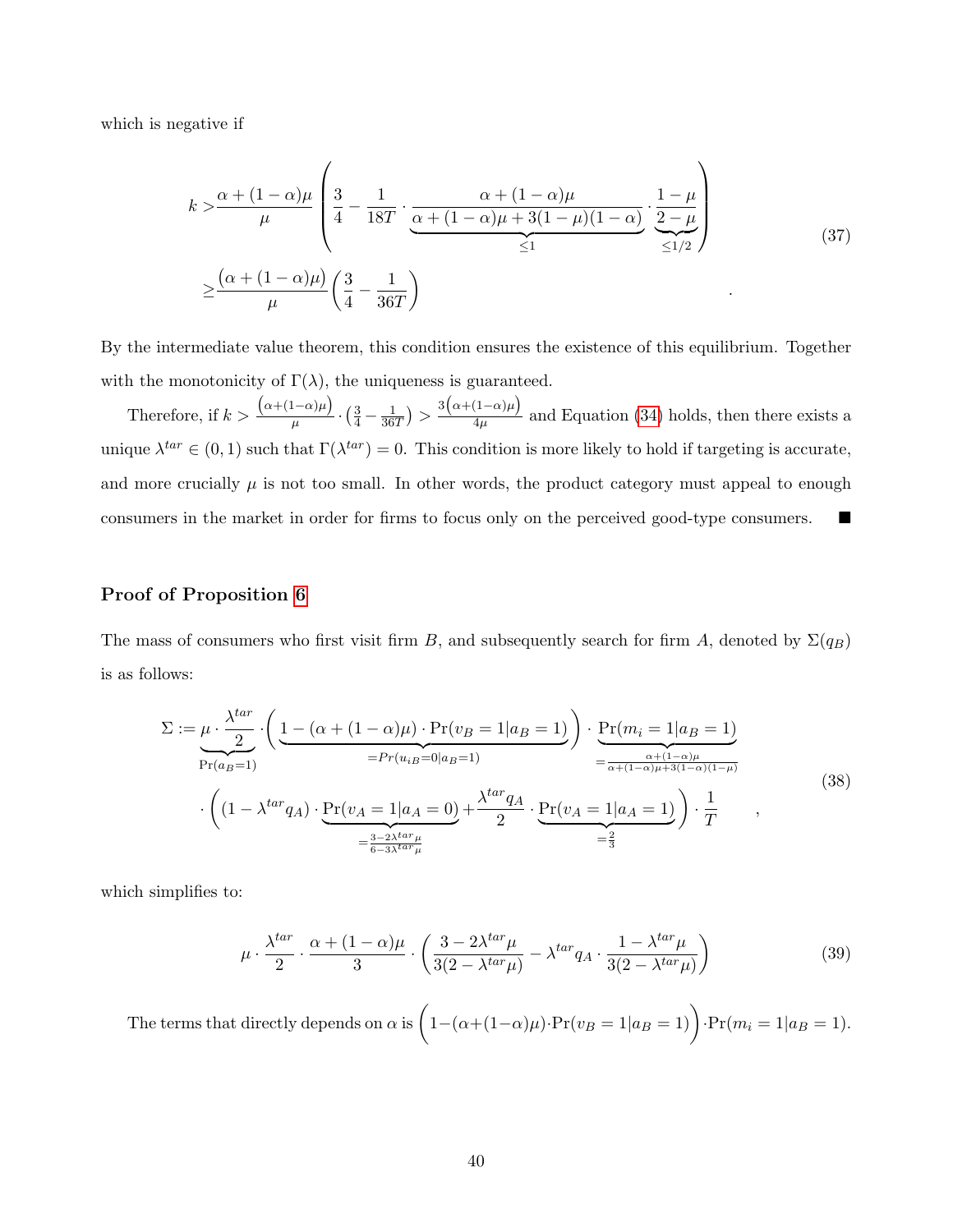which is negative if

$$
k > \frac{\alpha + (1 - \alpha)\mu}{\mu} \left( \frac{3}{4} - \frac{1}{18T} \cdot \underbrace{\frac{\alpha + (1 - \alpha)\mu}{\alpha + (1 - \alpha)\mu + 3(1 - \mu)(1 - \alpha)}}_{\leq 1} \cdot \frac{1 - \mu}{\frac{2 - \mu}{\leq 1/2}} \right)
$$
\n
$$
\geq \frac{(\alpha + (1 - \alpha)\mu)}{\mu} \left( \frac{3}{4} - \frac{1}{36T} \right)
$$
\n(37)

By the intermediate value theorem, this condition ensures the existence of this equilibrium. Together with the monotonicity of  $\Gamma(\lambda)$ , the uniqueness is guaranteed.

Therefore, if  $k >$  $(\alpha+(1-\alpha)\mu)$  $\frac{(1-\alpha)\mu}{\mu} \cdot \left(\frac{3}{4} - \frac{1}{36}\right)$  $\frac{1}{36T}$ ) >  $\frac{3(\alpha+(1-\alpha)\mu)}{4\mu}$  $\frac{(1-\alpha)\mu}{4\mu}$  and Equation [\(34\)](#page-38-2) holds, then there exists a unique  $\lambda^{tar} \in (0,1)$  such that  $\Gamma(\lambda^{tar}) = 0$ . This condition is more likely to hold if targeting is accurate, and more crucially  $\mu$  is not too small. In other words, the product category must appeal to enough consumers in the market in order for firms to focus only on the perceived good-type consumers.

### Proof of Proposition [6](#page-28-0)

The mass of consumers who first visit firm B, and subsequently search for firm A, denoted by  $\Sigma(q_B)$ is as follows:

$$
\Sigma := \underbrace{\mu \cdot \frac{\lambda^{tar}}{2} \cdot \left( \underbrace{1 - (\alpha + (1 - \alpha)\mu) \cdot \Pr(v_B = 1|a_B = 1)}_{= Pr(u_{iB} = 0|a_B = 1)} \right) \cdot \underbrace{\Pr(m_i = 1|a_B = 1)}_{= \frac{\alpha + (1 - \alpha)\mu}{\alpha + (1 - \alpha)\mu + 3(1 - \alpha)(1 - \mu)}} = \frac{\alpha + (1 - \alpha)\mu}{\alpha + (1 - \alpha)\mu + 3(1 - \alpha)(1 - \mu)} \cdot \left( (1 - \lambda^{tar}q_A) \cdot \underbrace{\Pr(v_A = 1|a_A = 0)}_{= \frac{3 - 2\lambda^{tar}\mu}{6 - 3\lambda^{tar}\mu}} + \frac{\lambda^{tar}q_A}{2} \cdot \underbrace{\Pr(v_A = 1|a_A = 1)}_{= \frac{2}{3}} \right) \cdot \frac{1}{T}
$$
\n(38)

which simplifies to:

$$
\mu \cdot \frac{\lambda^{tar}}{2} \cdot \frac{\alpha + (1 - \alpha)\mu}{3} \cdot \left(\frac{3 - 2\lambda^{tar}\mu}{3(2 - \lambda^{tar}\mu)} - \lambda^{tar}q_{A} \cdot \frac{1 - \lambda^{tar}\mu}{3(2 - \lambda^{tar}\mu)}\right)
$$
(39)

The terms that directly depends on  $\alpha$  is  $\Big(1-(\alpha+(1-\alpha)\mu)\cdot\Pr(v_B=1|a_B=1)\Big)\cdot\Pr(m_i=1|a_B=1).$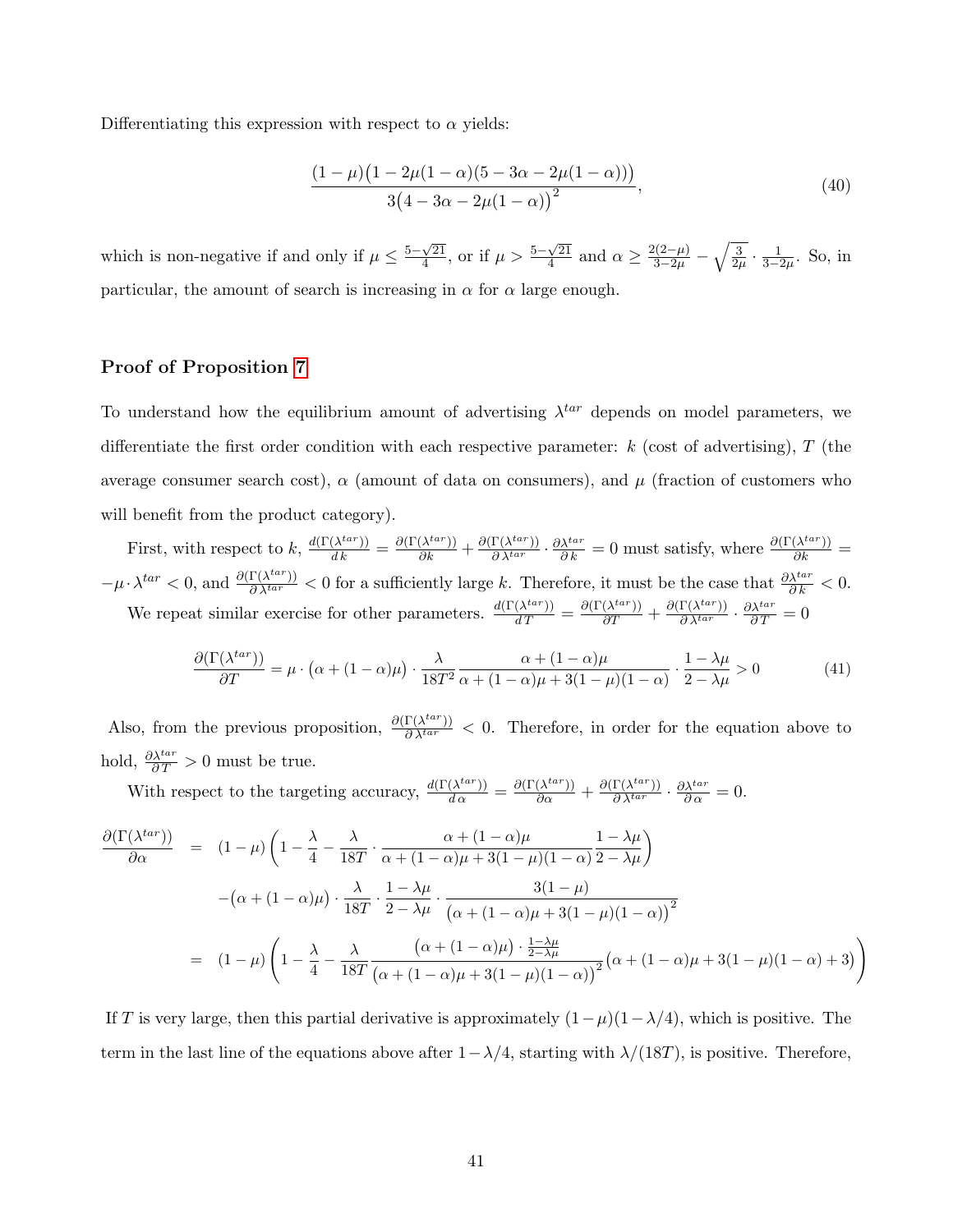Differentiating this expression with respect to  $\alpha$  yields:

$$
\frac{(1-\mu)(1-2\mu(1-\alpha)(5-3\alpha-2\mu(1-\alpha)))}{3(4-3\alpha-2\mu(1-\alpha))^2},
$$
\n(40)

which is non-negative if and only if  $\mu \leq \frac{5-\sqrt{21}}{4}$  $\frac{\sqrt{21}}{4}$ , or if  $\mu > \frac{5-\sqrt{21}}{4}$  $\frac{\sqrt{21}}{4}$  and  $\alpha \ge \frac{2(2-\mu)}{3-2\mu} - \sqrt{\frac{3}{2\mu}} \cdot \frac{1}{3-2\mu}$ . So, in particular, the amount of search is increasing in  $\alpha$  for  $\alpha$  large enough.

## Proof of Proposition [7](#page-29-1)

To understand how the equilibrium amount of advertising  $\lambda^{tar}$  depends on model parameters, we differentiate the first order condition with each respective parameter:  $k$  (cost of advertising), T (the average consumer search cost),  $\alpha$  (amount of data on consumers), and  $\mu$  (fraction of customers who will benefit from the product category).

First, with respect to k,  $\frac{d(\Gamma(\lambda^{tar}))}{dk} = \frac{\partial(\Gamma(\lambda^{tar}))}{\partial k} + \frac{\partial(\Gamma(\lambda^{tar}))}{\partial \lambda^{tar}} \cdot \frac{\partial \lambda^{tar}}{\partial k} = 0$  must satisfy, where  $\frac{\partial(\Gamma(\lambda^{tar}))}{\partial k} =$  $-\mu \cdot \lambda^{tar} < 0$ , and  $\frac{\partial (\Gamma(\lambda^{tar}))}{\partial \lambda^{tar}} < 0$  for a sufficiently large k. Therefore, it must be the case that  $\frac{\partial \lambda^{tar}}{\partial k} < 0$ . We repeat similar exercise for other parameters.  $\frac{d(\Gamma(\lambda^{tar}))}{dT} = \frac{\partial(\Gamma(\lambda^{tar}))}{\partial T} + \frac{\partial(\Gamma(\lambda^{tar}))}{\partial \lambda^{tar}} \cdot \frac{\partial \lambda^{tar}}{\partial T} = 0$ 

$$
\frac{\partial(\Gamma(\lambda^{tar}))}{\partial T} = \mu \cdot (\alpha + (1 - \alpha)\mu) \cdot \frac{\lambda}{18T^2} \frac{\alpha + (1 - \alpha)\mu}{\alpha + (1 - \alpha)\mu + 3(1 - \mu)(1 - \alpha)} \cdot \frac{1 - \lambda\mu}{2 - \lambda\mu} > 0
$$
(41)

Also, from the previous proposition,  $\frac{\partial (\Gamma(\lambda^{tar}))}{\partial \lambda^{tar}} < 0$ . Therefore, in order for the equation above to hold,  $\frac{\partial \lambda^{tar}}{\partial T} > 0$  must be true.

With respect to the targeting accuracy,  $\frac{d(\Gamma(\lambda^{tar}))}{d\alpha} = \frac{\partial(\Gamma(\lambda^{tar}))}{\partial \alpha} + \frac{\partial(\Gamma(\lambda^{tar}))}{\partial \lambda^{tar}} \cdot \frac{\partial \lambda^{tar}}{\partial \alpha} = 0.$ 

$$
\frac{\partial(\Gamma(\lambda^{tar}))}{\partial \alpha} = (1 - \mu) \left( 1 - \frac{\lambda}{4} - \frac{\lambda}{18T} \cdot \frac{\alpha + (1 - \alpha)\mu}{\alpha + (1 - \alpha)\mu + 3(1 - \mu)(1 - \alpha)} \frac{1 - \lambda\mu}{2 - \lambda\mu} \right)
$$

$$
- (\alpha + (1 - \alpha)\mu) \cdot \frac{\lambda}{18T} \cdot \frac{1 - \lambda\mu}{2 - \lambda\mu} \cdot \frac{3(1 - \mu)}{(\alpha + (1 - \alpha)\mu + 3(1 - \mu)(1 - \alpha))^2}
$$

$$
= (1 - \mu) \left( 1 - \frac{\lambda}{4} - \frac{\lambda}{18T} \frac{(\alpha + (1 - \alpha)\mu) \cdot \frac{1 - \lambda\mu}{2 - \lambda\mu}}{(\alpha + (1 - \alpha)\mu + 3(1 - \mu)(1 - \alpha))^2} (\alpha + (1 - \alpha)\mu + 3(1 - \mu)(1 - \alpha) + 3) \right)
$$

If T is very large, then this partial derivative is approximately  $(1-\mu)(1-\lambda/4)$ , which is positive. The term in the last line of the equations above after  $1-\lambda/4$ , starting with  $\lambda/(18T)$ , is positive. Therefore,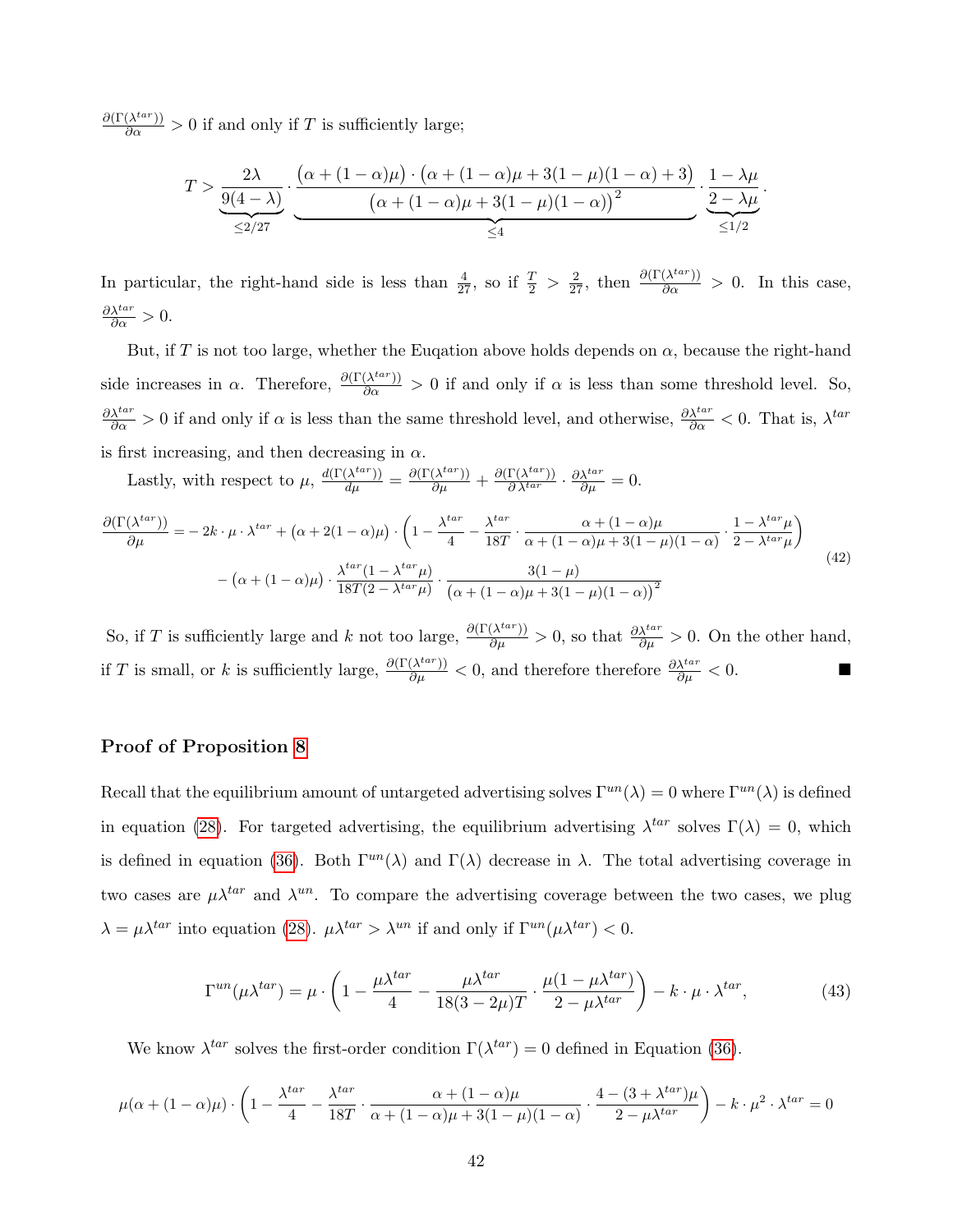$\frac{\partial(\Gamma(\lambda^{tar}))}{\partial \alpha} > 0$  if and only if T is sufficiently large;

$$
T > \underbrace{\frac{2\lambda}{9(4-\lambda)}}_{\leq 2/27} \cdot \underbrace{\frac{\left(\alpha+(1-\alpha)\mu\right)\cdot\left(\alpha+(1-\alpha)\mu+3(1-\mu)(1-\alpha)+3\right)}{\left(\alpha+(1-\alpha)\mu+3(1-\mu)(1-\alpha)\right)^2}}_{\leq 4} \cdot \underbrace{\frac{1-\lambda\mu}{2-\lambda\mu}}_{\leq 1/2}
$$

.

In particular, the right-hand side is less than  $\frac{4}{27}$ , so if  $\frac{T}{2} > \frac{2}{27}$ , then  $\frac{\partial(\Gamma(\lambda^{tar}))}{\partial \alpha} > 0$ . In this case,  $\frac{\partial \lambda^{tar}}{\partial \alpha} > 0.$ 

But, if T is not too large, whether the Euqation above holds depends on  $\alpha$ , because the right-hand side increases in  $\alpha$ . Therefore,  $\frac{\partial(\Gamma(\lambda^{tar}))}{\partial \alpha} > 0$  if and only if  $\alpha$  is less than some threshold level. So,  $\frac{\partial \lambda^{tar}}{\partial \alpha} > 0$  if and only if  $\alpha$  is less than the same threshold level, and otherwise,  $\frac{\partial \lambda^{tar}}{\partial \alpha} < 0$ . That is,  $\lambda^{tar}$ is first increasing, and then decreasing in  $\alpha$ .

Lastly, with respect to  $\mu$ ,  $\frac{d(\Gamma(\lambda^{tar}))}{d\mu} = \frac{\partial(\Gamma(\lambda^{tar}))}{\partial \mu} + \frac{\partial(\Gamma(\lambda^{tar}))}{\partial \lambda^{tar}} \cdot \frac{\partial \lambda^{tar}}{\partial \mu} = 0.$ 

$$
\frac{\partial(\Gamma(\lambda^{tar}))}{\partial \mu} = -2k \cdot \mu \cdot \lambda^{tar} + (\alpha + 2(1 - \alpha)\mu) \cdot \left(1 - \frac{\lambda^{tar}}{4} - \frac{\lambda^{tar}}{18T} \cdot \frac{\alpha + (1 - \alpha)\mu}{\alpha + (1 - \alpha)\mu + 3(1 - \mu)(1 - \alpha)} \cdot \frac{1 - \lambda^{tar}\mu}{2 - \lambda^{tar}\mu}\right) - (\alpha + (1 - \alpha)\mu) \cdot \frac{\lambda^{tar}(1 - \lambda^{tar}\mu)}{18T(2 - \lambda^{tar}\mu)} \cdot \frac{3(1 - \mu)}{(\alpha + (1 - \alpha)\mu + 3(1 - \mu)(1 - \alpha))^2}
$$
\n(42)

So, if T is sufficiently large and k not too large,  $\frac{\partial(\Gamma(\lambda^{tar}))}{\partial \mu} > 0$ , so that  $\frac{\partial \lambda^{tar}}{\partial \mu} > 0$ . On the other hand, if T is small, or k is sufficiently large,  $\frac{\partial(\Gamma(\lambda^{tar}))}{\partial \mu} < 0$ , and therefore therefore  $\frac{\partial \lambda^{tar}}{\partial \mu} < 0$ .

## Proof of Proposition [8](#page-30-2)

Recall that the equilibrium amount of untargeted advertising solves  $\Gamma^{un}(\lambda) = 0$  where  $\Gamma^{un}(\lambda)$  is defined in equation [\(28\)](#page-35-0). For targeted advertising, the equilibrium advertising  $\lambda^{tar}$  solves  $\Gamma(\lambda) = 0$ , which is defined in equation [\(36\)](#page-39-0). Both  $\Gamma^{un}(\lambda)$  and  $\Gamma(\lambda)$  decrease in  $\lambda$ . The total advertising coverage in two cases are  $\mu \lambda^{tar}$  and  $\lambda^{un}$ . To compare the advertising coverage between the two cases, we plug  $\lambda = \mu \lambda^{tar}$  into equation [\(28\)](#page-35-0).  $\mu \lambda^{tar} > \lambda^{un}$  if and only if  $\Gamma^{un}(\mu \lambda^{tar}) < 0$ .

<span id="page-42-0"></span>
$$
\Gamma^{un}(\mu \lambda^{tar}) = \mu \cdot \left(1 - \frac{\mu \lambda^{tar}}{4} - \frac{\mu \lambda^{tar}}{18(3 - 2\mu)T} \cdot \frac{\mu(1 - \mu \lambda^{tar})}{2 - \mu \lambda^{tar}}\right) - k \cdot \mu \cdot \lambda^{tar},\tag{43}
$$

We know  $\lambda^{tar}$  solves the first-order condition  $\Gamma(\lambda^{tar}) = 0$  defined in Equation [\(36\)](#page-39-0).

$$
\mu(\alpha + (1 - \alpha)\mu) \cdot \left(1 - \frac{\lambda^{tar}}{4} - \frac{\lambda^{tar}}{18T} \cdot \frac{\alpha + (1 - \alpha)\mu}{\alpha + (1 - \alpha)\mu + 3(1 - \mu)(1 - \alpha)} \cdot \frac{4 - (3 + \lambda^{tar})\mu}{2 - \mu\lambda^{tar}}\right) - k \cdot \mu^2 \cdot \lambda^{tar} = 0
$$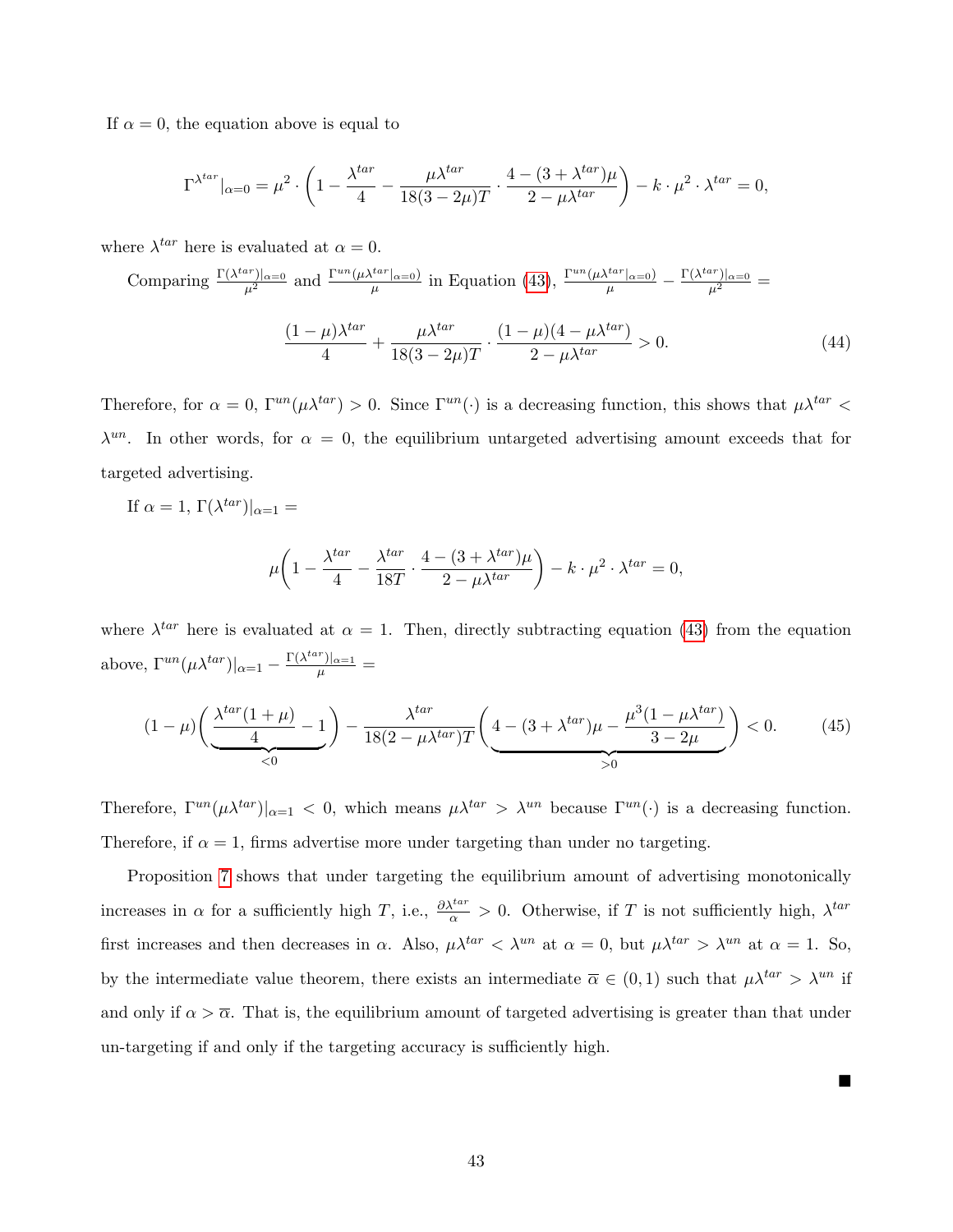If  $\alpha = 0$ , the equation above is equal to

$$
\Gamma^{\lambda^{tar}}|_{\alpha=0} = \mu^2 \cdot \left(1 - \frac{\lambda^{tar}}{4} - \frac{\mu \lambda^{tar}}{18(3 - 2\mu)T} \cdot \frac{4 - (3 + \lambda^{tar})\mu}{2 - \mu \lambda^{tar}}\right) - k \cdot \mu^2 \cdot \lambda^{tar} = 0,
$$

where  $\lambda^{tar}$  here is evaluated at  $\alpha = 0$ .

Comparing  $\frac{\Gamma(\lambda^{tar})|_{\alpha=0}}{\mu^2}$  and  $\frac{\Gamma^{un}(\mu \lambda^{tar}|_{\alpha=0})}{\mu}$  $\frac{f^{tar}|_{\alpha=0}}{\mu}$  in Equation [\(43\)](#page-42-0),  $\frac{\Gamma^{un}(\mu \lambda^{tar}|_{\alpha=0})}{\mu} - \frac{\Gamma(\lambda^{tar})|_{\alpha=0}}{\mu^2} =$ 

$$
\frac{(1-\mu)\lambda^{tar}}{4} + \frac{\mu\lambda^{tar}}{18(3-2\mu)T} \cdot \frac{(1-\mu)(4-\mu\lambda^{tar})}{2-\mu\lambda^{tar}} > 0.
$$
 (44)

Therefore, for  $\alpha = 0$ ,  $\Gamma^{un}(\mu \lambda^{tar}) > 0$ . Since  $\Gamma^{un}(\cdot)$  is a decreasing function, this shows that  $\mu \lambda^{tar} <$  $\lambda^{un}$ . In other words, for  $\alpha = 0$ , the equilibrium untargeted advertising amount exceeds that for targeted advertising.

If 
$$
\alpha = 1
$$
,  $\Gamma(\lambda^{tar})|_{\alpha=1} =$ 

$$
\mu \bigg( 1 - \frac{\lambda^{tar}}{4} - \frac{\lambda^{tar}}{18T} \cdot \frac{4 - (3 + \lambda^{tar})\mu}{2 - \mu \lambda^{tar}} \bigg) - k \cdot \mu^2 \cdot \lambda^{tar} = 0,
$$

where  $\lambda^{tar}$  here is evaluated at  $\alpha = 1$ . Then, directly subtracting equation [\(43\)](#page-42-0) from the equation above,  $\Gamma^{un}(\mu \lambda^{tar})|_{\alpha=1} - \frac{\Gamma(\lambda^{tar})|_{\alpha=1}}{\mu} =$ 

$$
(1 - \mu) \left( \underbrace{\frac{\lambda^{tar}(1 + \mu)}{4} - 1}_{\leq 0} \right) - \frac{\lambda^{tar}}{18(2 - \mu \lambda^{tar})T} \left( \underbrace{4 - (3 + \lambda^{tar})\mu - \frac{\mu^3(1 - \mu \lambda^{tar})}{3 - 2\mu}}_{> 0} \right) < 0. \tag{45}
$$

Therefore,  $\Gamma^{un}(\mu \lambda^{tar})|_{\alpha=1} < 0$ , which means  $\mu \lambda^{tar} > \lambda^{un}$  because  $\Gamma^{un}(\cdot)$  is a decreasing function. Therefore, if  $\alpha = 1$ , firms advertise more under targeting than under no targeting.

Proposition [7](#page-29-1) shows that under targeting the equilibrium amount of advertising monotonically increases in  $\alpha$  for a sufficiently high T, i.e.,  $\frac{\partial \lambda^{tar}}{\alpha} > 0$ . Otherwise, if T is not sufficiently high,  $\lambda^{tar}$ first increases and then decreases in  $\alpha$ . Also,  $\mu \lambda^{tar} < \lambda^{un}$  at  $\alpha = 0$ , but  $\mu \lambda^{tar} > \lambda^{un}$  at  $\alpha = 1$ . So, by the intermediate value theorem, there exists an intermediate  $\overline{\alpha} \in (0,1)$  such that  $\mu \lambda^{tar} > \lambda^{un}$  if and only if  $\alpha > \overline{\alpha}$ . That is, the equilibrium amount of targeted advertising is greater than that under un-targeting if and only if the targeting accuracy is sufficiently high.

 $\blacksquare$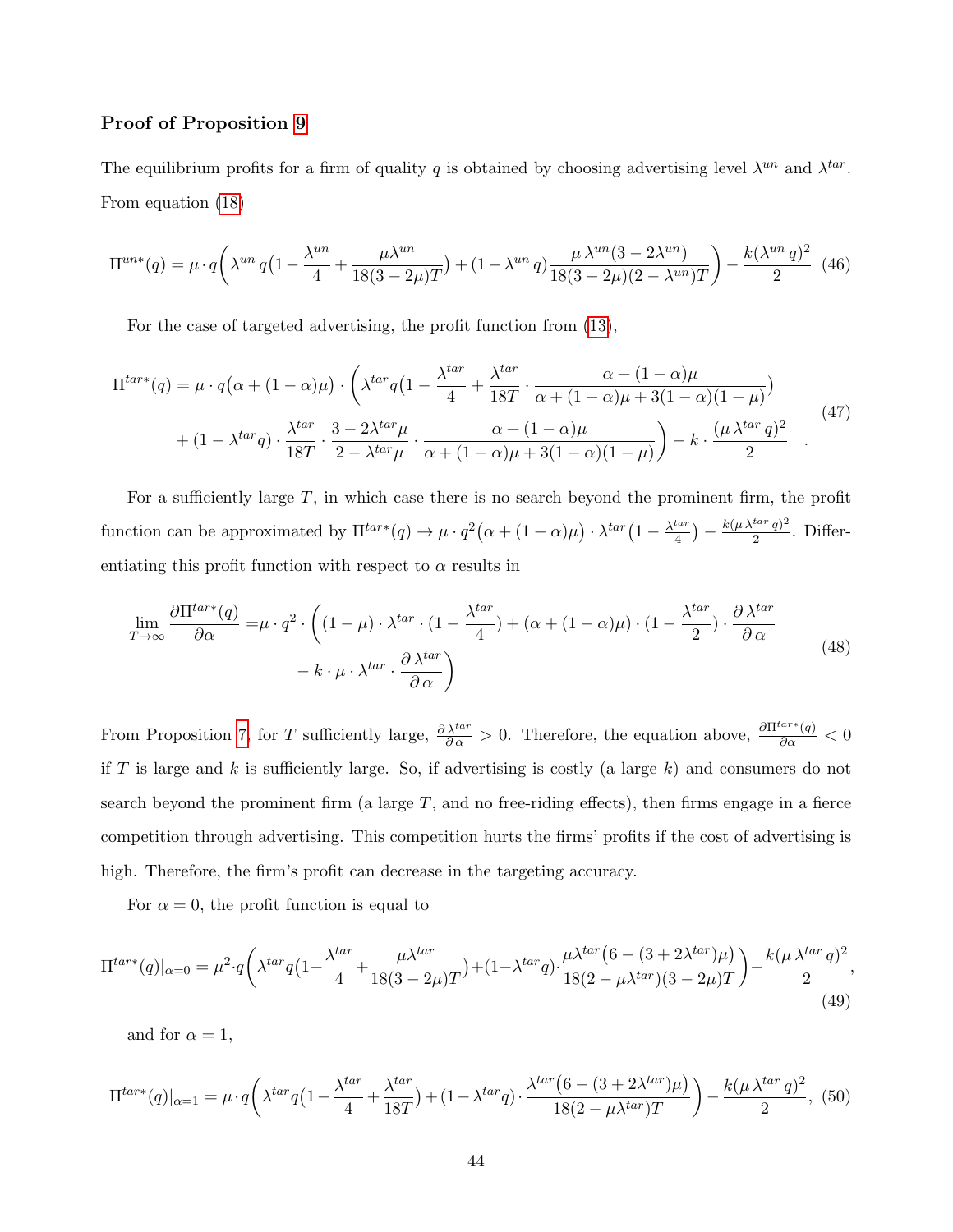### Proof of Proposition [9](#page-31-1)

The equilibrium profits for a firm of quality q is obtained by choosing advertising level  $\lambda^{un}$  and  $\lambda^{tar}$ . From equation [\(18\)](#page-24-1)

$$
\Pi^{un*}(q) = \mu \cdot q \left( \lambda^{un} \, q \left( 1 - \frac{\lambda^{un}}{4} + \frac{\mu \lambda^{un}}{18(3 - 2\mu)T} \right) + (1 - \lambda^{un} \, q) \frac{\mu \, \lambda^{un} (3 - 2\lambda^{un})}{18(3 - 2\mu)(2 - \lambda^{un})T} \right) - \frac{k(\lambda^{un} \, q)^2}{2} \tag{46}
$$

For the case of targeted advertising, the profit function from [\(13\)](#page-23-3),

$$
\Pi^{tar*}(q) = \mu \cdot q\left(\alpha + (1 - \alpha)\mu\right) \cdot \left(\lambda^{tar} q\left(1 - \frac{\lambda^{tar}}{4} + \frac{\lambda^{tar}}{18T} \cdot \frac{\alpha + (1 - \alpha)\mu}{\alpha + (1 - \alpha)\mu + 3(1 - \alpha)(1 - \mu)}\right) + (1 - \lambda^{tar} q) \cdot \frac{\lambda^{tar}}{18T} \cdot \frac{3 - 2\lambda^{tar}\mu}{2 - \lambda^{tar}\mu} \cdot \frac{\alpha + (1 - \alpha)\mu}{\alpha + (1 - \alpha)\mu + 3(1 - \alpha)(1 - \mu)}\right) - k \cdot \frac{(\mu \lambda^{tar} q)^2}{2} \quad .
$$
\n(47)

For a sufficiently large  $T$ , in which case there is no search beyond the prominent firm, the profit function can be approximated by  $\Pi^{tar*}(q) \to \mu \cdot q^2(\alpha + (1-\alpha)\mu) \cdot \lambda^{tar}(1 - \frac{\lambda^{tar}}{4})$  $\frac{t a r}{4}$ ) –  $\frac{k (\mu \lambda^{tar} q)^2}{2}$  $\frac{a^{n}q^{n}}{2}$ . Differentiating this profit function with respect to  $\alpha$  results in

$$
\lim_{T \to \infty} \frac{\partial \Pi^{tar*}(q)}{\partial \alpha} = \mu \cdot q^2 \cdot \left( (1 - \mu) \cdot \lambda^{tar} \cdot (1 - \frac{\lambda^{tar}}{4}) + (\alpha + (1 - \alpha)\mu) \cdot (1 - \frac{\lambda^{tar}}{2}) \cdot \frac{\partial \lambda^{tar}}{\partial \alpha} - k \cdot \mu \cdot \lambda^{tar} \cdot \frac{\partial \lambda^{tar}}{\partial \alpha} \right)
$$
\n(48)

From Proposition [7,](#page-29-1) for T sufficiently large,  $\frac{\partial \lambda^{tar}}{\partial \alpha} > 0$ . Therefore, the equation above,  $\frac{\partial \Pi^{tar*}(q)}{\partial \alpha} < 0$ if T is large and k is sufficiently large. So, if advertising is costly (a large  $k$ ) and consumers do not search beyond the prominent firm (a large  $T$ , and no free-riding effects), then firms engage in a fierce competition through advertising. This competition hurts the firms' profits if the cost of advertising is high. Therefore, the firm's profit can decrease in the targeting accuracy.

For  $\alpha = 0$ , the profit function is equal to

$$
\Pi^{tar*}(q)|_{\alpha=0} = \mu^2 \cdot q \left( \lambda^{tar} q \left( 1 - \frac{\lambda^{tar}}{4} + \frac{\mu \lambda^{tar}}{18(3 - 2\mu)T} \right) + (1 - \lambda^{tar} q) \cdot \frac{\mu \lambda^{tar} \left( 6 - (3 + 2\lambda^{tar})\mu \right)}{18(2 - \mu \lambda^{tar})(3 - 2\mu)T} \right) - \frac{k(\mu \lambda^{tar} q)^2}{2},\tag{49}
$$

and for  $\alpha = 1$ ,

$$
\Pi^{tar*}(q)|_{\alpha=1} = \mu \cdot q \left( \lambda^{tar} q \left( 1 - \frac{\lambda^{tar}}{4} + \frac{\lambda^{tar}}{18T} \right) + (1 - \lambda^{tar} q) \cdot \frac{\lambda^{tar} \left( 6 - (3 + 2\lambda^{tar})\mu \right)}{18(2 - \mu\lambda^{tar})T} \right) - \frac{k(\mu\lambda^{tar} q)^2}{2},
$$
(50)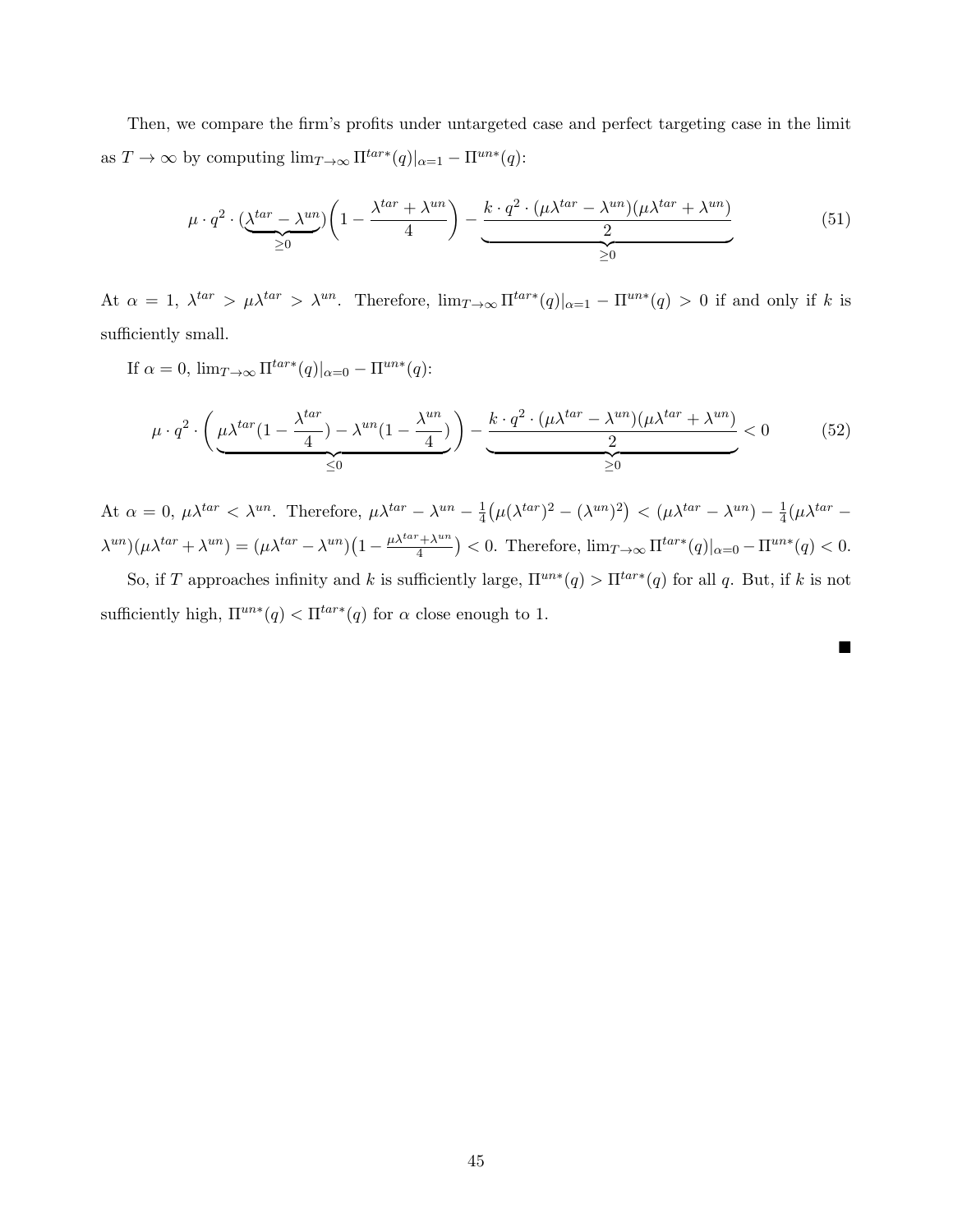Then, we compare the firm's profits under untargeted case and perfect targeting case in the limit as  $T \to \infty$  by computing  $\lim_{T \to \infty} \Pi^{tar*}(q)|_{\alpha=1} - \Pi^{un*}(q)$ :

$$
\mu \cdot q^2 \cdot \underbrace{(\lambda^{tar} - \lambda^{un})} \left(1 - \frac{\lambda^{tar} + \lambda^{un}}{4}\right) - \underbrace{\frac{k \cdot q^2 \cdot (\mu \lambda^{tar} - \lambda^{un})(\mu \lambda^{tar} + \lambda^{un})}{2}}_{\geq 0}
$$
\n
$$
(51)
$$

At  $\alpha = 1$ ,  $\lambda^{tar} > \mu \lambda^{tar} > \lambda^{un}$ . Therefore,  $\lim_{T \to \infty} \Pi^{tar*}(q)|_{\alpha=1} - \Pi^{un*}(q) > 0$  if and only if k is sufficiently small.

If 
$$
\alpha = 0
$$
,  $\lim_{T \to \infty} \Pi^{tar*}(q)|_{\alpha=0} - \Pi^{un*}(q)$ :

$$
\mu \cdot q^2 \cdot \left(\underbrace{\mu \lambda^{tar} (1 - \frac{\lambda^{tar}}{4}) - \lambda^{un} (1 - \frac{\lambda^{un}}{4})}_{\leq 0}\right) - \underbrace{\frac{k \cdot q^2 \cdot (\mu \lambda^{tar} - \lambda^{un})(\mu \lambda^{tar} + \lambda^{un})}{2}}_{\geq 0} < 0 \tag{52}
$$

At  $\alpha = 0$ ,  $\mu \lambda^{tar} < \lambda^{un}$ . Therefore,  $\mu \lambda^{tar} - \lambda^{un} - \frac{1}{4}$  $\frac{1}{4}(\mu(\lambda^{tar})^2 - (\lambda^{un})^2) < (\mu \lambda^{tar} - \lambda^{un}) - \frac{1}{4}$  $\frac{1}{4}(\mu \lambda^{tar} (\lambda^{un})(\mu \lambda^{tar} + \lambda^{un}) = (\mu \lambda^{tar} - \lambda^{un})(1 - \frac{\mu \lambda^{tar} + \lambda^{un}}{4})$  $\frac{f^2 + \lambda^{un}}{4}$  > < 0. Therefore,  $\lim_{T \to \infty} \Pi^{tar*}(q)|_{\alpha=0} - \Pi^{un*}(q)$  < 0.

So, if T approaches infinity and k is sufficiently large,  $\Pi^{un*}(q) > \Pi^{tar*}(q)$  for all q. But, if k is not sufficiently high,  $\Pi^{un*}(q) < \Pi^{tar*}(q)$  for  $\alpha$  close enough to 1.

П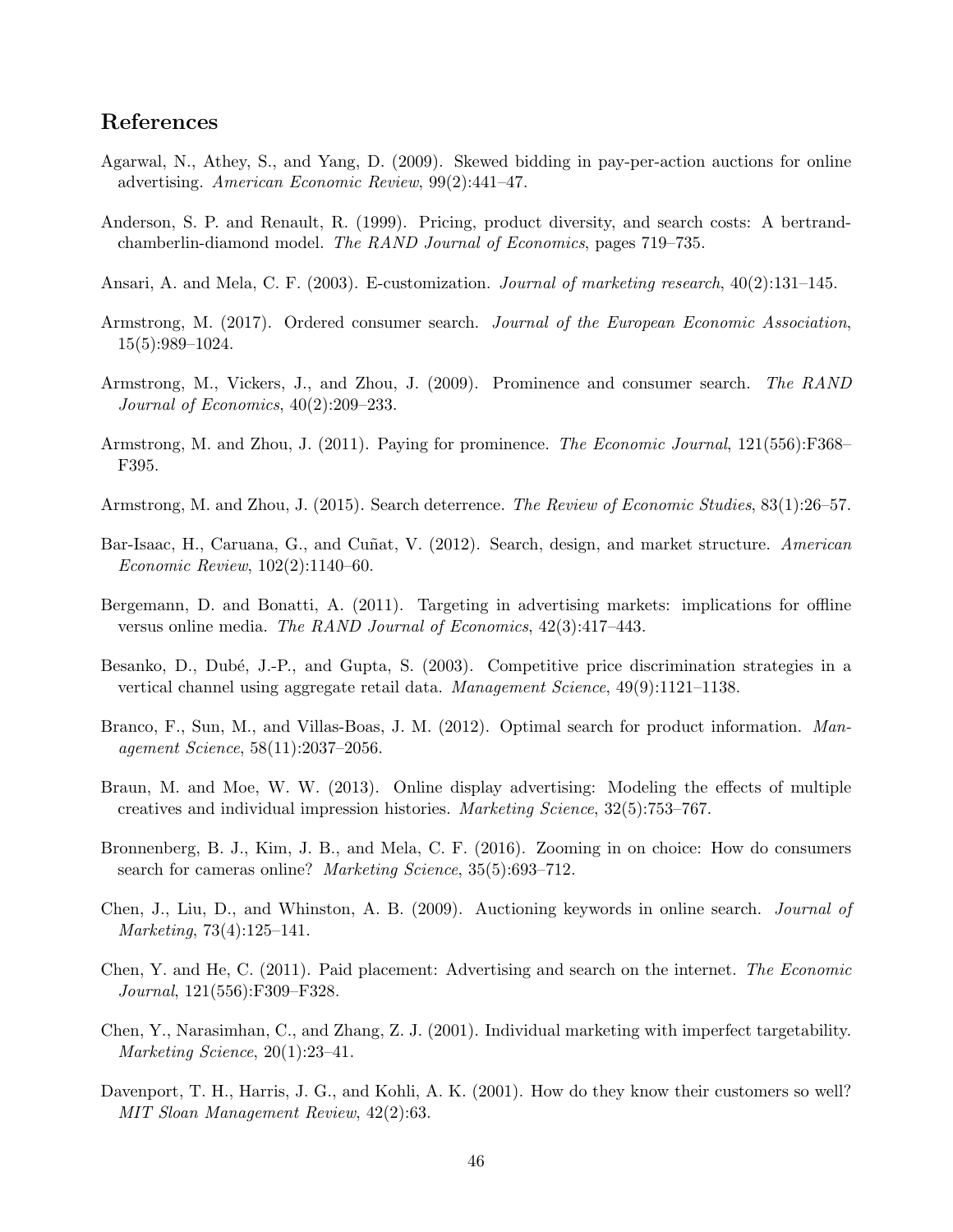# References

- <span id="page-46-5"></span>Agarwal, N., Athey, S., and Yang, D. (2009). Skewed bidding in pay-per-action auctions for online advertising. American Economic Review, 99(2):441–47.
- <span id="page-46-10"></span>Anderson, S. P. and Renault, R. (1999). Pricing, product diversity, and search costs: A bertrandchamberlin-diamond model. The RAND Journal of Economics, pages 719–735.
- <span id="page-46-2"></span>Ansari, A. and Mela, C. F. (2003). E-customization. *Journal of marketing research*, 40(2):131–145.
- <span id="page-46-11"></span>Armstrong, M. (2017). Ordered consumer search. Journal of the European Economic Association, 15(5):989–1024.
- <span id="page-46-3"></span>Armstrong, M., Vickers, J., and Zhou, J. (2009). Prominence and consumer search. The RAND Journal of Economics, 40(2):209–233.
- <span id="page-46-4"></span>Armstrong, M. and Zhou, J. (2011). Paying for prominence. The Economic Journal, 121(556): F368– F395.
- <span id="page-46-14"></span>Armstrong, M. and Zhou, J. (2015). Search deterrence. The Review of Economic Studies, 83(1):26–57.
- <span id="page-46-15"></span>Bar-Isaac, H., Caruana, G., and Cuñat, V. (2012). Search, design, and market structure. American Economic Review, 102(2):1140–60.
- <span id="page-46-8"></span>Bergemann, D. and Bonatti, A. (2011). Targeting in advertising markets: implications for offline versus online media. The RAND Journal of Economics, 42(3):417–443.
- <span id="page-46-9"></span>Besanko, D., Dubé, J.-P., and Gupta, S. (2003). Competitive price discrimination strategies in a vertical channel using aggregate retail data. Management Science, 49(9):1121–1138.
- <span id="page-46-16"></span>Branco, F., Sun, M., and Villas-Boas, J. M. (2012). Optimal search for product information. Management Science, 58(11):2037–2056.
- <span id="page-46-1"></span>Braun, M. and Moe, W. W. (2013). Online display advertising: Modeling the effects of multiple creatives and individual impression histories. Marketing Science, 32(5):753–767.
- <span id="page-46-13"></span>Bronnenberg, B. J., Kim, J. B., and Mela, C. F. (2016). Zooming in on choice: How do consumers search for cameras online? *Marketing Science*, 35(5):693–712.
- <span id="page-46-6"></span>Chen, J., Liu, D., and Whinston, A. B. (2009). Auctioning keywords in online search. Journal of Marketing, 73(4):125–141.
- <span id="page-46-12"></span>Chen, Y. and He, C. (2011). Paid placement: Advertising and search on the internet. The Economic Journal, 121(556):F309–F328.
- <span id="page-46-7"></span>Chen, Y., Narasimhan, C., and Zhang, Z. J. (2001). Individual marketing with imperfect targetability. Marketing Science, 20(1):23–41.
- <span id="page-46-0"></span>Davenport, T. H., Harris, J. G., and Kohli, A. K. (2001). How do they know their customers so well? MIT Sloan Management Review, 42(2):63.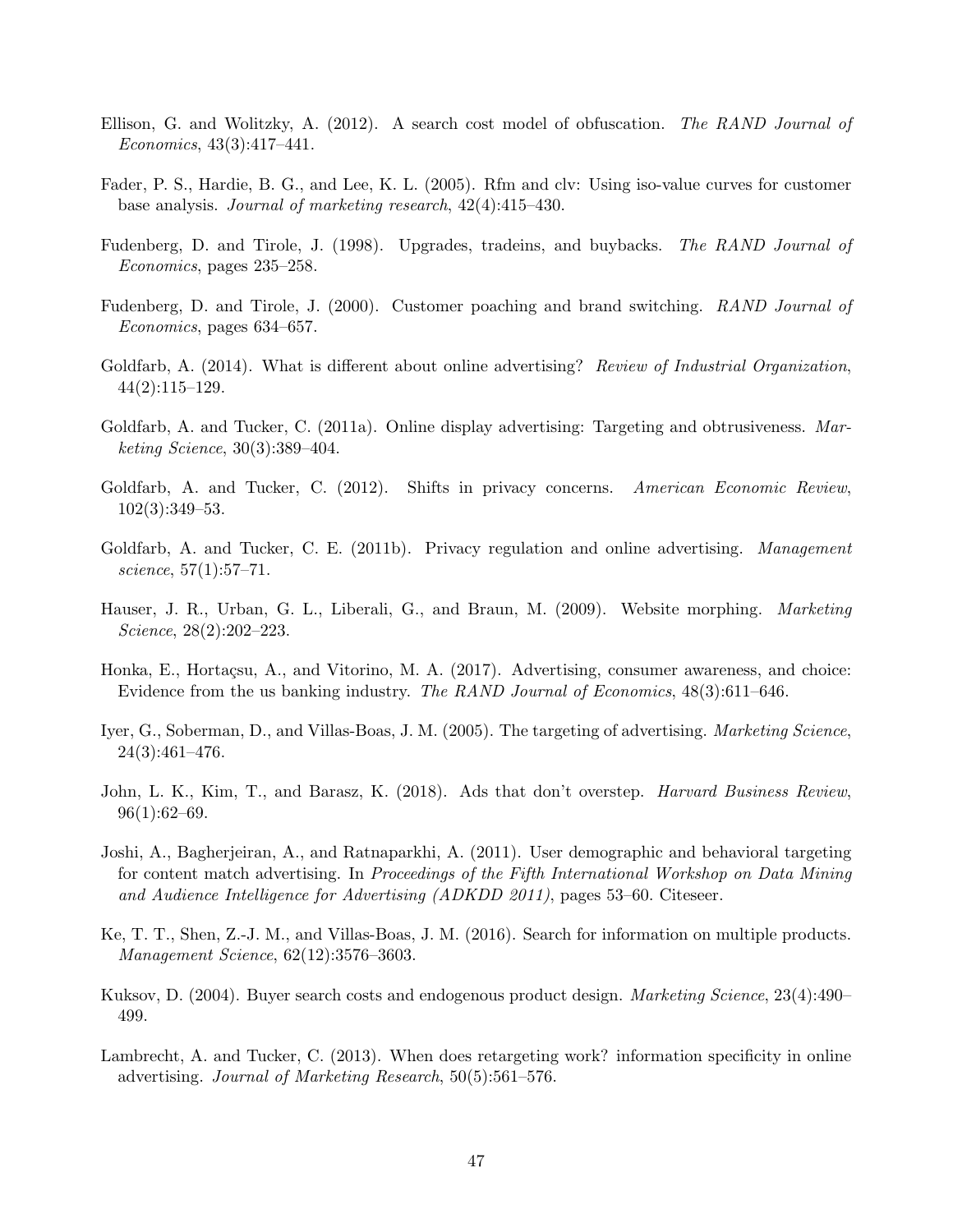- <span id="page-47-13"></span>Ellison, G. and Wolitzky, A. (2012). A search cost model of obfuscation. The RAND Journal of Economics, 43(3):417–441.
- <span id="page-47-8"></span>Fader, P. S., Hardie, B. G., and Lee, K. L. (2005). Rfm and clv: Using iso-value curves for customer base analysis. Journal of marketing research, 42(4):415–430.
- <span id="page-47-10"></span>Fudenberg, D. and Tirole, J. (1998). Upgrades, tradeins, and buybacks. The RAND Journal of Economics, pages 235–258.
- <span id="page-47-11"></span>Fudenberg, D. and Tirole, J. (2000). Customer poaching and brand switching. RAND Journal of Economics, pages 634–657.
- <span id="page-47-6"></span>Goldfarb, A. (2014). What is different about online advertising? Review of Industrial Organization, 44(2):115–129.
- <span id="page-47-3"></span>Goldfarb, A. and Tucker, C. (2011a). Online display advertising: Targeting and obtrusiveness. Marketing Science, 30(3):389–404.
- <span id="page-47-5"></span>Goldfarb, A. and Tucker, C. (2012). Shifts in privacy concerns. American Economic Review, 102(3):349–53.
- <span id="page-47-4"></span>Goldfarb, A. and Tucker, C. E. (2011b). Privacy regulation and online advertising. *Management* science, 57(1):57–71.
- <span id="page-47-7"></span>Hauser, J. R., Urban, G. L., Liberali, G., and Braun, M. (2009). Website morphing. *Marketing* Science, 28(2):202–223.
- <span id="page-47-12"></span>Honka, E., Hortaçsu, A., and Vitorino, M. A. (2017). Advertising, consumer awareness, and choice: Evidence from the us banking industry. The RAND Journal of Economics, 48(3):611–646.
- <span id="page-47-9"></span>Iyer, G., Soberman, D., and Villas-Boas, J. M. (2005). The targeting of advertising. *Marketing Science*, 24(3):461–476.
- <span id="page-47-0"></span>John, L. K., Kim, T., and Barasz, K. (2018). Ads that don't overstep. *Harvard Business Review*, 96(1):62–69.
- <span id="page-47-1"></span>Joshi, A., Bagherjeiran, A., and Ratnaparkhi, A. (2011). User demographic and behavioral targeting for content match advertising. In Proceedings of the Fifth International Workshop on Data Mining and Audience Intelligence for Advertising (ADKDD 2011), pages 53–60. Citeseer.
- <span id="page-47-15"></span>Ke, T. T., Shen, Z.-J. M., and Villas-Boas, J. M. (2016). Search for information on multiple products. Management Science, 62(12):3576–3603.
- <span id="page-47-14"></span>Kuksov, D. (2004). Buyer search costs and endogenous product design. *Marketing Science*, 23(4):490– 499.
- <span id="page-47-2"></span>Lambrecht, A. and Tucker, C. (2013). When does retargeting work? information specificity in online advertising. Journal of Marketing Research, 50(5):561–576.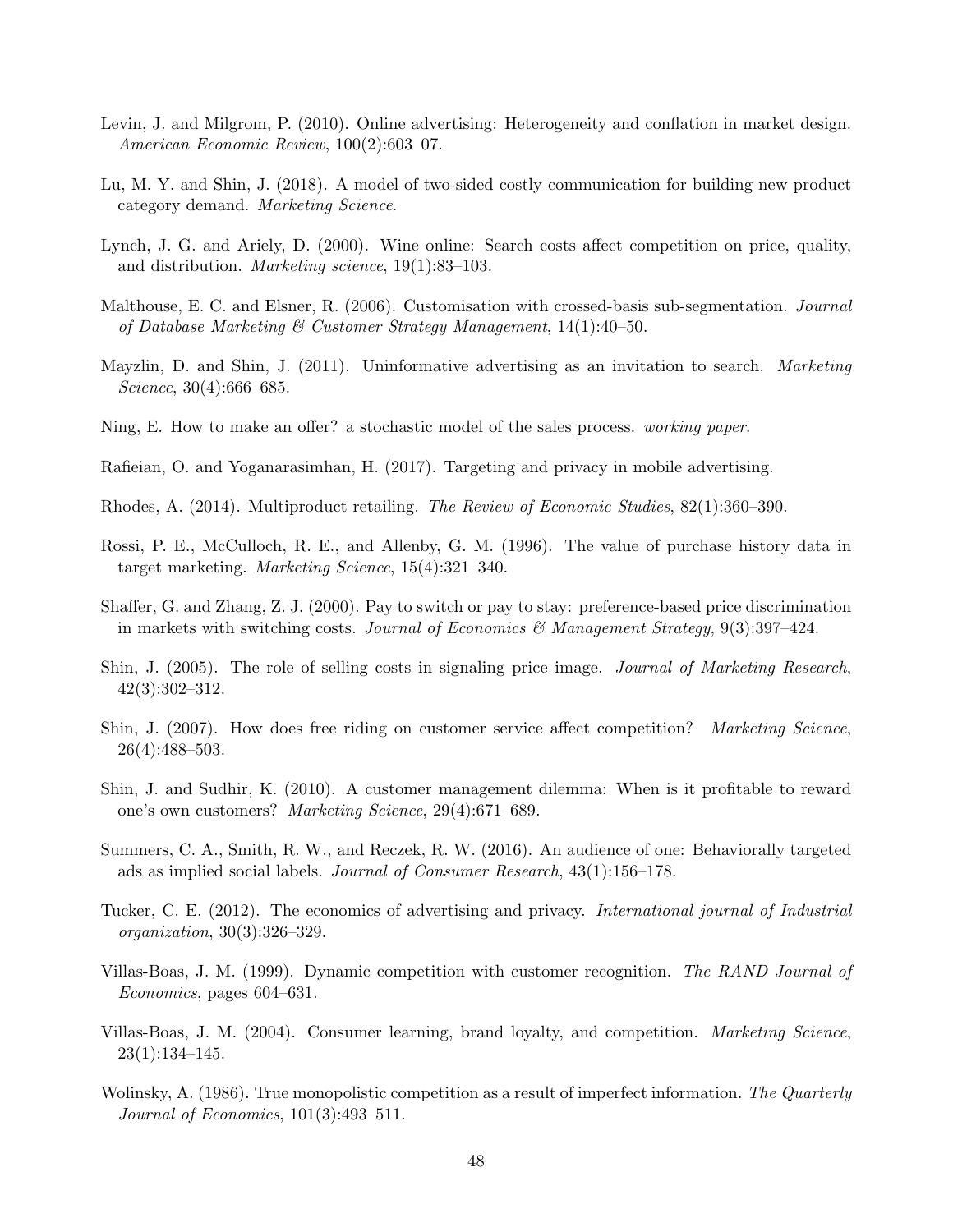- <span id="page-48-7"></span>Levin, J. and Milgrom, P. (2010). Online advertising: Heterogeneity and conflation in market design. American Economic Review, 100(2):603–07.
- <span id="page-48-2"></span>Lu, M. Y. and Shin, J. (2018). A model of two-sided costly communication for building new product category demand. Marketing Science.
- <span id="page-48-16"></span>Lynch, J. G. and Ariely, D. (2000). Wine online: Search costs affect competition on price, quality, and distribution. Marketing science, 19(1):83–103.
- <span id="page-48-6"></span>Malthouse, E. C. and Elsner, R. (2006). Customisation with crossed-basis sub-segmentation. *Journal* of Database Marketing & Customer Strategy Management,  $14(1):40-50$ .
- <span id="page-48-14"></span>Mayzlin, D. and Shin, J. (2011). Uninformative advertising as an invitation to search. Marketing Science, 30(4):666–685.
- <span id="page-48-17"></span>Ning, E. How to make an offer? a stochastic model of the sales process. working paper.
- <span id="page-48-8"></span>Rafieian, O. and Yoganarasimhan, H. (2017). Targeting and privacy in mobile advertising.
- <span id="page-48-15"></span>Rhodes, A. (2014). Multiproduct retailing. The Review of Economic Studies, 82(1):360–390.
- <span id="page-48-5"></span>Rossi, P. E., McCulloch, R. E., and Allenby, G. M. (1996). The value of purchase history data in target marketing. Marketing Science, 15(4):321–340.
- <span id="page-48-10"></span>Shaffer, G. and Zhang, Z. J. (2000). Pay to switch or pay to stay: preference-based price discrimination in markets with switching costs. Journal of Economics & Management Strategy, 9(3):397–424.
- <span id="page-48-4"></span>Shin, J. (2005). The role of selling costs in signaling price image. Journal of Marketing Research, 42(3):302–312.
- <span id="page-48-3"></span>Shin, J. (2007). How does free riding on customer service affect competition? Marketing Science, 26(4):488–503.
- <span id="page-48-12"></span>Shin, J. and Sudhir, K. (2010). A customer management dilemma: When is it profitable to reward one's own customers? Marketing Science, 29(4):671–689.
- <span id="page-48-0"></span>Summers, C. A., Smith, R. W., and Reczek, R. W. (2016). An audience of one: Behaviorally targeted ads as implied social labels. Journal of Consumer Research, 43(1):156–178.
- <span id="page-48-1"></span>Tucker, C. E. (2012). The economics of advertising and privacy. *International journal of Industrial* organization, 30(3):326–329.
- <span id="page-48-9"></span>Villas-Boas, J. M. (1999). Dynamic competition with customer recognition. The RAND Journal of Economics, pages 604–631.
- <span id="page-48-11"></span>Villas-Boas, J. M. (2004). Consumer learning, brand loyalty, and competition. Marketing Science, 23(1):134–145.
- <span id="page-48-13"></span>Wolinsky, A. (1986). True monopolistic competition as a result of imperfect information. The Quarterly Journal of Economics, 101(3):493–511.